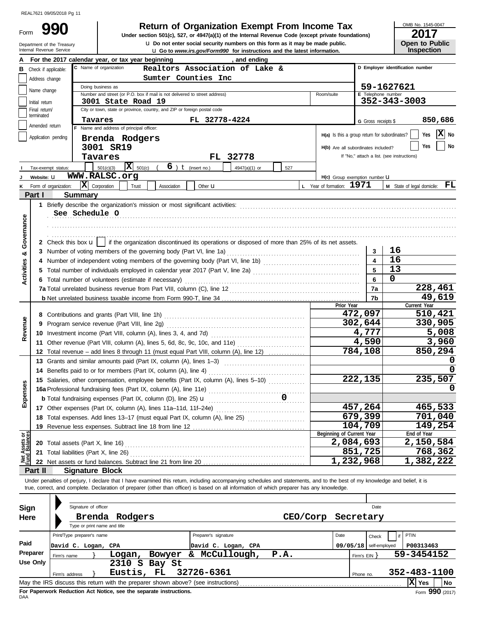| Form |
|------|
|      |

Department of the Treasury

u **Do not enter social security numbers on this form as it may be made public. Open to Public 990 2017 2018 Depending Solution State of Organization Exempt From Income Tax 2017** 

OMB No. 1545-0047

|                                |                                                                                                                               | Internal Revenue Service                                                                                       |                                          |                           |               |                      | <b>u</b> Go to <i>www.irs.gov/Form990</i> for instructions and the latest information. |      |                                                                                                                                                                            |                                               | Inspection                                 |  |  |
|--------------------------------|-------------------------------------------------------------------------------------------------------------------------------|----------------------------------------------------------------------------------------------------------------|------------------------------------------|---------------------------|---------------|----------------------|----------------------------------------------------------------------------------------|------|----------------------------------------------------------------------------------------------------------------------------------------------------------------------------|-----------------------------------------------|--------------------------------------------|--|--|
|                                |                                                                                                                               | For the 2017 calendar year, or tax year beginning                                                              |                                          |                           |               |                      | and ending                                                                             |      |                                                                                                                                                                            |                                               |                                            |  |  |
|                                | D Employer identification number<br>C Name of organization<br>Realtors Association of Lake &<br><b>B</b> Check if applicable: |                                                                                                                |                                          |                           |               |                      |                                                                                        |      |                                                                                                                                                                            |                                               |                                            |  |  |
|                                | Address change                                                                                                                |                                                                                                                | Sumter Counties Inc                      |                           |               |                      |                                                                                        |      |                                                                                                                                                                            |                                               |                                            |  |  |
|                                |                                                                                                                               |                                                                                                                | 59-1627621<br>Doing business as          |                           |               |                      |                                                                                        |      |                                                                                                                                                                            |                                               |                                            |  |  |
|                                | Name change                                                                                                                   | Number and street (or P.O. box if mail is not delivered to street address)<br>E Telephone number<br>Room/suite |                                          |                           |               |                      |                                                                                        |      |                                                                                                                                                                            |                                               |                                            |  |  |
|                                | Initial return                                                                                                                | 352-343-3003<br>3001 State Road 19                                                                             |                                          |                           |               |                      |                                                                                        |      |                                                                                                                                                                            |                                               |                                            |  |  |
|                                | City or town, state or province, country, and ZIP or foreign postal code<br>Final return/                                     |                                                                                                                |                                          |                           |               |                      |                                                                                        |      |                                                                                                                                                                            |                                               |                                            |  |  |
|                                | terminated                                                                                                                    |                                                                                                                | Tavares                                  |                           |               | FL 32778-4224        |                                                                                        |      |                                                                                                                                                                            | G Gross receipts \$                           | 850,686                                    |  |  |
|                                | Amended return                                                                                                                |                                                                                                                | F Name and address of principal officer: |                           |               |                      |                                                                                        |      |                                                                                                                                                                            |                                               |                                            |  |  |
|                                | Application pending                                                                                                           |                                                                                                                | Brenda Rodgers                           |                           |               |                      |                                                                                        |      |                                                                                                                                                                            | H(a) Is this a group return for subordinates? | $ \mathbf{X} $ No<br>Yes                   |  |  |
|                                |                                                                                                                               |                                                                                                                | 3001 SR19                                |                           |               |                      |                                                                                        |      |                                                                                                                                                                            | H(b) Are all subordinates included?           | No<br>Yes                                  |  |  |
|                                |                                                                                                                               |                                                                                                                | Tavares                                  |                           |               |                      | FL 32778                                                                               |      |                                                                                                                                                                            |                                               | If "No," attach a list. (see instructions) |  |  |
|                                |                                                                                                                               |                                                                                                                |                                          |                           |               |                      |                                                                                        |      |                                                                                                                                                                            |                                               |                                            |  |  |
|                                |                                                                                                                               | Tax-exempt status:                                                                                             | 501(c)(3)                                | $ \mathbf{X} _{501(c)}$ ( |               | 6) $t$ (insert no.)  | 4947(a)(1) or                                                                          | 527  |                                                                                                                                                                            |                                               |                                            |  |  |
|                                | Website: U                                                                                                                    |                                                                                                                | WWW.RALSC.org                            |                           |               |                      |                                                                                        |      |                                                                                                                                                                            | H(c) Group exemption number LI                |                                            |  |  |
| ĸ                              |                                                                                                                               | Form of organization:                                                                                          | $ \mathbf{X} $ Corporation               | Trust                     | Association   | Other $\mathbf u$    |                                                                                        |      | L Year of formation: 1971                                                                                                                                                  |                                               | FL<br>M State of legal domicile:           |  |  |
|                                | Part I                                                                                                                        | <b>Summary</b>                                                                                                 |                                          |                           |               |                      |                                                                                        |      |                                                                                                                                                                            |                                               |                                            |  |  |
|                                |                                                                                                                               |                                                                                                                |                                          |                           |               |                      |                                                                                        |      |                                                                                                                                                                            |                                               |                                            |  |  |
|                                |                                                                                                                               | See Schedule O                                                                                                 |                                          |                           |               |                      |                                                                                        |      |                                                                                                                                                                            |                                               |                                            |  |  |
|                                |                                                                                                                               |                                                                                                                |                                          |                           |               |                      |                                                                                        |      |                                                                                                                                                                            |                                               |                                            |  |  |
|                                |                                                                                                                               |                                                                                                                |                                          |                           |               |                      |                                                                                        |      |                                                                                                                                                                            |                                               |                                            |  |  |
| Governance                     |                                                                                                                               |                                                                                                                |                                          |                           |               |                      |                                                                                        |      | 2 Check this box $\mathbf{u}$   if the organization discontinued its operations or disposed of more than 25% of its net assets.                                            |                                               |                                            |  |  |
|                                |                                                                                                                               |                                                                                                                |                                          |                           |               |                      |                                                                                        |      |                                                                                                                                                                            | 3                                             | 16                                         |  |  |
| య                              |                                                                                                                               |                                                                                                                |                                          |                           |               |                      |                                                                                        |      |                                                                                                                                                                            |                                               | 16                                         |  |  |
| Activities                     |                                                                                                                               |                                                                                                                |                                          |                           |               |                      |                                                                                        |      |                                                                                                                                                                            | 5                                             | 13                                         |  |  |
|                                |                                                                                                                               |                                                                                                                |                                          |                           |               |                      |                                                                                        |      |                                                                                                                                                                            |                                               | 0                                          |  |  |
|                                |                                                                                                                               | 6 Total number of volunteers (estimate if necessary)                                                           |                                          |                           |               |                      |                                                                                        |      |                                                                                                                                                                            | 6<br>7a                                       |                                            |  |  |
|                                |                                                                                                                               |                                                                                                                |                                          |                           |               |                      |                                                                                        |      |                                                                                                                                                                            |                                               | 228,461                                    |  |  |
|                                |                                                                                                                               |                                                                                                                |                                          |                           |               |                      |                                                                                        |      | Prior Year                                                                                                                                                                 | 7b                                            | 49,619                                     |  |  |
|                                |                                                                                                                               |                                                                                                                |                                          |                           |               |                      |                                                                                        |      |                                                                                                                                                                            |                                               | Current Year<br>510,421                    |  |  |
|                                |                                                                                                                               |                                                                                                                |                                          |                           |               |                      |                                                                                        |      |                                                                                                                                                                            | 472,097                                       |                                            |  |  |
| Revenue                        |                                                                                                                               |                                                                                                                |                                          |                           |               |                      |                                                                                        |      |                                                                                                                                                                            | 302,644                                       | 330,905                                    |  |  |
|                                |                                                                                                                               |                                                                                                                |                                          |                           |               |                      |                                                                                        |      |                                                                                                                                                                            | 4,777                                         | 5,008                                      |  |  |
|                                |                                                                                                                               | 11 Other revenue (Part VIII, column (A), lines 5, 6d, 8c, 9c, 10c, and 11e)                                    |                                          |                           |               |                      |                                                                                        |      |                                                                                                                                                                            | 4,590                                         | 3,960                                      |  |  |
|                                |                                                                                                                               | 12 Total revenue - add lines 8 through 11 (must equal Part VIII, column (A), line 12)                          |                                          |                           |               |                      |                                                                                        |      |                                                                                                                                                                            | 784,108                                       | 850,294                                    |  |  |
|                                |                                                                                                                               | 13 Grants and similar amounts paid (Part IX, column (A), lines 1-3)                                            |                                          |                           |               |                      |                                                                                        |      |                                                                                                                                                                            |                                               |                                            |  |  |
|                                |                                                                                                                               | 14 Benefits paid to or for members (Part IX, column (A), line 4)                                               |                                          |                           |               |                      |                                                                                        |      |                                                                                                                                                                            |                                               | <sup>0</sup>                               |  |  |
|                                |                                                                                                                               | 15 Salaries, other compensation, employee benefits (Part IX, column (A), lines 5-10)                           |                                          |                           |               |                      |                                                                                        |      |                                                                                                                                                                            | 222,135                                       | 235,507                                    |  |  |
| enses                          |                                                                                                                               |                                                                                                                |                                          |                           |               |                      |                                                                                        |      |                                                                                                                                                                            |                                               |                                            |  |  |
|                                |                                                                                                                               | <b>b</b> Total fundraising expenses (Part IX, column (D), line 25) <b>u</b>                                    |                                          |                           |               |                      |                                                                                        |      |                                                                                                                                                                            |                                               |                                            |  |  |
| Expe                           |                                                                                                                               | 17 Other expenses (Part IX, column (A), lines 11a-11d, 11f-24e)                                                |                                          |                           |               |                      |                                                                                        |      |                                                                                                                                                                            | 457,264                                       | 465,533                                    |  |  |
|                                |                                                                                                                               | 18 Total expenses. Add lines 13-17 (must equal Part IX, column (A), line 25)                                   |                                          |                           |               |                      |                                                                                        |      |                                                                                                                                                                            | 679,399                                       | 701,040                                    |  |  |
|                                |                                                                                                                               | 19 Revenue less expenses. Subtract line 18 from line 12                                                        |                                          |                           |               |                      |                                                                                        |      |                                                                                                                                                                            | 104,709                                       | 149,254                                    |  |  |
|                                |                                                                                                                               |                                                                                                                |                                          |                           |               |                      |                                                                                        |      | Beginning of Current Year                                                                                                                                                  |                                               | End of Year                                |  |  |
| Net Assets or<br>Fund Balances |                                                                                                                               |                                                                                                                |                                          |                           |               |                      |                                                                                        |      |                                                                                                                                                                            | 2,084,693                                     | 2,150,584                                  |  |  |
|                                |                                                                                                                               |                                                                                                                |                                          |                           |               |                      |                                                                                        |      |                                                                                                                                                                            | 851,725                                       | 768,362                                    |  |  |
|                                |                                                                                                                               |                                                                                                                |                                          |                           |               |                      |                                                                                        |      |                                                                                                                                                                            | 1,232,968                                     | 1,382,222                                  |  |  |
|                                | Part II                                                                                                                       | <b>Signature Block</b>                                                                                         |                                          |                           |               |                      |                                                                                        |      |                                                                                                                                                                            |                                               |                                            |  |  |
|                                |                                                                                                                               |                                                                                                                |                                          |                           |               |                      |                                                                                        |      | Under penalties of perjury, I declare that I have examined this return, including accompanying schedules and statements, and to the best of my knowledge and belief, it is |                                               |                                            |  |  |
|                                |                                                                                                                               |                                                                                                                |                                          |                           |               |                      |                                                                                        |      | true, correct, and complete. Declaration of preparer (other than officer) is based on all information of which preparer has any knowledge.                                 |                                               |                                            |  |  |
|                                |                                                                                                                               |                                                                                                                |                                          |                           |               |                      |                                                                                        |      |                                                                                                                                                                            |                                               |                                            |  |  |
|                                |                                                                                                                               | Signature of officer                                                                                           |                                          |                           |               |                      |                                                                                        |      |                                                                                                                                                                            | Date                                          |                                            |  |  |
| Sign                           |                                                                                                                               |                                                                                                                |                                          |                           |               |                      |                                                                                        |      |                                                                                                                                                                            |                                               |                                            |  |  |
| Here                           |                                                                                                                               | Brenda                                                                                                         |                                          | Rodgers                   |               |                      |                                                                                        |      | CEO/Corp                                                                                                                                                                   | Secretary                                     |                                            |  |  |
|                                |                                                                                                                               |                                                                                                                | Type or print name and title             |                           |               |                      |                                                                                        |      |                                                                                                                                                                            |                                               |                                            |  |  |
|                                |                                                                                                                               | Print/Type preparer's name                                                                                     |                                          |                           |               | Preparer's signature |                                                                                        |      | Date                                                                                                                                                                       | Check                                         | PTIN                                       |  |  |
| Paid                           |                                                                                                                               | David C. Logan, CPA                                                                                            |                                          |                           |               |                      | David C. Logan, CPA                                                                    |      |                                                                                                                                                                            | $09/05/18$ self-employed                      | P00313463                                  |  |  |
|                                | Preparer                                                                                                                      | Firm's name                                                                                                    |                                          |                           | Logan, Bowyer |                      | & McCullough,                                                                          | P.A. |                                                                                                                                                                            | Firm's $EIN$ }                                | 59-3454152                                 |  |  |
|                                | <b>Use Only</b>                                                                                                               |                                                                                                                |                                          |                           | 2310 S Bay St |                      |                                                                                        |      |                                                                                                                                                                            |                                               |                                            |  |  |
|                                |                                                                                                                               | Firm's address                                                                                                 | Eustis, FL                               |                           |               | 32726-6361           |                                                                                        |      |                                                                                                                                                                            | Phone no.                                     | 352-483-1100                               |  |  |
|                                |                                                                                                                               |                                                                                                                |                                          |                           |               |                      |                                                                                        |      |                                                                                                                                                                            |                                               | $ \mathbf{X} $ Yes<br><b>No</b>            |  |  |

| Sign<br>Here     | Signature of officer<br>Type or print name and title             | Brenda Rodgers                                                                                                   |                                                                  | CEO/Corp |      | Date<br>Secretary                                 |                                        |
|------------------|------------------------------------------------------------------|------------------------------------------------------------------------------------------------------------------|------------------------------------------------------------------|----------|------|---------------------------------------------------|----------------------------------------|
| Paid<br>Preparer | Print/Type preparer's name<br>David C. Logan, CPA<br>Firm's name | Bowyer<br>Logan,                                                                                                 | Preparer's signature<br>David C. Logan, CPA<br>McCullough,<br>&. | P.A.     | Date | Check<br>$09/05/18$ self-employed<br>Firm's EIN Y | PTIN<br>P00313463<br>59-3454152        |
| <b>Use Only</b>  | Firm's address                                                   | 2310 S Bay St<br>Eustis, FL<br>May the IRS discuss this return with the preparer shown above? (see instructions) | 32726-6361                                                       |          |      | Phone no.                                         | 352-483-1100<br>$ X $ Yes<br><b>No</b> |
|                  |                                                                  | For Paperwork Reduction Act Notice, see the separate instructions.                                               |                                                                  |          |      |                                                   | Form 990 (2017)                        |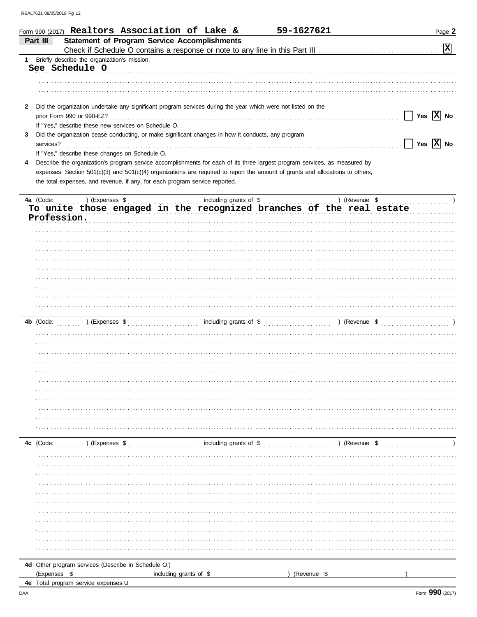|              | 59-1627621<br>Form 990 (2017) Realtors Association of Lake &<br>Page 2<br><b>Statement of Program Service Accomplishments</b><br>Part III                                                                                                          |
|--------------|----------------------------------------------------------------------------------------------------------------------------------------------------------------------------------------------------------------------------------------------------|
|              | $\boxed{\mathbf{X}}$                                                                                                                                                                                                                               |
| $1 \quad$    | Briefly describe the organization's mission:                                                                                                                                                                                                       |
|              | See Schedule O                                                                                                                                                                                                                                     |
|              |                                                                                                                                                                                                                                                    |
|              |                                                                                                                                                                                                                                                    |
| $\mathbf{2}$ | Did the organization undertake any significant program services during the year which were not listed on the                                                                                                                                       |
|              | Yes $ \overline{X} $ No                                                                                                                                                                                                                            |
|              | If "Yes," describe these new services on Schedule O.                                                                                                                                                                                               |
| 3            | Did the organization cease conducting, or make significant changes in how it conducts, any program                                                                                                                                                 |
|              | Yes $ \overline{X} $ No<br>services?                                                                                                                                                                                                               |
|              | If "Yes," describe these changes on Schedule O.                                                                                                                                                                                                    |
| 4            | Describe the organization's program service accomplishments for each of its three largest program services, as measured by                                                                                                                         |
|              | expenses. Section $501(c)(3)$ and $501(c)(4)$ organizations are required to report the amount of grants and allocations to others,                                                                                                                 |
|              | the total expenses, and revenue, if any, for each program service reported.                                                                                                                                                                        |
|              | )(Expenses \$ show and all including grants of \$ show and all including or an all of \$ show and \$ show and \$ show and \$ show and \$ show and \$ show and \$ show and \$ show and \$ show and \$ show and \$ show and \$ show and<br>4a (Code: |
|              | To unite those engaged in the recognized branches of the real estate                                                                                                                                                                               |
|              | Profession.                                                                                                                                                                                                                                        |
|              |                                                                                                                                                                                                                                                    |
|              |                                                                                                                                                                                                                                                    |
|              |                                                                                                                                                                                                                                                    |
|              |                                                                                                                                                                                                                                                    |
|              |                                                                                                                                                                                                                                                    |
|              |                                                                                                                                                                                                                                                    |
|              |                                                                                                                                                                                                                                                    |
|              |                                                                                                                                                                                                                                                    |
|              |                                                                                                                                                                                                                                                    |
|              |                                                                                                                                                                                                                                                    |
|              |                                                                                                                                                                                                                                                    |
|              |                                                                                                                                                                                                                                                    |
|              |                                                                                                                                                                                                                                                    |
|              |                                                                                                                                                                                                                                                    |
|              |                                                                                                                                                                                                                                                    |
|              |                                                                                                                                                                                                                                                    |
|              |                                                                                                                                                                                                                                                    |
|              |                                                                                                                                                                                                                                                    |
|              |                                                                                                                                                                                                                                                    |
|              |                                                                                                                                                                                                                                                    |
|              |                                                                                                                                                                                                                                                    |
|              |                                                                                                                                                                                                                                                    |
|              | 4c (Code: (2000) (Expenses \$ (2000) (Expenses \$ (2000) (Expenses \$ (2000) (2000) (2000) (2000) (2000) (2000) (2000) (2000) (2000) (2000) (2000) (2000) (2000) (2000) (2000) (2000) (2000) (2000) (2000) (2000) (2000) (2000) (                  |
|              |                                                                                                                                                                                                                                                    |
|              |                                                                                                                                                                                                                                                    |
|              |                                                                                                                                                                                                                                                    |
|              |                                                                                                                                                                                                                                                    |
|              |                                                                                                                                                                                                                                                    |
|              |                                                                                                                                                                                                                                                    |
|              |                                                                                                                                                                                                                                                    |
|              |                                                                                                                                                                                                                                                    |
|              |                                                                                                                                                                                                                                                    |
|              |                                                                                                                                                                                                                                                    |
|              |                                                                                                                                                                                                                                                    |
|              |                                                                                                                                                                                                                                                    |

4e Total program service expenses u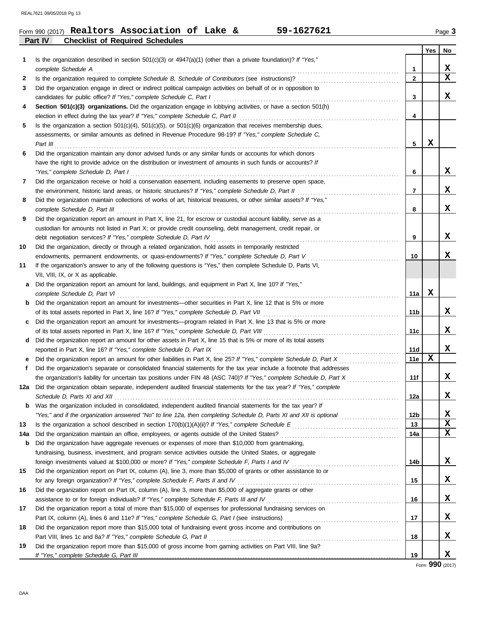|         | Form 990 (2017) Realtors Association of Lake & |  | 59-1627621 | Page $3$ |
|---------|------------------------------------------------|--|------------|----------|
| Part IV | <b>Checklist of Required Schedules</b>         |  |            |          |

| 1        | Is the organization described in section $501(c)(3)$ or $4947(a)(1)$ (other than a private foundation)? If "Yes,"                               |     | Yes | No          |
|----------|-------------------------------------------------------------------------------------------------------------------------------------------------|-----|-----|-------------|
|          | complete Schedule A                                                                                                                             | 1   |     | x           |
| 2        |                                                                                                                                                 | 2   |     | $\mathbf X$ |
| 3        | Did the organization engage in direct or indirect political campaign activities on behalf of or in opposition to                                |     |     |             |
|          | candidates for public office? If "Yes," complete Schedule C, Part I                                                                             | 3   |     | X.          |
| 4        | Section 501(c)(3) organizations. Did the organization engage in lobbying activities, or have a section 501(h)                                   |     |     |             |
|          | election in effect during the tax year? If "Yes," complete Schedule C, Part II                                                                  | 4   |     |             |
| 5        | Is the organization a section $501(c)(4)$ , $501(c)(5)$ , or $501(c)(6)$ organization that receives membership dues,                            |     |     |             |
|          | assessments, or similar amounts as defined in Revenue Procedure 98-19? If "Yes," complete Schedule C,                                           |     |     |             |
|          | Part III $\ldots$ $\ldots$ $\ldots$ $\ldots$ $\ldots$ $\ldots$ $\ldots$ $\ldots$ $\ldots$ $\ldots$ $\ldots$ $\ldots$ $\ldots$ $\ldots$          | 5   | X   |             |
| 6        | Did the organization maintain any donor advised funds or any similar funds or accounts for which donors                                         |     |     |             |
|          | have the right to provide advice on the distribution or investment of amounts in such funds or accounts? If                                     |     |     | X           |
| 7        | "Yes," complete Schedule D, Part I<br>Did the organization receive or hold a conservation easement, including easements to preserve open space, | 6   |     |             |
|          |                                                                                                                                                 | 7   |     | X           |
| 8        | Did the organization maintain collections of works of art, historical treasures, or other similar assets? If "Yes,"                             |     |     |             |
|          | complete Schedule D. Part III                                                                                                                   | 8   |     | X           |
| 9        | Did the organization report an amount in Part X, line 21, for escrow or custodial account liability, serve as a                                 |     |     |             |
|          | custodian for amounts not listed in Part X; or provide credit counseling, debt management, credit repair, or                                    |     |     |             |
|          | debt negotiation services? If "Yes," complete Schedule D, Part IV                                                                               | 9   |     | X.          |
| 10       | Did the organization, directly or through a related organization, hold assets in temporarily restricted                                         |     |     |             |
|          | endowments, permanent endowments, or quasi-endowments? If "Yes," complete Schedule D, Part V                                                    | 10  |     | X.          |
| 11       | If the organization's answer to any of the following questions is "Yes," then complete Schedule D, Parts VI,                                    |     |     |             |
|          | VII, VIII, IX, or X as applicable.                                                                                                              |     |     |             |
| a        | Did the organization report an amount for land, buildings, and equipment in Part X, line 10? If "Yes,"                                          |     |     |             |
|          | complete Schedule D, Part VI                                                                                                                    | 11a | X   |             |
| b        | Did the organization report an amount for investments—other securities in Part X, line 12 that is 5% or more                                    |     |     |             |
|          |                                                                                                                                                 | 11b |     | X.          |
| c        | Did the organization report an amount for investments—program related in Part X, line 13 that is 5% or more                                     |     |     |             |
|          |                                                                                                                                                 | 11c |     | X           |
| d        | Did the organization report an amount for other assets in Part X, line 15 that is 5% or more of its total assets                                |     |     |             |
|          | reported in Part X, line 16? If "Yes," complete Schedule D, Part IX                                                                             | 11d |     | X           |
| е        |                                                                                                                                                 | 11e | x   |             |
| f.       | Did the organization's separate or consolidated financial statements for the tax year include a footnote that addresses                         |     |     |             |
|          | the organization's liability for uncertain tax positions under FIN 48 (ASC 740)? If "Yes," complete Schedule D, Part X                          | 11f |     | X           |
|          | 12a Did the organization obtain separate, independent audited financial statements for the tax year? If "Yes," complete                         |     |     |             |
|          |                                                                                                                                                 | 12a |     | x           |
| b        | Was the organization included in consolidated, independent audited financial statements for the tax year? If                                    |     |     |             |
|          | "Yes," and if the organization answered "No" to line 12a, then completing Schedule D, Parts XI and XII is optional                              | 12b |     | x<br>х      |
| 13       |                                                                                                                                                 | 13  |     | x           |
| 14a<br>b | Did the organization have aggregate revenues or expenses of more than \$10,000 from grantmaking,                                                | 14a |     |             |
|          | fundraising, business, investment, and program service activities outside the United States, or aggregate                                       |     |     |             |
|          | foreign investments valued at \$100,000 or more? If "Yes," complete Schedule F, Parts I and IV [[[[[[[[[[[[[[[[                                 | 14b |     | X           |
| 15       | Did the organization report on Part IX, column (A), line 3, more than \$5,000 of grants or other assistance to or                               |     |     |             |
|          | for any foreign organization? If "Yes," complete Schedule F, Parts II and IV                                                                    | 15  |     | X           |
| 16       | Did the organization report on Part IX, column (A), line 3, more than \$5,000 of aggregate grants or other                                      |     |     |             |
|          | assistance to or for foreign individuals? If "Yes," complete Schedule F, Parts III and IV                                                       | 16  |     | X           |
| 17       | Did the organization report a total of more than \$15,000 of expenses for professional fundraising services on                                  |     |     |             |
|          |                                                                                                                                                 | 17  |     | X           |
| 18       | Did the organization report more than \$15,000 total of fundraising event gross income and contributions on                                     |     |     |             |
|          | Part VIII, lines 1c and 8a? If "Yes," complete Schedule G, Part II                                                                              | 18  |     | X           |
| 19       | Did the organization report more than \$15,000 of gross income from gaming activities on Part VIII, line 9a?                                    |     |     |             |
|          |                                                                                                                                                 | 19  |     | X           |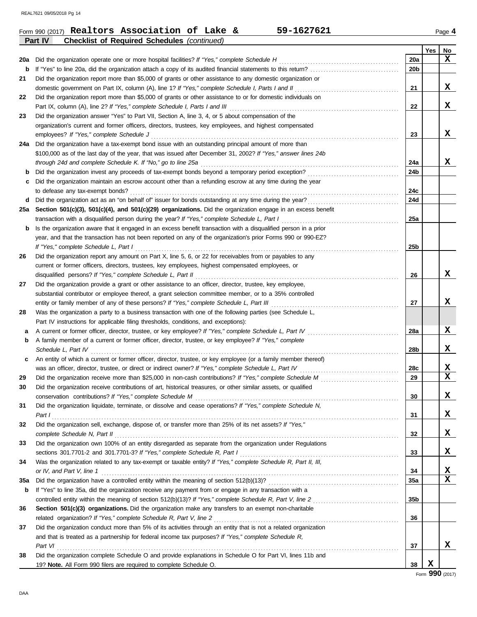|     | 59-1627621<br>Form 990 (2017) Realtors Association of Lake &                                                     |                 |     | Page 4 |
|-----|------------------------------------------------------------------------------------------------------------------|-----------------|-----|--------|
|     | Part IV<br><b>Checklist of Required Schedules (continued)</b>                                                    |                 |     |        |
|     |                                                                                                                  |                 | Yes | No     |
| 20a |                                                                                                                  | 20a             |     | x      |
| b   | If "Yes" to line 20a, did the organization attach a copy of its audited financial statements to this return?     | 20b             |     |        |
| 21  | Did the organization report more than \$5,000 of grants or other assistance to any domestic organization or      |                 |     |        |
|     |                                                                                                                  | 21              |     | X      |
| 22  | Did the organization report more than \$5,000 of grants or other assistance to or for domestic individuals on    |                 |     |        |
|     |                                                                                                                  | 22              |     | X      |
| 23  | Did the organization answer "Yes" to Part VII, Section A, line 3, 4, or 5 about compensation of the              |                 |     |        |
|     | organization's current and former officers, directors, trustees, key employees, and highest compensated          |                 |     |        |
|     |                                                                                                                  | 23              |     | X      |
|     | 24a Did the organization have a tax-exempt bond issue with an outstanding principal amount of more than          |                 |     |        |
|     | \$100,000 as of the last day of the year, that was issued after December 31, 2002? If "Yes," answer lines 24b    |                 |     |        |
|     |                                                                                                                  | 24a             |     | X      |
| b   |                                                                                                                  | 24b             |     |        |
| c   | Did the organization maintain an escrow account other than a refunding escrow at any time during the year        |                 |     |        |
|     | to defease any tax-exempt bonds?                                                                                 | 24c             |     |        |
| d   |                                                                                                                  | 24d             |     |        |
|     | 25a Section 501(c)(3), 501(c)(4), and 501(c)(29) organizations. Did the organization engage in an excess benefit |                 |     |        |
|     |                                                                                                                  | 25a             |     |        |
| b   | Is the organization aware that it engaged in an excess benefit transaction with a disqualified person in a prior |                 |     |        |
|     | year, and that the transaction has not been reported on any of the organization's prior Forms 990 or 990-EZ?     |                 |     |        |
|     |                                                                                                                  | 25 <sub>b</sub> |     |        |
| 26  | Did the organization report any amount on Part X, line 5, 6, or 22 for receivables from or payables to any       |                 |     |        |
|     | current or former officers, directors, trustees, key employees, highest compensated employees, or                |                 |     |        |
|     |                                                                                                                  | 26              |     | X      |
| 27  | Did the organization provide a grant or other assistance to an officer, director, trustee, key employee,         |                 |     |        |
|     | substantial contributor or employee thereof, a grant selection committee member, or to a 35% controlled          |                 |     |        |
|     |                                                                                                                  | 27              |     | X      |
| 28  | Was the organization a party to a business transaction with one of the following parties (see Schedule L,        |                 |     |        |
|     | Part IV instructions for applicable filing thresholds, conditions, and exceptions):                              |                 |     |        |
| а   | A current or former officer, director, trustee, or key employee? If "Yes," complete Schedule L, Part IV          | 28a             |     | X      |
| b   | A family member of a current or former officer, director, trustee, or key employee? If "Yes," complete           |                 |     |        |
|     |                                                                                                                  | 28b             |     | X      |
| c   | An entity of which a current or former officer, director, trustee, or key employee (or a family member thereof)  |                 |     |        |
|     |                                                                                                                  | 28c             |     | X      |
| 29  |                                                                                                                  | 29              |     | X      |
| 30  | Did the organization receive contributions of art, historical treasures, or other similar assets, or qualified   |                 |     |        |
|     |                                                                                                                  | 30              |     | x      |
| 31  | Did the organization liquidate, terminate, or dissolve and cease operations? If "Yes," complete Schedule N,      |                 |     |        |
|     | Part 1                                                                                                           | 31              |     | X      |
| 32  | Did the organization sell, exchange, dispose of, or transfer more than 25% of its net assets? If "Yes,"          |                 |     |        |
|     |                                                                                                                  | 32              |     | X      |
| 33  | Did the organization own 100% of an entity disregarded as separate from the organization under Regulations       |                 |     |        |
|     |                                                                                                                  | 33              |     | X      |
| 34  | Was the organization related to any tax-exempt or taxable entity? If "Yes," complete Schedule R, Part II, III,   |                 |     |        |
|     | or IV, and Part V, line 1                                                                                        | 34              |     | X      |
| 35a |                                                                                                                  | <b>35a</b>      |     | X      |
| b   | If "Yes" to line 35a, did the organization receive any payment from or engage in any transaction with a          |                 |     |        |
|     | controlled entity within the meaning of section 512(b)(13)? If "Yes," complete Schedule R, Part V, line 2        | 35b             |     |        |
| 36  | Section 501(c)(3) organizations. Did the organization make any transfers to an exempt non-charitable             |                 |     |        |
|     |                                                                                                                  | 36              |     |        |
| 37  | Did the organization conduct more than 5% of its activities through an entity that is not a related organization |                 |     |        |
|     | and that is treated as a partnership for federal income tax purposes? If "Yes," complete Schedule R,             |                 |     |        |
|     | Part VI                                                                                                          | 37              |     | X      |
| 38  | Did the organization complete Schedule O and provide explanations in Schedule O for Part VI, lines 11b and       |                 |     |        |
|     | 19? Note. All Form 990 filers are required to complete Schedule O.                                               | 38              | x   |        |
|     |                                                                                                                  |                 |     |        |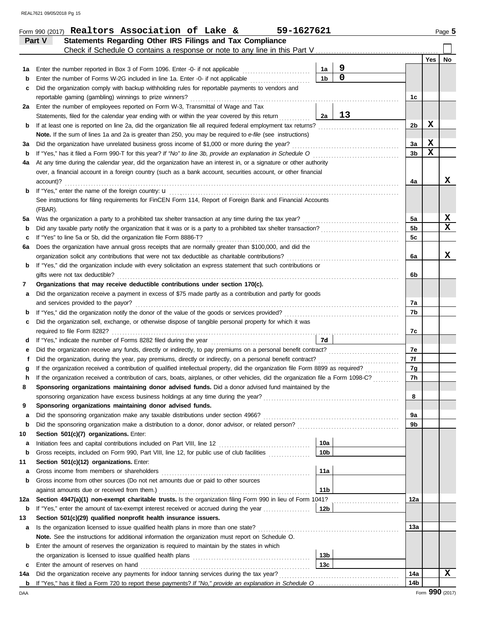|        | Statements Regarding Other IRS Filings and Tax Compliance<br>Part V                                                                |                 |                |                 |                 |                  |
|--------|------------------------------------------------------------------------------------------------------------------------------------|-----------------|----------------|-----------------|-----------------|------------------|
|        |                                                                                                                                    |                 |                |                 |                 |                  |
|        |                                                                                                                                    |                 |                |                 | Yes             | No               |
| 1a     | Enter the number reported in Box 3 of Form 1096. Enter -0- if not applicable                                                       | 1a              | 9              |                 |                 |                  |
| b      | Enter the number of Forms W-2G included in line 1a. Enter -0- if not applicable                                                    | 1 <sub>b</sub>  | $\overline{0}$ |                 |                 |                  |
| c      | Did the organization comply with backup withholding rules for reportable payments to vendors and                                   |                 |                |                 |                 |                  |
|        | reportable gaming (gambling) winnings to prize winners?                                                                            |                 |                | 1c              |                 |                  |
| 2a     | Enter the number of employees reported on Form W-3, Transmittal of Wage and Tax                                                    |                 |                |                 |                 |                  |
|        | Statements, filed for the calendar year ending with or within the year covered by this return                                      | 2a              | 13             |                 |                 |                  |
| b      | If at least one is reported on line 2a, did the organization file all required federal employment tax returns?                     |                 |                | 2b              | X               |                  |
|        | Note. If the sum of lines 1a and 2a is greater than 250, you may be required to e-file (see instructions)                          |                 |                |                 |                 |                  |
| за     | Did the organization have unrelated business gross income of \$1,000 or more during the year?                                      |                 |                | За              | X               |                  |
| b      |                                                                                                                                    |                 |                | 3 <sub>b</sub>  | $\mathbf x$     |                  |
| 4a     | At any time during the calendar year, did the organization have an interest in, or a signature or other authority                  |                 |                |                 |                 |                  |
|        | over, a financial account in a foreign country (such as a bank account, securities account, or other financial                     |                 |                |                 |                 |                  |
|        | account)?                                                                                                                          |                 |                | 4a              |                 | x                |
| b      |                                                                                                                                    |                 |                |                 |                 |                  |
|        | See instructions for filing requirements for FinCEN Form 114, Report of Foreign Bank and Financial Accounts                        |                 |                |                 |                 |                  |
|        | (FBAR).                                                                                                                            |                 |                |                 |                 |                  |
| 5a     | Was the organization a party to a prohibited tax shelter transaction at any time during the tax year?                              |                 |                | 5a              |                 | X<br>$\mathbf X$ |
| b      | Did any taxable party notify the organization that it was or is a party to a prohibited tax shelter transaction?                   |                 |                | 5 <sub>b</sub>  |                 |                  |
| c      | If "Yes" to line 5a or 5b, did the organization file Form 8886-T?                                                                  |                 |                | 5c              |                 |                  |
| 6а     | Does the organization have annual gross receipts that are normally greater than \$100,000, and did the                             |                 |                |                 |                 | x                |
|        |                                                                                                                                    |                 |                | 6a              |                 |                  |
| b      | If "Yes," did the organization include with every solicitation an express statement that such contributions or                     |                 |                |                 |                 |                  |
|        | gifts were not tax deductible?                                                                                                     |                 |                | 6b              |                 |                  |
| 7      | Organizations that may receive deductible contributions under section 170(c).                                                      |                 |                |                 |                 |                  |
| а      | Did the organization receive a payment in excess of \$75 made partly as a contribution and partly for goods                        |                 |                |                 |                 |                  |
|        | and services provided to the payor?                                                                                                |                 |                | 7a<br>7b        |                 |                  |
| b      | Did the organization sell, exchange, or otherwise dispose of tangible personal property for which it was                           |                 |                |                 |                 |                  |
| c      |                                                                                                                                    |                 |                | 7c              |                 |                  |
|        |                                                                                                                                    | 7d              |                |                 |                 |                  |
| d      | Did the organization receive any funds, directly or indirectly, to pay premiums on a personal benefit contract?                    |                 |                | 7e              |                 |                  |
| е<br>f | Did the organization, during the year, pay premiums, directly or indirectly, on a personal benefit contract?                       |                 |                | 7f              |                 |                  |
|        | If the organization received a contribution of qualified intellectual property, did the organization file Form 8899 as required?   |                 |                | 7g              |                 |                  |
| g      | If the organization received a contribution of cars, boats, airplanes, or other vehicles, did the organization file a Form 1098-C? |                 |                | 7h              |                 |                  |
| h      | Sponsoring organizations maintaining donor advised funds. Did a donor advised fund maintained by the                               |                 |                |                 |                 |                  |
|        |                                                                                                                                    |                 |                | 8               |                 |                  |
| 9      | Sponsoring organizations maintaining donor advised funds.                                                                          |                 |                |                 |                 |                  |
| а      |                                                                                                                                    |                 |                | 9а              |                 |                  |
| b      |                                                                                                                                    |                 |                | 9b              |                 |                  |
| 10     | Section 501(c)(7) organizations. Enter:                                                                                            |                 |                |                 |                 |                  |
| а      |                                                                                                                                    | 10a             |                |                 |                 |                  |
| b      | Gross receipts, included on Form 990, Part VIII, line 12, for public use of club facilities                                        | 10 <sub>b</sub> |                |                 |                 |                  |
| 11     | Section 501(c)(12) organizations. Enter:                                                                                           |                 |                |                 |                 |                  |
| а      | Gross income from members or shareholders                                                                                          | 11a             |                |                 |                 |                  |
| b      | Gross income from other sources (Do not net amounts due or paid to other sources                                                   |                 |                |                 |                 |                  |
|        |                                                                                                                                    | 11 <sub>b</sub> |                |                 |                 |                  |
| 12a    | Section 4947(a)(1) non-exempt charitable trusts. Is the organization filing Form 990 in lieu of Form 1041?                         |                 |                | 12a             |                 |                  |
| b      | If "Yes," enter the amount of tax-exempt interest received or accrued during the year                                              | 12b             |                |                 |                 |                  |
| 13     | Section 501(c)(29) qualified nonprofit health insurance issuers.                                                                   |                 |                |                 |                 |                  |
| a      |                                                                                                                                    |                 |                | 13а             |                 |                  |
|        | Note. See the instructions for additional information the organization must report on Schedule O.                                  |                 |                |                 |                 |                  |
| b      | Enter the amount of reserves the organization is required to maintain by the states in which                                       |                 |                |                 |                 |                  |
|        |                                                                                                                                    | 13 <sub>b</sub> |                |                 |                 |                  |
| c      | Enter the amount of reserves on hand                                                                                               | 13 <sub>c</sub> |                |                 |                 |                  |
| 14a    | Did the organization receive any payments for indoor tanning services during the tax year?                                         |                 |                | 14a             |                 | X                |
| b      |                                                                                                                                    |                 |                | 14 <sub>b</sub> |                 |                  |
| DAA    |                                                                                                                                    |                 |                |                 | Form 990 (2017) |                  |

Form 990 (2017) Page **5 Realtors Association of Lake & 59-1627621**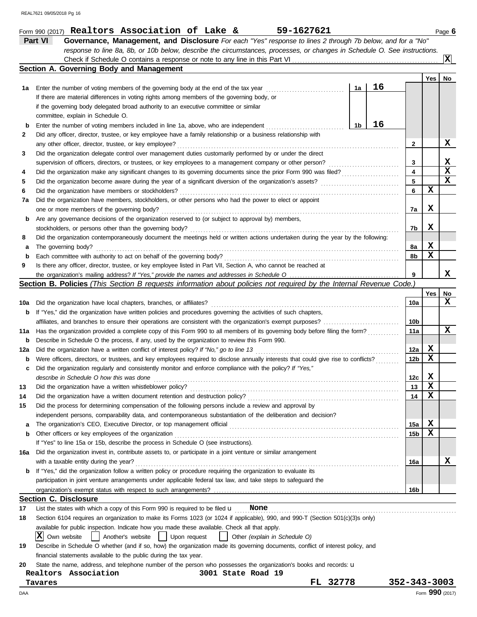|     | 59-1627621<br>Form 990 (2017) Realtors Association of Lake &                                                                        |                 |     | Page 6          |
|-----|-------------------------------------------------------------------------------------------------------------------------------------|-----------------|-----|-----------------|
|     | Part VI<br>Governance, Management, and Disclosure For each "Yes" response to lines 2 through 7b below, and for a "No"               |                 |     |                 |
|     | response to line 8a, 8b, or 10b below, describe the circumstances, processes, or changes in Schedule O. See instructions.           |                 |     |                 |
|     |                                                                                                                                     |                 |     | $ \mathbf{x} $  |
|     | Section A. Governing Body and Management                                                                                            |                 |     |                 |
|     |                                                                                                                                     |                 | Yes | No              |
| 1а  | 16<br>1a<br>Enter the number of voting members of the governing body at the end of the tax year                                     |                 |     |                 |
|     | If there are material differences in voting rights among members of the governing body, or                                          |                 |     |                 |
|     | if the governing body delegated broad authority to an executive committee or similar                                                |                 |     |                 |
|     | committee, explain in Schedule O.                                                                                                   |                 |     |                 |
| b   | 16<br>1b<br>Enter the number of voting members included in line 1a, above, who are independent                                      |                 |     |                 |
| 2   | Did any officer, director, trustee, or key employee have a family relationship or a business relationship with                      |                 |     |                 |
|     | any other officer, director, trustee, or key employee?                                                                              | 2               |     | X               |
| 3   | Did the organization delegate control over management duties customarily performed by or under the direct                           |                 |     |                 |
|     |                                                                                                                                     | 3               |     | X               |
| 4   | Did the organization make any significant changes to its governing documents since the prior Form 990 was filed?                    | 4               |     | X               |
| 5   |                                                                                                                                     | 5               |     | X               |
| 6   | Did the organization have members or stockholders?                                                                                  | 6               | х   |                 |
| 7a  | Did the organization have members, stockholders, or other persons who had the power to elect or appoint                             |                 |     |                 |
|     | one or more members of the governing body?                                                                                          | 7a              | X   |                 |
| b   | Are any governance decisions of the organization reserved to (or subject to approval by) members,                                   |                 |     |                 |
|     |                                                                                                                                     | 7b              | X   |                 |
| 8   | Did the organization contemporaneously document the meetings held or written actions undertaken during the year by the following:   |                 |     |                 |
| а   | The governing body?                                                                                                                 | 8а              | X   |                 |
| b   |                                                                                                                                     | 8b              | х   |                 |
| 9   | Is there any officer, director, trustee, or key employee listed in Part VII, Section A, who cannot be reached at                    |                 |     |                 |
|     | the organization's mailing address? If "Yes," provide the names and addresses in Schedule O                                         | 9               |     | x               |
|     | <b>Section B. Policies</b> (This Section B requests information about policies not required by the Internal Revenue Code.)          |                 |     |                 |
|     |                                                                                                                                     |                 | Yes | No              |
| 10a | Did the organization have local chapters, branches, or affiliates?                                                                  | 10a             |     | x               |
| b   | If "Yes," did the organization have written policies and procedures governing the activities of such chapters,                      |                 |     |                 |
|     | affiliates, and branches to ensure their operations are consistent with the organization's exempt purposes?                         | 10b             |     |                 |
| 11a | Has the organization provided a complete copy of this Form 990 to all members of its governing body before filing the form?         | 11a             |     | x               |
| b   | Describe in Schedule O the process, if any, used by the organization to review this Form 990.                                       |                 |     |                 |
| 12a | Did the organization have a written conflict of interest policy? If "No," go to line 13                                             | 12a             | х   |                 |
| b   | Were officers, directors, or trustees, and key employees required to disclose annually interests that could give rise to conflicts? | 12 <sub>b</sub> | X   |                 |
| c   | Did the organization regularly and consistently monitor and enforce compliance with the policy? If "Yes,"                           |                 |     |                 |
|     | describe in Schedule O how this was done                                                                                            | 12c             | X   |                 |
| 13  | Did the organization have a written whistleblower policy?                                                                           | 13              | х   |                 |
| 14  | Did the organization have a written document retention and destruction policy?                                                      | 14              | х   |                 |
| 15  | Did the process for determining compensation of the following persons include a review and approval by                              |                 |     |                 |
|     | independent persons, comparability data, and contemporaneous substantiation of the deliberation and decision?                       |                 |     |                 |
| a   |                                                                                                                                     | 15a             | X   |                 |
| b   | Other officers or key employees of the organization                                                                                 | 15b             | X   |                 |
|     | If "Yes" to line 15a or 15b, describe the process in Schedule O (see instructions).                                                 |                 |     |                 |
| 16a | Did the organization invest in, contribute assets to, or participate in a joint venture or similar arrangement                      |                 |     |                 |
|     | with a taxable entity during the year?                                                                                              | 16a             |     | x               |
| b   | If "Yes," did the organization follow a written policy or procedure requiring the organization to evaluate its                      |                 |     |                 |
|     | participation in joint venture arrangements under applicable federal tax law, and take steps to safeguard the                       |                 |     |                 |
|     | organization's exempt status with respect to such arrangements?                                                                     | 16 <sub>b</sub> |     |                 |
|     | <b>Section C. Disclosure</b>                                                                                                        |                 |     |                 |
| 17  | List the states with which a copy of this Form 990 is required to be filed $\mathbf u$<br>None                                      |                 |     |                 |
| 18  | Section 6104 requires an organization to make its Forms 1023 (or 1024 if applicable), 990, and 990-T (Section 501(c)(3)s only)      |                 |     |                 |
|     | available for public inspection. Indicate how you made these available. Check all that apply.                                       |                 |     |                 |
|     | X <br>Own website<br>Another's website<br>Upon request<br>Other (explain in Schedule O)                                             |                 |     |                 |
| 19  | Describe in Schedule O whether (and if so, how) the organization made its governing documents, conflict of interest policy, and     |                 |     |                 |
|     | financial statements available to the public during the tax year.                                                                   |                 |     |                 |
| 20  | State the name, address, and telephone number of the person who possesses the organization's books and records: u                   |                 |     |                 |
|     | Realtors Association<br>3001 State Road 19                                                                                          |                 |     |                 |
|     | 32778<br>FL.<br>Tavares                                                                                                             | 352-343-3003    |     |                 |
| DAA |                                                                                                                                     |                 |     | Form 990 (2017) |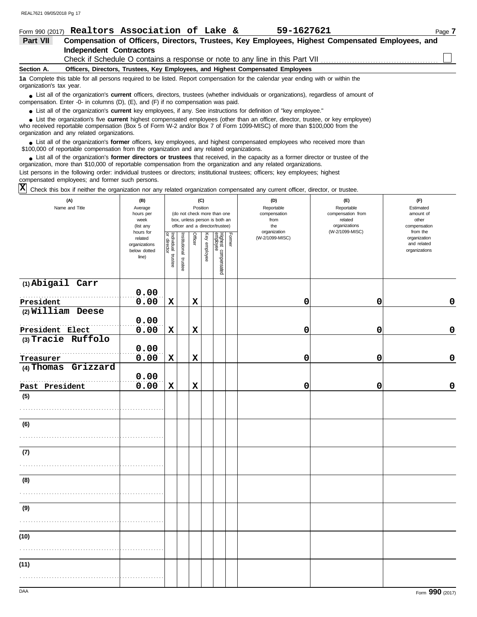| Form 990 (2017)          | Realtors Association of Lake &                                                                                                                                                                                              | 59-1627621 | Page 7 |
|--------------------------|-----------------------------------------------------------------------------------------------------------------------------------------------------------------------------------------------------------------------------|------------|--------|
| <b>Part VII</b>          | Compensation of Officers, Directors, Trustees, Key Employees, Highest Compensated Employees, and                                                                                                                            |            |        |
|                          | <b>Independent Contractors</b>                                                                                                                                                                                              |            |        |
|                          |                                                                                                                                                                                                                             |            |        |
| Section A.               | Officers, Directors, Trustees, Key Employees, and Highest Compensated Employees                                                                                                                                             |            |        |
| organization's tax year. | 1a Complete this table for all persons required to be listed. Report compensation for the calendar year ending with or within the                                                                                           |            |        |
|                          | • List all of the organization's current officers, directors, trustees (whether individuals or organizations), regardless of amount of<br>compensation. Enter -0- in columns (D), (E), and (F) if no compensation was paid. |            |        |
|                          | • List all of the organization's current key employees, if any. See instructions for definition of "key employee."                                                                                                          |            |        |
|                          | • List the organization's five current highest compensated employees (other than an officer, director, trustee, or key employee)                                                                                            |            |        |

who received reportable compensation (Box 5 of Form W-2 and/or Box 7 of Form 1099-MISC) of more than \$100,000 from the organization and any related organizations. **•**

List all of the organization's **former** officers, key employees, and highest compensated employees who received more than • List all of the organization's **former** officers, key employees, and highest compensate \$100,000 of reportable compensation from the organization and any related organizations.

• List all of the organization's **former directors or trustees** that received, in the capacity as a former director or trustee of the organization, more than \$10,000 of reportable compensation from the organization and any related organizations. List persons in the following order: individual trustees or directors; institutional trustees; officers; key employees; highest compensated employees; and former such persons.

Check this box if neither the organization nor any related organization compensated any current officer, director, or trustee. **X**

| (A)<br>Name and Title    | (B)<br>Average<br>hours per<br>week<br>(list any<br>hours for |                                   |                       | (C)<br>Position<br>(do not check more than one<br>box, unless person is both an<br>officer and a director/trustee) |              |                                 |        | (D)<br>Reportable<br>compensation<br>from<br>the<br>organization | (E)<br>Reportable<br>compensation from<br>related<br>organizations<br>(W-2/1099-MISC) | (F)<br>Estimated<br>amount of<br>other<br>compensation<br>from the |
|--------------------------|---------------------------------------------------------------|-----------------------------------|-----------------------|--------------------------------------------------------------------------------------------------------------------|--------------|---------------------------------|--------|------------------------------------------------------------------|---------------------------------------------------------------------------------------|--------------------------------------------------------------------|
|                          | related<br>organizations<br>below dotted<br>line)             | Individual trustee<br>or director | Institutional trustee | Officer                                                                                                            | Key employee | Highest compensated<br>employee | Former | (W-2/1099-MISC)                                                  |                                                                                       | organization<br>and related<br>organizations                       |
| (1) Abigail Carr         | 0.00                                                          |                                   |                       |                                                                                                                    |              |                                 |        |                                                                  |                                                                                       |                                                                    |
| President                | 0.00                                                          | $\mathbf x$                       |                       | $\mathbf x$                                                                                                        |              |                                 |        | 0                                                                | 0                                                                                     | 0                                                                  |
| (2) William Deese        |                                                               |                                   |                       |                                                                                                                    |              |                                 |        |                                                                  |                                                                                       |                                                                    |
|                          | 0.00                                                          |                                   |                       |                                                                                                                    |              |                                 |        |                                                                  |                                                                                       |                                                                    |
| President Elect          | 0.00                                                          | $\mathbf x$                       |                       | $\mathbf x$                                                                                                        |              |                                 |        | 0                                                                | 0                                                                                     | $\mathbf 0$                                                        |
| (3) Tracie Ruffolo       |                                                               |                                   |                       |                                                                                                                    |              |                                 |        |                                                                  |                                                                                       |                                                                    |
|                          | 0.00                                                          |                                   |                       |                                                                                                                    |              |                                 |        |                                                                  |                                                                                       |                                                                    |
| Treasurer                | 0.00                                                          | $\mathbf x$                       |                       | $\mathbf x$                                                                                                        |              |                                 |        | 0                                                                | 0                                                                                     | 0                                                                  |
| Grizzard<br>$(4)$ Thomas |                                                               |                                   |                       |                                                                                                                    |              |                                 |        |                                                                  |                                                                                       |                                                                    |
|                          | 0.00                                                          |                                   |                       |                                                                                                                    |              |                                 |        |                                                                  |                                                                                       |                                                                    |
| Past President           | 0.00                                                          | $\mathbf x$                       |                       | $\mathbf x$                                                                                                        |              |                                 |        | 0                                                                | 0                                                                                     | 0                                                                  |
| (5)                      |                                                               |                                   |                       |                                                                                                                    |              |                                 |        |                                                                  |                                                                                       |                                                                    |
|                          |                                                               |                                   |                       |                                                                                                                    |              |                                 |        |                                                                  |                                                                                       |                                                                    |
| (6)                      |                                                               |                                   |                       |                                                                                                                    |              |                                 |        |                                                                  |                                                                                       |                                                                    |
|                          |                                                               |                                   |                       |                                                                                                                    |              |                                 |        |                                                                  |                                                                                       |                                                                    |
| (7)                      |                                                               |                                   |                       |                                                                                                                    |              |                                 |        |                                                                  |                                                                                       |                                                                    |
|                          |                                                               |                                   |                       |                                                                                                                    |              |                                 |        |                                                                  |                                                                                       |                                                                    |
| (8)                      |                                                               |                                   |                       |                                                                                                                    |              |                                 |        |                                                                  |                                                                                       |                                                                    |
|                          |                                                               |                                   |                       |                                                                                                                    |              |                                 |        |                                                                  |                                                                                       |                                                                    |
| (9)                      |                                                               |                                   |                       |                                                                                                                    |              |                                 |        |                                                                  |                                                                                       |                                                                    |
|                          |                                                               |                                   |                       |                                                                                                                    |              |                                 |        |                                                                  |                                                                                       |                                                                    |
| (10)                     |                                                               |                                   |                       |                                                                                                                    |              |                                 |        |                                                                  |                                                                                       |                                                                    |
|                          |                                                               |                                   |                       |                                                                                                                    |              |                                 |        |                                                                  |                                                                                       |                                                                    |
| (11)                     |                                                               |                                   |                       |                                                                                                                    |              |                                 |        |                                                                  |                                                                                       |                                                                    |
|                          |                                                               |                                   |                       |                                                                                                                    |              |                                 |        |                                                                  |                                                                                       |                                                                    |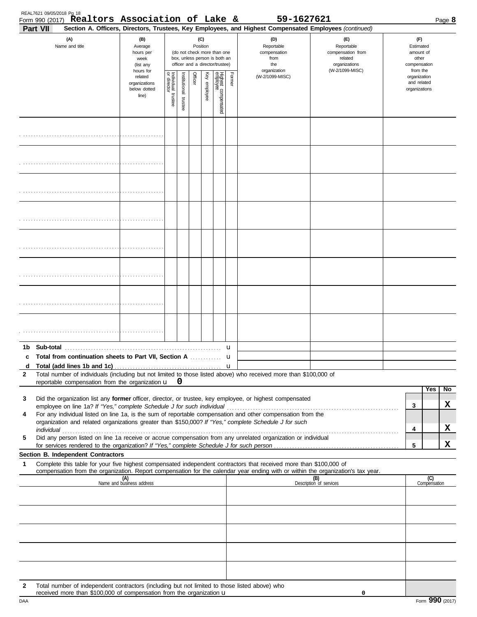| Form 990 (2017) Realtors Association of Lake &<br>Part VII                                                                                                                                                                                                                                                                                 |                                                                |                         |                          |                 |              |                                                                                                 |        | 59-1627621<br>Section A. Officers, Directors, Trustees, Key Employees, and Highest Compensated Employees (continued) |                                                                                       |                                                          | Page 8       |
|--------------------------------------------------------------------------------------------------------------------------------------------------------------------------------------------------------------------------------------------------------------------------------------------------------------------------------------------|----------------------------------------------------------------|-------------------------|--------------------------|-----------------|--------------|-------------------------------------------------------------------------------------------------|--------|----------------------------------------------------------------------------------------------------------------------|---------------------------------------------------------------------------------------|----------------------------------------------------------|--------------|
| (A)<br>Name and title                                                                                                                                                                                                                                                                                                                      | (B)<br>Average<br>hours per<br>week<br>(list any               |                         |                          | (C)<br>Position |              | (do not check more than one<br>box, unless person is both an<br>officer and a director/trustee) |        | (D)<br>Reportable<br>compensation<br>from<br>the                                                                     | (E)<br>Reportable<br>compensation from<br>related<br>organizations<br>(W-2/1099-MISC) | (F)<br>Estimated<br>amount of<br>other<br>compensation   |              |
|                                                                                                                                                                                                                                                                                                                                            | hours for<br>related<br>organizations<br>below dotted<br>line) | Individual 1<br>trustee | Institutional<br>trustee | Officer         | Key employee | Highest compensated<br>employee                                                                 | Former | organization<br>(W-2/1099-MISC)                                                                                      |                                                                                       | from the<br>organization<br>and related<br>organizations |              |
|                                                                                                                                                                                                                                                                                                                                            |                                                                |                         |                          |                 |              |                                                                                                 |        |                                                                                                                      |                                                                                       |                                                          |              |
|                                                                                                                                                                                                                                                                                                                                            |                                                                |                         |                          |                 |              |                                                                                                 |        |                                                                                                                      |                                                                                       |                                                          |              |
|                                                                                                                                                                                                                                                                                                                                            |                                                                |                         |                          |                 |              |                                                                                                 |        |                                                                                                                      |                                                                                       |                                                          |              |
|                                                                                                                                                                                                                                                                                                                                            |                                                                |                         |                          |                 |              |                                                                                                 |        |                                                                                                                      |                                                                                       |                                                          |              |
|                                                                                                                                                                                                                                                                                                                                            |                                                                |                         |                          |                 |              |                                                                                                 |        |                                                                                                                      |                                                                                       |                                                          |              |
|                                                                                                                                                                                                                                                                                                                                            |                                                                |                         |                          |                 |              |                                                                                                 |        |                                                                                                                      |                                                                                       |                                                          |              |
|                                                                                                                                                                                                                                                                                                                                            |                                                                |                         |                          |                 |              |                                                                                                 |        |                                                                                                                      |                                                                                       |                                                          |              |
|                                                                                                                                                                                                                                                                                                                                            |                                                                |                         |                          |                 |              |                                                                                                 |        |                                                                                                                      |                                                                                       |                                                          |              |
| Total from continuation sheets to Part VII, Section A                                                                                                                                                                                                                                                                                      |                                                                |                         |                          |                 |              |                                                                                                 | u      |                                                                                                                      |                                                                                       |                                                          |              |
| d<br>Total number of individuals (including but not limited to those listed above) who received more than \$100,000 of<br>$\mathbf{2}$<br>reportable compensation from the organization $\mathbf{u}$ $\mathbf{0}$                                                                                                                          |                                                                |                         |                          |                 |              |                                                                                                 |        |                                                                                                                      |                                                                                       |                                                          |              |
| Did the organization list any former officer, director, or trustee, key employee, or highest compensated<br>3<br>For any individual listed on line 1a, is the sum of reportable compensation and other compensation from the<br>4<br>organization and related organizations greater than \$150,000? If "Yes," complete Schedule J for such |                                                                |                         |                          |                 |              |                                                                                                 |        |                                                                                                                      |                                                                                       | Yes<br>3<br>4                                            | No<br>x<br>x |
| Did any person listed on line 1a receive or accrue compensation from any unrelated organization or individual<br>5                                                                                                                                                                                                                         |                                                                |                         |                          |                 |              |                                                                                                 |        |                                                                                                                      |                                                                                       | 5                                                        | x            |
| Section B. Independent Contractors<br>Complete this table for your five highest compensated independent contractors that received more than \$100,000 of<br>1                                                                                                                                                                              |                                                                |                         |                          |                 |              |                                                                                                 |        |                                                                                                                      |                                                                                       |                                                          |              |
| compensation from the organization. Report compensation for the calendar year ending with or within the organization's tax year.                                                                                                                                                                                                           | (A)<br>Name and business address                               |                         |                          |                 |              |                                                                                                 |        |                                                                                                                      | (B)<br>Description of services                                                        | (C)<br>Compensation                                      |              |
|                                                                                                                                                                                                                                                                                                                                            |                                                                |                         |                          |                 |              |                                                                                                 |        |                                                                                                                      |                                                                                       |                                                          |              |
|                                                                                                                                                                                                                                                                                                                                            |                                                                |                         |                          |                 |              |                                                                                                 |        |                                                                                                                      |                                                                                       |                                                          |              |
|                                                                                                                                                                                                                                                                                                                                            |                                                                |                         |                          |                 |              |                                                                                                 |        |                                                                                                                      |                                                                                       |                                                          |              |
|                                                                                                                                                                                                                                                                                                                                            |                                                                |                         |                          |                 |              |                                                                                                 |        |                                                                                                                      |                                                                                       |                                                          |              |
| Total number of independent contractors (including but not limited to those listed above) who<br>$\mathbf{2}$                                                                                                                                                                                                                              |                                                                |                         |                          |                 |              |                                                                                                 |        |                                                                                                                      |                                                                                       |                                                          |              |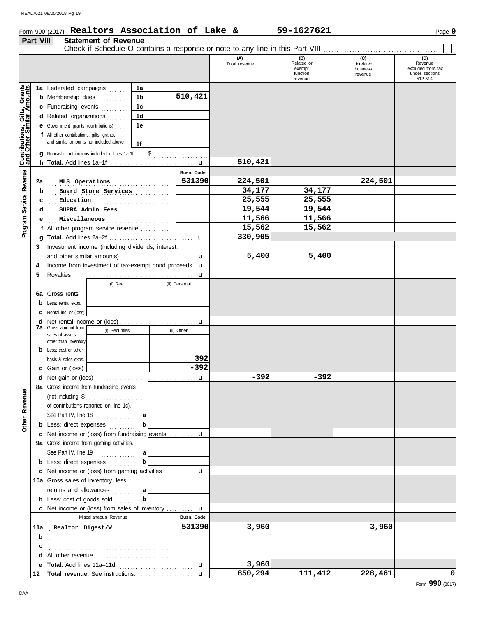# Form 990 (2017) Page **9 Realtors Association of Lake & 59-1627621**

|                                                                  | Part VIII<br><b>Statement of Revenue</b><br>Check if Schedule O contains a response or note to any line in this Part VIII |                                                                                                                                                                                                                                                                                                |                                                                      |   |               |                      |                                         |                                         |                                                       |  |
|------------------------------------------------------------------|---------------------------------------------------------------------------------------------------------------------------|------------------------------------------------------------------------------------------------------------------------------------------------------------------------------------------------------------------------------------------------------------------------------------------------|----------------------------------------------------------------------|---|---------------|----------------------|-----------------------------------------|-----------------------------------------|-------------------------------------------------------|--|
|                                                                  |                                                                                                                           |                                                                                                                                                                                                                                                                                                |                                                                      |   |               | (A)<br>Total revenue | (B)<br>Related or<br>exempt<br>function | (C)<br>Unrelated<br>business<br>revenue | (D)<br>Revenue<br>excluded from tax<br>under sections |  |
| <b>Contributions, Gifts, Grants</b><br>and Other Similar Amounts |                                                                                                                           | 1a Federated campaigns<br><b>b</b> Membership dues<br>c Fundraising events<br>d Related organizations<br><b>e</b> Government grants (contributions)<br>f All other contributions, gifts, grants,<br>and similar amounts not included above<br>g Noncash contributions included in lines 1a-1f: | 1a<br>1 <sub>b</sub><br>1 <sub>c</sub><br>1 <sub>d</sub><br>1e<br>1f |   | 510,421       |                      | revenue                                 |                                         | 512-514                                               |  |
|                                                                  |                                                                                                                           |                                                                                                                                                                                                                                                                                                |                                                                      |   | $\mathbf{u}$  | 510,421              |                                         |                                         |                                                       |  |
| Revenue                                                          |                                                                                                                           |                                                                                                                                                                                                                                                                                                |                                                                      |   | Busn. Code    |                      |                                         |                                         |                                                       |  |
|                                                                  | 2a                                                                                                                        | MLS Operations                                                                                                                                                                                                                                                                                 |                                                                      | . | 531390        | 224,501              |                                         | 224,501                                 |                                                       |  |
|                                                                  | b                                                                                                                         | Board Store Services                                                                                                                                                                                                                                                                           |                                                                      |   |               | 34,177               | 34,177                                  |                                         |                                                       |  |
| Service                                                          | c                                                                                                                         | Education                                                                                                                                                                                                                                                                                      |                                                                      |   |               | 25,555               | 25,555                                  |                                         |                                                       |  |
|                                                                  | d                                                                                                                         | SUPRA Admin Fees                                                                                                                                                                                                                                                                               |                                                                      |   |               | 19,544               | 19,544                                  |                                         |                                                       |  |
|                                                                  | е                                                                                                                         | Miscellaneous                                                                                                                                                                                                                                                                                  |                                                                      |   |               | 11,566               | 11,566                                  |                                         |                                                       |  |
| Program                                                          |                                                                                                                           | f All other program service revenue                                                                                                                                                                                                                                                            |                                                                      |   |               | 15,562               | 15,562                                  |                                         |                                                       |  |
|                                                                  |                                                                                                                           |                                                                                                                                                                                                                                                                                                |                                                                      |   | $\mathbf u$   | 330,905              |                                         |                                         |                                                       |  |
|                                                                  | 3<br>4                                                                                                                    | Investment income (including dividends, interest,<br>and other similar amounts)<br>Income from investment of tax-exempt bond proceeds                                                                                                                                                          |                                                                      |   | $\mathbf u$   | 5,400                | 5,400                                   |                                         |                                                       |  |
|                                                                  |                                                                                                                           |                                                                                                                                                                                                                                                                                                |                                                                      |   | <b>u</b>      |                      |                                         |                                         |                                                       |  |
|                                                                  | 5                                                                                                                         | (i) Real                                                                                                                                                                                                                                                                                       |                                                                      |   | u             |                      |                                         |                                         |                                                       |  |
|                                                                  |                                                                                                                           |                                                                                                                                                                                                                                                                                                |                                                                      |   | (ii) Personal |                      |                                         |                                         |                                                       |  |
|                                                                  |                                                                                                                           | 6a Gross rents                                                                                                                                                                                                                                                                                 |                                                                      |   |               |                      |                                         |                                         |                                                       |  |
|                                                                  |                                                                                                                           | <b>b</b> Less: rental exps.                                                                                                                                                                                                                                                                    |                                                                      |   |               |                      |                                         |                                         |                                                       |  |
|                                                                  |                                                                                                                           | C Rental inc. or (loss)                                                                                                                                                                                                                                                                        |                                                                      |   |               |                      |                                         |                                         |                                                       |  |
|                                                                  |                                                                                                                           |                                                                                                                                                                                                                                                                                                |                                                                      |   | u             |                      |                                         |                                         |                                                       |  |
|                                                                  |                                                                                                                           | <b>7a</b> Gross amount from<br>(i) Securities<br>sales of assets                                                                                                                                                                                                                               |                                                                      |   | (ii) Other    |                      |                                         |                                         |                                                       |  |
|                                                                  |                                                                                                                           | other than inventory                                                                                                                                                                                                                                                                           |                                                                      |   |               |                      |                                         |                                         |                                                       |  |
|                                                                  |                                                                                                                           | <b>b</b> Less: cost or other                                                                                                                                                                                                                                                                   |                                                                      |   |               |                      |                                         |                                         |                                                       |  |
|                                                                  |                                                                                                                           | basis & sales exps.                                                                                                                                                                                                                                                                            |                                                                      |   | 392           |                      |                                         |                                         |                                                       |  |
|                                                                  |                                                                                                                           | c Gain or (loss)                                                                                                                                                                                                                                                                               |                                                                      |   | $-392$        |                      |                                         |                                         |                                                       |  |
|                                                                  |                                                                                                                           |                                                                                                                                                                                                                                                                                                |                                                                      |   | u             | $-392$               | $-392$                                  |                                         |                                                       |  |
|                                                                  |                                                                                                                           | 8a Gross income from fundraising events                                                                                                                                                                                                                                                        |                                                                      |   |               |                      |                                         |                                         |                                                       |  |
| Other Revenue                                                    |                                                                                                                           |                                                                                                                                                                                                                                                                                                |                                                                      |   |               |                      |                                         |                                         |                                                       |  |
|                                                                  |                                                                                                                           | of contributions reported on line 1c).                                                                                                                                                                                                                                                         |                                                                      |   |               |                      |                                         |                                         |                                                       |  |
|                                                                  |                                                                                                                           | See Part IV, line $18$                                                                                                                                                                                                                                                                         | a                                                                    |   |               |                      |                                         |                                         |                                                       |  |
|                                                                  |                                                                                                                           | <b>b</b> Less: direct expenses                                                                                                                                                                                                                                                                 | b                                                                    |   |               |                      |                                         |                                         |                                                       |  |
|                                                                  |                                                                                                                           | c Net income or (loss) from fundraising events  u                                                                                                                                                                                                                                              |                                                                      |   |               |                      |                                         |                                         |                                                       |  |
|                                                                  |                                                                                                                           |                                                                                                                                                                                                                                                                                                |                                                                      |   |               |                      |                                         |                                         |                                                       |  |
|                                                                  |                                                                                                                           | 9a Gross income from gaming activities.                                                                                                                                                                                                                                                        |                                                                      |   |               |                      |                                         |                                         |                                                       |  |
|                                                                  |                                                                                                                           | See Part IV, line $19$                                                                                                                                                                                                                                                                         | al                                                                   |   |               |                      |                                         |                                         |                                                       |  |
|                                                                  |                                                                                                                           | <b>b</b> Less: direct expenses                                                                                                                                                                                                                                                                 | b                                                                    |   |               |                      |                                         |                                         |                                                       |  |
|                                                                  |                                                                                                                           | c Net income or (loss) from gaming activities  u                                                                                                                                                                                                                                               |                                                                      |   |               |                      |                                         |                                         |                                                       |  |
|                                                                  |                                                                                                                           | 10a Gross sales of inventory, less                                                                                                                                                                                                                                                             |                                                                      |   |               |                      |                                         |                                         |                                                       |  |
|                                                                  |                                                                                                                           | returns and allowances                                                                                                                                                                                                                                                                         | а                                                                    |   |               |                      |                                         |                                         |                                                       |  |
|                                                                  |                                                                                                                           | <b>b</b> Less: cost of goods sold $\ldots$                                                                                                                                                                                                                                                     | b                                                                    |   |               |                      |                                         |                                         |                                                       |  |
|                                                                  |                                                                                                                           | c Net income or (loss) from sales of inventory                                                                                                                                                                                                                                                 |                                                                      |   | $\mathbf u$   |                      |                                         |                                         |                                                       |  |
|                                                                  |                                                                                                                           | Miscellaneous Revenue                                                                                                                                                                                                                                                                          |                                                                      |   | Busn. Code    |                      |                                         |                                         |                                                       |  |
|                                                                  |                                                                                                                           | 11a Realtor Digest/W                                                                                                                                                                                                                                                                           |                                                                      |   | 531390        | 3,960                |                                         | 3,960                                   |                                                       |  |
|                                                                  | b                                                                                                                         |                                                                                                                                                                                                                                                                                                |                                                                      |   |               |                      |                                         |                                         |                                                       |  |
|                                                                  | c                                                                                                                         |                                                                                                                                                                                                                                                                                                |                                                                      |   |               |                      |                                         |                                         |                                                       |  |
|                                                                  |                                                                                                                           |                                                                                                                                                                                                                                                                                                |                                                                      |   |               |                      |                                         |                                         |                                                       |  |
|                                                                  |                                                                                                                           |                                                                                                                                                                                                                                                                                                |                                                                      |   | $\mathbf{u}$  | 3,960                |                                         |                                         |                                                       |  |
|                                                                  |                                                                                                                           | 12 Total revenue. See instructions.                                                                                                                                                                                                                                                            |                                                                      |   | $\mathbf{u}$  | 850,294              | 111,412                                 | 228,461                                 | 0                                                     |  |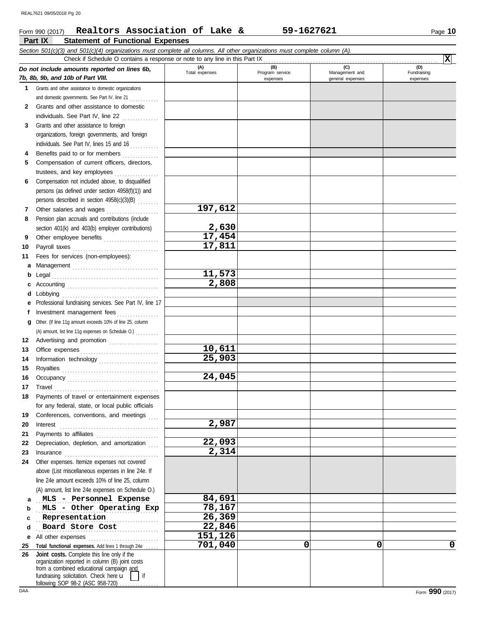### **Part IX Statement of Functional Expenses** Form 990 (2017) Page **10 Realtors Association of Lake & 59-1627621** *Section 501(c)(3) and 501(c)(4) organizations must complete all columns. All other organizations must complete column (A). Do not include amounts reported on lines 6b, 7b, 8b, 9b, and 10b of Part VIII.* **1 2 3 4 5 6 7 8 9 10 11 a** Management . . . . . . . . . . . . . . . . . . . . . . . . . . . . . . . . . **b** Legal **c** Accounting . . . . . . . . . . . . . . . . . . . . . . . . . . . . . . . . . . . **d** Lobbying . . . . . . . . . . . . . . . . . . . . . . . . . . . . . . . . . . . . . **e** Professional fundraising services. See Part IV, line 17 **f g** Other. (If line 11g amount exceeds 10% of line 25, column 12 Advertising and promotion ................... **13 14 15 16 17 18 19 20 21 22** Grants and other assistance to domestic organizations and domestic governments. See Part IV, line 21 . . . . . . . . . . Grants and other assistance to domestic individuals. See Part IV, line 22 . . . . . . . . . . . . . . . Grants and other assistance to foreign organizations, foreign governments, and foreign individuals. See Part IV, lines 15 and 16 . . . . . . . . . . Benefits paid to or for members .............. Compensation of current officers, directors, trustees, and key employees Compensation not included above, to disqualified persons (as defined under section 4958(f)(1)) and persons described in section 4958(c)(3)(B) . . . . . . . . Other salaries and wages .................... Pension plan accruals and contributions (include section 401(k) and 403(b) employer contributions) Other employee benefits ..................... Payroll taxes . . . . . . . . . . . . . . . . . . . . . . . . . . . . . . . . . Fees for services (non-employees): . . . . . . . . . . . . . . . . . . . . . . . . . . . . . . . . . . . . . . . . . Investment management fees ................ Office expenses . . . . . . . . . . . . . . . . . . . . . . . . . . . . . . Information technology . . . . . . . . . . . . . . . . . . . . . . . Royalties . . . . . . . . . . . . . . . . . . . . . . . . . . . . . . . . . . . . . Occupancy . . . . . . . . . . . . . . . . . . . . . . . . . . . . . . . . . . . Travel . . . . . . . . . . . . . . . . . . . . . . . . . . . . . . . . . . . . . . . . Payments of travel or entertainment expenses for any federal, state, or local public officials Conferences, conventions, and meetings Interest . . . . . . . . . . . . . . . . . . . . . . . . . . . . . . . . . . . . . . Payments to affiliates . . . . . . . . . . . . . . . . . . . . . . . . Depreciation, depletion, and amortization **(A) (B) (C) (D)** Total expenses Program service<br>
expenses Program service<br>
expenses Program service<br>  $\frac{1}{2}$ <br>
expenses expenses general expenses (D)<br>Fundraising expenses Check if Schedule O contains a response or note to any line in this Part IX (A) amount, list line 11g expenses on Schedule O.) . . . . . . . . . **197,612 2,630 17,454 17,811 11,573 2,808 10,611 25,903 24,045 2,987 22,093** REAL7621 09/05/2018 Pg 20

**2,314**

MLS - Personnel Expense **84,691 MLS** - Other Operating Exp 28,167

**24** Other expenses. Itemize expenses not covered

Insurance . . . . . . . . . . . . . . . . . . . . . . . . . . . . . . . . . . . .

above (List miscellaneous expenses in line 24e. If line 24e amount exceeds 10% of line 25, column (A) amount, list line 24e expenses on Schedule O.)

**23**

**a b**

**X**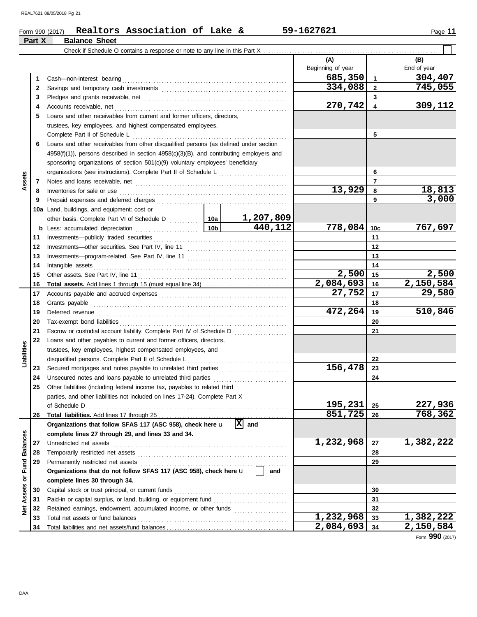## Form 990 (2017) Page **11 Realtors Association of Lake & 59-1627621 Part X Balance Sheet**

|                     |    | Check if Schedule O contains a response or note to any line in this Part X                                            |         |           |                          |              |                    |
|---------------------|----|-----------------------------------------------------------------------------------------------------------------------|---------|-----------|--------------------------|--------------|--------------------|
|                     |    |                                                                                                                       |         |           | (A)<br>Beginning of year |              | (B)<br>End of year |
|                     | 1  |                                                                                                                       |         |           | 685,350                  | 1            | 304,407            |
|                     | 2  |                                                                                                                       |         |           | 334,088                  | $\mathbf{2}$ | 745,055            |
|                     | 3  |                                                                                                                       |         |           |                          | 3            |                    |
|                     | 4  |                                                                                                                       |         |           | 270,742                  | 4            | 309,112            |
|                     | 5  | Loans and other receivables from current and former officers, directors,                                              |         |           |                          |              |                    |
|                     |    | trustees, key employees, and highest compensated employees.                                                           |         |           |                          |              |                    |
|                     |    | Complete Part II of Schedule L                                                                                        |         |           |                          | 5            |                    |
|                     | 6  | Loans and other receivables from other disqualified persons (as defined under section                                 |         |           |                          |              |                    |
|                     |    | $4958(f)(1)$ , persons described in section $4958(c)(3)(B)$ , and contributing employers and                          |         |           |                          |              |                    |
|                     |    | sponsoring organizations of section 501(c)(9) voluntary employees' beneficiary                                        |         |           |                          |              |                    |
|                     |    | organizations (see instructions). Complete Part II of Schedule L                                                      |         |           |                          | 6            |                    |
| Assets              | 7  |                                                                                                                       |         |           |                          | 7            |                    |
|                     | 8  | Inventories for sale or use <i>communically contained as a measure of the contained as a measure of the contained</i> |         |           | 13,929                   | 8            | 18,813             |
|                     | 9  |                                                                                                                       |         |           |                          | 9            | 3,000              |
|                     |    | 10a Land, buildings, and equipment: cost or                                                                           |         |           |                          |              |                    |
|                     |    |                                                                                                                       |         | 1,207,809 |                          |              |                    |
|                     |    |                                                                                                                       |         | 440,112   | 778,084                  | 10c          | 767,697            |
|                     | 11 |                                                                                                                       |         |           |                          | 11           |                    |
|                     | 12 |                                                                                                                       |         |           |                          | 12           |                    |
|                     | 13 |                                                                                                                       |         |           |                          | 13           |                    |
|                     | 14 |                                                                                                                       |         |           |                          | 14           |                    |
|                     | 15 |                                                                                                                       |         |           | 2,500                    | 15           | 2,500              |
|                     | 16 |                                                                                                                       |         |           | 2,084,693                | 16           | 2,150,584          |
|                     | 17 |                                                                                                                       |         |           | 27,752                   | 17           | 29,580             |
|                     | 18 |                                                                                                                       |         |           | 18                       |              |                    |
|                     | 19 |                                                                                                                       |         |           | 472,264                  | 19           | 510,846            |
|                     | 20 |                                                                                                                       |         |           |                          | 20           |                    |
|                     | 21 |                                                                                                                       |         |           |                          | 21           |                    |
|                     | 22 | Loans and other payables to current and former officers, directors,                                                   |         |           |                          |              |                    |
| Liabilities         |    | trustees, key employees, highest compensated employees, and                                                           |         |           |                          |              |                    |
|                     |    | disqualified persons. Complete Part II of Schedule L                                                                  |         |           |                          | 22           |                    |
|                     | 23 |                                                                                                                       |         |           | 156,478                  | 23           |                    |
|                     | 24 |                                                                                                                       |         |           |                          | 24           |                    |
|                     | 25 | Other liabilities (including federal income tax, payables to related third                                            |         |           |                          |              |                    |
|                     |    | parties, and other liabilities not included on lines 17-24). Complete Part X                                          |         |           |                          |              |                    |
|                     |    |                                                                                                                       | 195,231 | 25        | 227,936                  |              |                    |
|                     | 26 |                                                                                                                       |         |           | 851,725                  | 26           | 768,362            |
|                     |    | Organizations that follow SFAS 117 (ASC 958), check here u                                                            |         | $ X $ and |                          |              |                    |
|                     |    | complete lines 27 through 29, and lines 33 and 34.                                                                    |         |           |                          |              |                    |
| <b>Balances</b>     | 27 |                                                                                                                       |         |           | 1,232,968                | 27           | 1,382,222          |
|                     | 28 |                                                                                                                       |         |           |                          | 28           |                    |
| Fund                | 29 | Permanently restricted net assets                                                                                     |         |           |                          | 29           |                    |
|                     |    | Organizations that do not follow SFAS 117 (ASC 958), check here u                                                     |         | and       |                          |              |                    |
| $\overline{\sigma}$ |    | complete lines 30 through 34.                                                                                         |         |           |                          |              |                    |
| Assets              | 30 | Capital stock or trust principal, or current funds                                                                    |         |           |                          | 30           |                    |
|                     | 31 |                                                                                                                       |         |           |                          | 31           |                    |
| ğ                   | 32 | Retained earnings, endowment, accumulated income, or other funds                                                      |         |           |                          | 32           |                    |
|                     | 33 |                                                                                                                       |         |           | 1,232,968                | 33           | 1,382,222          |
|                     | 34 |                                                                                                                       |         |           | 2,084,693                | 34           | 2,150,584          |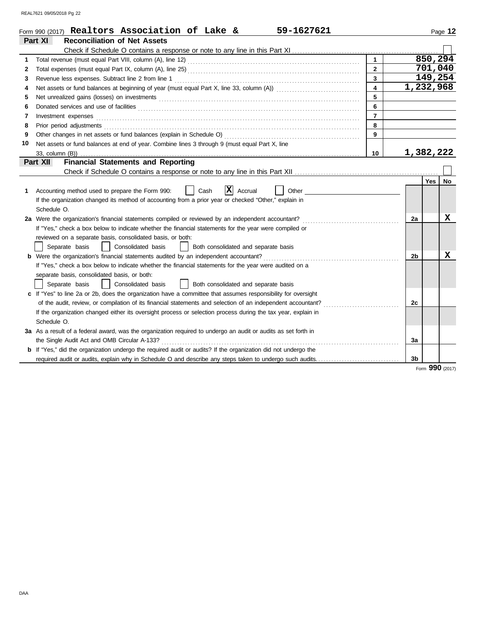|              | 59-1627621<br>Form 990 (2017) Realtors Association of Lake &                                                                                                                                                                   |                         |                | Page 12          |
|--------------|--------------------------------------------------------------------------------------------------------------------------------------------------------------------------------------------------------------------------------|-------------------------|----------------|------------------|
|              | <b>Reconciliation of Net Assets</b><br>Part XI                                                                                                                                                                                 |                         |                |                  |
|              |                                                                                                                                                                                                                                |                         |                |                  |
| 1            |                                                                                                                                                                                                                                | $\mathbf{1}$            |                | 850, 294         |
| $\mathbf{2}$ |                                                                                                                                                                                                                                | $\mathbf{2}$            |                | 701,040          |
| 3            |                                                                                                                                                                                                                                | $\mathbf{3}$            |                | 149,254          |
| 4            |                                                                                                                                                                                                                                | $\overline{\mathbf{4}}$ |                | 1,232,968        |
| 5            |                                                                                                                                                                                                                                | 5                       |                |                  |
| 6            | Donated services and use of facilities <b>constructs</b> and the service of the service of the services and use of facilities                                                                                                  | 6                       |                |                  |
| 7            | Investment expenses <b>constant expenses</b>                                                                                                                                                                                   | $\overline{7}$          |                |                  |
| 8            | Prior period adjustments [11, 12] and the contract of the contract of the contract of the contract of the contract of the contract of the contract of the contract of the contract of the contract of the contract of the cont | 8                       |                |                  |
| 9            |                                                                                                                                                                                                                                | 9                       |                |                  |
| 10           | Net assets or fund balances at end of year. Combine lines 3 through 9 (must equal Part X, line                                                                                                                                 |                         |                |                  |
|              | 33, column (B))                                                                                                                                                                                                                | 10                      |                | 1,382,222        |
|              | <b>Financial Statements and Reporting</b><br><b>Part XII</b>                                                                                                                                                                   |                         |                |                  |
|              |                                                                                                                                                                                                                                |                         |                |                  |
|              |                                                                                                                                                                                                                                |                         |                | <b>Yes</b><br>No |
| 1            | X<br>Other _____<br>Accounting method used to prepare the Form 990:<br>Cash<br>Accrual                                                                                                                                         |                         |                |                  |
|              | If the organization changed its method of accounting from a prior year or checked "Other," explain in                                                                                                                          |                         |                |                  |
|              | Schedule O.                                                                                                                                                                                                                    |                         |                |                  |
|              | 2a Were the organization's financial statements compiled or reviewed by an independent accountant?                                                                                                                             |                         | 2a             | x                |
|              | If "Yes," check a box below to indicate whether the financial statements for the year were compiled or                                                                                                                         |                         |                |                  |
|              | reviewed on a separate basis, consolidated basis, or both:                                                                                                                                                                     |                         |                |                  |
|              | Separate basis<br>Consolidated basis<br>Both consolidated and separate basis                                                                                                                                                   |                         |                |                  |
|              | <b>b</b> Were the organization's financial statements audited by an independent accountant?                                                                                                                                    |                         | 2b             | х                |
|              | If "Yes," check a box below to indicate whether the financial statements for the year were audited on a                                                                                                                        |                         |                |                  |
|              | separate basis, consolidated basis, or both:                                                                                                                                                                                   |                         |                |                  |
|              | Separate basis<br>Consolidated basis<br>Both consolidated and separate basis                                                                                                                                                   |                         |                |                  |
|              | c If "Yes" to line 2a or 2b, does the organization have a committee that assumes responsibility for oversight                                                                                                                  |                         |                |                  |
|              | of the audit, review, or compilation of its financial statements and selection of an independent accountant?                                                                                                                   |                         | 2c             |                  |
|              | If the organization changed either its oversight process or selection process during the tax year, explain in                                                                                                                  |                         |                |                  |
|              | Schedule O.                                                                                                                                                                                                                    |                         |                |                  |
|              | 3a As a result of a federal award, was the organization required to undergo an audit or audits as set forth in                                                                                                                 |                         |                |                  |
|              |                                                                                                                                                                                                                                |                         | 3a             |                  |
|              | <b>b</b> If "Yes," did the organization undergo the required audit or audits? If the organization did not undergo the                                                                                                          |                         |                |                  |
|              |                                                                                                                                                                                                                                |                         | 3 <sub>b</sub> |                  |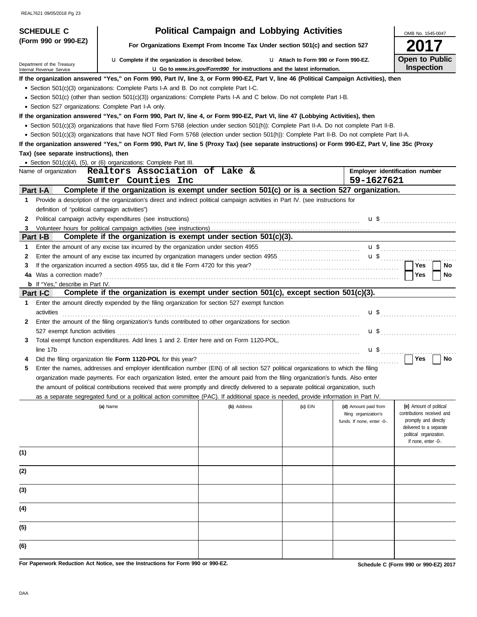| <b>SCHEDULE C</b>                                    |                                                                                                                                                                                                                                | <b>Political Campaign and Lobbying Activities</b>                                      |                                       |                                                     | OMB No. 1545-0047                                                                                                                |
|------------------------------------------------------|--------------------------------------------------------------------------------------------------------------------------------------------------------------------------------------------------------------------------------|----------------------------------------------------------------------------------------|---------------------------------------|-----------------------------------------------------|----------------------------------------------------------------------------------------------------------------------------------|
| (Form 990 or 990-EZ)                                 |                                                                                                                                                                                                                                | For Organizations Exempt From Income Tax Under section 501(c) and section 527          |                                       |                                                     |                                                                                                                                  |
| Department of the Treasury                           | <b>u</b> Complete if the organization is described below.                                                                                                                                                                      |                                                                                        | L1 Attach to Form 990 or Form 990-EZ. |                                                     | Open to Public<br>Inspection                                                                                                     |
| Internal Revenue Service                             |                                                                                                                                                                                                                                | <b>u</b> Go to <i>www.irs.gov/Form990</i> for instructions and the latest information. |                                       |                                                     |                                                                                                                                  |
|                                                      | If the organization answered "Yes," on Form 990, Part IV, line 3, or Form 990-EZ, Part V, line 46 (Political Campaign Activities), then                                                                                        |                                                                                        |                                       |                                                     |                                                                                                                                  |
|                                                      | • Section 501(c)(3) organizations: Complete Parts I-A and B. Do not complete Part I-C.                                                                                                                                         |                                                                                        |                                       |                                                     |                                                                                                                                  |
|                                                      | • Section 501(c) (other than section 501(c)(3)) organizations: Complete Parts I-A and C below. Do not complete Part I-B.                                                                                                       |                                                                                        |                                       |                                                     |                                                                                                                                  |
| • Section 527 organizations: Complete Part I-A only. |                                                                                                                                                                                                                                |                                                                                        |                                       |                                                     |                                                                                                                                  |
|                                                      | If the organization answered "Yes," on Form 990, Part IV, line 4, or Form 990-EZ, Part VI, line 47 (Lobbying Activities), then                                                                                                 |                                                                                        |                                       |                                                     |                                                                                                                                  |
|                                                      | · Section 501(c)(3) organizations that have filed Form 5768 (election under section 501(h)): Complete Part II-A. Do not complete Part II-B.                                                                                    |                                                                                        |                                       |                                                     |                                                                                                                                  |
|                                                      | • Section 501(c)(3) organizations that have NOT filed Form 5768 (election under section 501(h)): Complete Part II-B. Do not complete Part II-A.                                                                                |                                                                                        |                                       |                                                     |                                                                                                                                  |
|                                                      | If the organization answered "Yes," on Form 990, Part IV, line 5 (Proxy Tax) (see separate instructions) or Form 990-EZ, Part V, line 35c (Proxy                                                                               |                                                                                        |                                       |                                                     |                                                                                                                                  |
| Tax) (see separate instructions), then               |                                                                                                                                                                                                                                |                                                                                        |                                       |                                                     |                                                                                                                                  |
|                                                      | • Section 501(c)(4), (5), or (6) organizations: Complete Part III.                                                                                                                                                             |                                                                                        |                                       |                                                     |                                                                                                                                  |
| Name of organization                                 | Realtors Association of Lake &                                                                                                                                                                                                 |                                                                                        |                                       |                                                     | Employer identification number                                                                                                   |
|                                                      | Sumter Counties Inc                                                                                                                                                                                                            |                                                                                        |                                       | 59-1627621                                          |                                                                                                                                  |
| Part I-A                                             | Complete if the organization is exempt under section 501(c) or is a section 527 organization.                                                                                                                                  |                                                                                        |                                       |                                                     |                                                                                                                                  |
| 1                                                    | Provide a description of the organization's direct and indirect political campaign activities in Part IV. (see instructions for                                                                                                |                                                                                        |                                       |                                                     |                                                                                                                                  |
| definition of "political campaign activities")       |                                                                                                                                                                                                                                |                                                                                        |                                       |                                                     |                                                                                                                                  |
| 2                                                    | Political campaign activity expenditures (see instructions) [11] content content content campaign activity expenditures (see instructions) [11] content content content campaign activity expenditures (see instructions) [11] |                                                                                        |                                       |                                                     |                                                                                                                                  |
| 3                                                    |                                                                                                                                                                                                                                |                                                                                        |                                       |                                                     |                                                                                                                                  |
| Part I-B                                             | Complete if the organization is exempt under section 501(c)(3).                                                                                                                                                                |                                                                                        |                                       |                                                     |                                                                                                                                  |
|                                                      |                                                                                                                                                                                                                                |                                                                                        |                                       |                                                     |                                                                                                                                  |
| 1                                                    |                                                                                                                                                                                                                                |                                                                                        |                                       |                                                     |                                                                                                                                  |
| 2                                                    |                                                                                                                                                                                                                                |                                                                                        |                                       |                                                     |                                                                                                                                  |
| 3                                                    |                                                                                                                                                                                                                                |                                                                                        |                                       |                                                     | Yes<br>No                                                                                                                        |
|                                                      |                                                                                                                                                                                                                                |                                                                                        |                                       |                                                     | Yes<br><b>No</b>                                                                                                                 |
| <b>b</b> If "Yes," describe in Part IV.              |                                                                                                                                                                                                                                |                                                                                        |                                       |                                                     |                                                                                                                                  |
| Part I-C                                             | Complete if the organization is exempt under section 501(c), except section 501(c)(3).                                                                                                                                         |                                                                                        |                                       |                                                     |                                                                                                                                  |
| $\mathbf 1$<br>activities                            | Enter the amount directly expended by the filing organization for section 527 exempt function                                                                                                                                  |                                                                                        |                                       |                                                     |                                                                                                                                  |
| 2                                                    | Enter the amount of the filing organization's funds contributed to other organizations for section                                                                                                                             |                                                                                        |                                       |                                                     |                                                                                                                                  |
| 3                                                    | Total exempt function expenditures. Add lines 1 and 2. Enter here and on Form 1120-POL.                                                                                                                                        |                                                                                        |                                       |                                                     |                                                                                                                                  |
|                                                      |                                                                                                                                                                                                                                |                                                                                        |                                       |                                                     |                                                                                                                                  |
|                                                      |                                                                                                                                                                                                                                |                                                                                        |                                       |                                                     | Yes<br>No                                                                                                                        |
| 5                                                    | Enter the names, addresses and employer identification number (EIN) of all section 527 political organizations to which the filing                                                                                             |                                                                                        |                                       |                                                     |                                                                                                                                  |
|                                                      | organization made payments. For each organization listed, enter the amount paid from the filing organization's funds. Also enter                                                                                               |                                                                                        |                                       |                                                     |                                                                                                                                  |
|                                                      | the amount of political contributions received that were promptly and directly delivered to a separate political organization, such                                                                                            |                                                                                        |                                       |                                                     |                                                                                                                                  |
|                                                      | as a separate segregated fund or a political action committee (PAC). If additional space is needed, provide information in Part IV.                                                                                            |                                                                                        |                                       |                                                     |                                                                                                                                  |
|                                                      | (a) Name                                                                                                                                                                                                                       | (b) Address                                                                            | (c) EIN                               | (d) Amount paid from                                | (e) Amount of political                                                                                                          |
|                                                      |                                                                                                                                                                                                                                |                                                                                        |                                       | filing organization's<br>funds. If none, enter -0-. | contributions received and<br>promptly and directly<br>delivered to a separate<br>political organization.<br>If none, enter -0-. |
| (1)                                                  |                                                                                                                                                                                                                                |                                                                                        |                                       |                                                     |                                                                                                                                  |
| (2)                                                  |                                                                                                                                                                                                                                |                                                                                        |                                       |                                                     |                                                                                                                                  |
| (3)                                                  |                                                                                                                                                                                                                                |                                                                                        |                                       |                                                     |                                                                                                                                  |
| (4)                                                  |                                                                                                                                                                                                                                |                                                                                        |                                       |                                                     |                                                                                                                                  |
| (5)                                                  |                                                                                                                                                                                                                                |                                                                                        |                                       |                                                     |                                                                                                                                  |
| (6)                                                  |                                                                                                                                                                                                                                |                                                                                        |                                       |                                                     |                                                                                                                                  |

**For Paperwork Reduction Act Notice, see the Instructions for Form 990 or 990-EZ.**

**Schedule C (Form 990 or 990-EZ) 2017**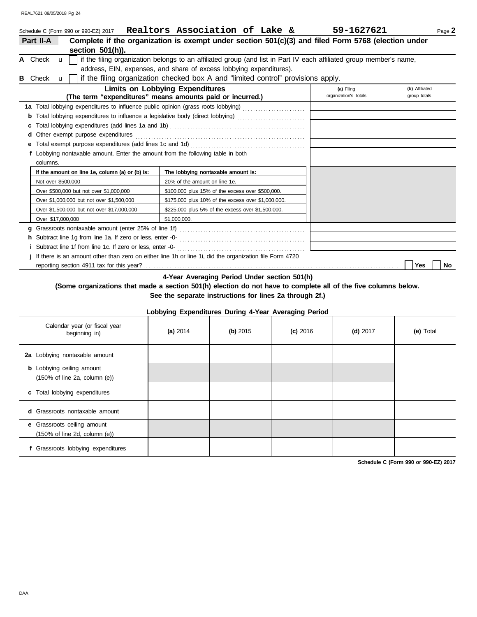|                | Schedule C (Form 990 or 990-EZ) 2017                                            | Realtors Association of Lake &                                                                                      | 59-1627621                          | Page 2                         |
|----------------|---------------------------------------------------------------------------------|---------------------------------------------------------------------------------------------------------------------|-------------------------------------|--------------------------------|
| Part II-A      |                                                                                 | Complete if the organization is exempt under section 501(c)(3) and filed Form 5768 (election under                  |                                     |                                |
|                | section $501(h)$ ).                                                             |                                                                                                                     |                                     |                                |
| A Check        | $\mathbf{u}$                                                                    | if the filing organization belongs to an affiliated group (and list in Part IV each affiliated group member's name, |                                     |                                |
|                |                                                                                 | address, EIN, expenses, and share of excess lobbying expenditures).                                                 |                                     |                                |
| <b>B</b> Check | $\mathbf{u}$                                                                    | if the filing organization checked box A and "limited control" provisions apply.                                    |                                     |                                |
|                |                                                                                 | <b>Limits on Lobbying Expenditures</b><br>(The term "expenditures" means amounts paid or incurred.)                 | (a) Filing<br>organization's totals | (b) Affiliated<br>group totals |
|                |                                                                                 | 1a Total lobbying expenditures to influence public opinion (grass roots lobbying)                                   |                                     |                                |
|                |                                                                                 | Total lobbying expenditures to influence a legislative body (direct lobbying) [[[[[[[[[[[[[[[[[[[[[[[[[[[[[[[       |                                     |                                |
|                |                                                                                 |                                                                                                                     |                                     |                                |
|                |                                                                                 |                                                                                                                     |                                     |                                |
|                |                                                                                 |                                                                                                                     |                                     |                                |
|                | f Lobbying nontaxable amount. Enter the amount from the following table in both |                                                                                                                     |                                     |                                |
| columns.       |                                                                                 |                                                                                                                     |                                     |                                |
|                | If the amount on line 1e, column (a) or (b) is:                                 | The lobbying nontaxable amount is:                                                                                  |                                     |                                |
|                | Not over \$500,000                                                              | 20% of the amount on line 1e.                                                                                       |                                     |                                |
|                | Over \$500,000 but not over \$1,000,000                                         | \$100,000 plus 15% of the excess over \$500,000.                                                                    |                                     |                                |
|                | Over \$1,000,000 but not over \$1,500,000                                       | \$175,000 plus 10% of the excess over \$1,000,000.                                                                  |                                     |                                |
|                | Over \$1,500,000 but not over \$17,000,000                                      | \$225,000 plus 5% of the excess over \$1,500,000.                                                                   |                                     |                                |
|                | Over \$17,000,000                                                               | \$1,000,000.                                                                                                        |                                     |                                |
|                |                                                                                 |                                                                                                                     |                                     |                                |
|                |                                                                                 |                                                                                                                     |                                     |                                |
|                |                                                                                 |                                                                                                                     |                                     |                                |
|                |                                                                                 | j If there is an amount other than zero on either line 1h or line 1i, did the organization file Form 4720           |                                     |                                |
|                |                                                                                 |                                                                                                                     |                                     | No<br><b>Yes</b>               |

**4-Year Averaging Period Under section 501(h)**

**(Some organizations that made a section 501(h) election do not have to complete all of the five columns below. See the separate instructions for lines 2a through 2f.)**

|                                                                                        | Lobbying Expenditures During 4-Year Averaging Period |            |            |            |           |
|----------------------------------------------------------------------------------------|------------------------------------------------------|------------|------------|------------|-----------|
| Calendar year (or fiscal year<br>beginning in)                                         | (a) $2014$                                           | (b) $2015$ | $(c)$ 2016 | $(d)$ 2017 | (e) Total |
| 2a Lobbying nontaxable amount                                                          |                                                      |            |            |            |           |
| <b>b</b> Lobbying ceiling amount<br>$(150\% \text{ of line } 2a, \text{ column } (e))$ |                                                      |            |            |            |           |
| c Total lobbying expenditures                                                          |                                                      |            |            |            |           |
| <b>d</b> Grassroots nontaxable amount                                                  |                                                      |            |            |            |           |
| e Grassroots ceiling amount<br>$(150\% \text{ of line } 2d, \text{ column } (e))$      |                                                      |            |            |            |           |
| f Grassroots lobbying expenditures                                                     |                                                      |            |            |            |           |

**Schedule C (Form 990 or 990-EZ) 2017**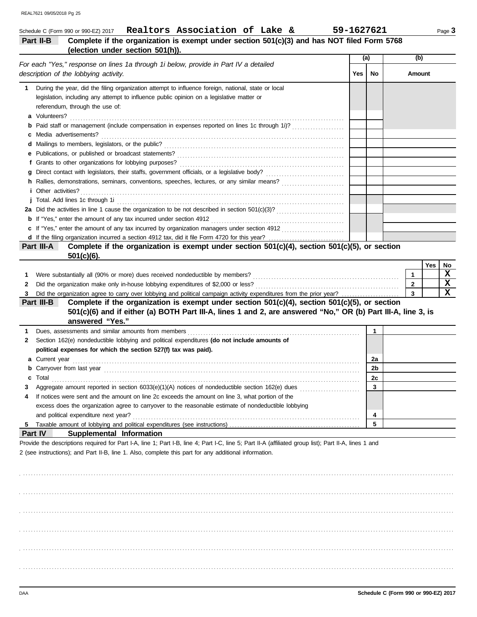| (election under section 501(h)).<br>(a)<br>(b)<br>For each "Yes," response on lines 1a through 1i below, provide in Part IV a detailed<br>description of the lobbying activity.<br><b>Yes</b><br>No<br>Amount<br>During the year, did the filing organization attempt to influence foreign, national, state or local<br>1<br>legislation, including any attempt to influence public opinion on a legislative matter or<br>referendum, through the use of:<br>a Volunteers?<br><b>b</b> Paid staff or management (include compensation in expenses reported on lines 1c through 1i)?<br>c Media advertisements?<br><i>i</i> Other activities?<br>c If "Yes," enter the amount of any tax incurred by organization managers under section 4912<br>Complete if the organization is exempt under section $501(c)(4)$ , section $501(c)(5)$ , or section<br>Part III-A<br>$501(c)(6)$ .<br>Yes<br>$\mathbf{1}$<br>1<br>$\overline{2}$<br>2<br>3<br>Did the organization agree to carry over lobbying and political campaign activity expenditures from the prior year?<br>Complete if the organization is exempt under section $501(c)(4)$ , section $501(c)(5)$ , or section<br>Part III-B<br>501(c)(6) and if either (a) BOTH Part III-A, lines 1 and 2, are answered "No," OR (b) Part III-A, line 3, is<br>answered "Yes."<br>1<br>1<br>Section 162(e) nondeductible lobbying and political expenditures (do not include amounts of<br>2<br>political expenses for which the section 527(f) tax was paid).<br>2a<br>2b<br><b>b</b> Carryover from last year<br>Total<br>2c<br>c<br>3<br>If notices were sent and the amount on line 2c exceeds the amount on line 3, what portion of the<br>excess does the organization agree to carryover to the reasonable estimate of nondeductible lobbying<br>and political expenditure next year?<br>4 | 5 |                                                                                                                                                                                                                                                                |  |    |
|----------------------------------------------------------------------------------------------------------------------------------------------------------------------------------------------------------------------------------------------------------------------------------------------------------------------------------------------------------------------------------------------------------------------------------------------------------------------------------------------------------------------------------------------------------------------------------------------------------------------------------------------------------------------------------------------------------------------------------------------------------------------------------------------------------------------------------------------------------------------------------------------------------------------------------------------------------------------------------------------------------------------------------------------------------------------------------------------------------------------------------------------------------------------------------------------------------------------------------------------------------------------------------------------------------------------------------------------------------------------------------------------------------------------------------------------------------------------------------------------------------------------------------------------------------------------------------------------------------------------------------------------------------------------------------------------------------------------------------------------------------------------------------------------------------------------------------------------|---|----------------------------------------------------------------------------------------------------------------------------------------------------------------------------------------------------------------------------------------------------------------|--|----|
|                                                                                                                                                                                                                                                                                                                                                                                                                                                                                                                                                                                                                                                                                                                                                                                                                                                                                                                                                                                                                                                                                                                                                                                                                                                                                                                                                                                                                                                                                                                                                                                                                                                                                                                                                                                                                                              |   |                                                                                                                                                                                                                                                                |  |    |
|                                                                                                                                                                                                                                                                                                                                                                                                                                                                                                                                                                                                                                                                                                                                                                                                                                                                                                                                                                                                                                                                                                                                                                                                                                                                                                                                                                                                                                                                                                                                                                                                                                                                                                                                                                                                                                              |   |                                                                                                                                                                                                                                                                |  |    |
|                                                                                                                                                                                                                                                                                                                                                                                                                                                                                                                                                                                                                                                                                                                                                                                                                                                                                                                                                                                                                                                                                                                                                                                                                                                                                                                                                                                                                                                                                                                                                                                                                                                                                                                                                                                                                                              |   |                                                                                                                                                                                                                                                                |  |    |
|                                                                                                                                                                                                                                                                                                                                                                                                                                                                                                                                                                                                                                                                                                                                                                                                                                                                                                                                                                                                                                                                                                                                                                                                                                                                                                                                                                                                                                                                                                                                                                                                                                                                                                                                                                                                                                              |   |                                                                                                                                                                                                                                                                |  |    |
|                                                                                                                                                                                                                                                                                                                                                                                                                                                                                                                                                                                                                                                                                                                                                                                                                                                                                                                                                                                                                                                                                                                                                                                                                                                                                                                                                                                                                                                                                                                                                                                                                                                                                                                                                                                                                                              |   |                                                                                                                                                                                                                                                                |  |    |
|                                                                                                                                                                                                                                                                                                                                                                                                                                                                                                                                                                                                                                                                                                                                                                                                                                                                                                                                                                                                                                                                                                                                                                                                                                                                                                                                                                                                                                                                                                                                                                                                                                                                                                                                                                                                                                              |   |                                                                                                                                                                                                                                                                |  |    |
|                                                                                                                                                                                                                                                                                                                                                                                                                                                                                                                                                                                                                                                                                                                                                                                                                                                                                                                                                                                                                                                                                                                                                                                                                                                                                                                                                                                                                                                                                                                                                                                                                                                                                                                                                                                                                                              |   |                                                                                                                                                                                                                                                                |  |    |
|                                                                                                                                                                                                                                                                                                                                                                                                                                                                                                                                                                                                                                                                                                                                                                                                                                                                                                                                                                                                                                                                                                                                                                                                                                                                                                                                                                                                                                                                                                                                                                                                                                                                                                                                                                                                                                              |   |                                                                                                                                                                                                                                                                |  |    |
|                                                                                                                                                                                                                                                                                                                                                                                                                                                                                                                                                                                                                                                                                                                                                                                                                                                                                                                                                                                                                                                                                                                                                                                                                                                                                                                                                                                                                                                                                                                                                                                                                                                                                                                                                                                                                                              |   |                                                                                                                                                                                                                                                                |  |    |
|                                                                                                                                                                                                                                                                                                                                                                                                                                                                                                                                                                                                                                                                                                                                                                                                                                                                                                                                                                                                                                                                                                                                                                                                                                                                                                                                                                                                                                                                                                                                                                                                                                                                                                                                                                                                                                              |   |                                                                                                                                                                                                                                                                |  |    |
|                                                                                                                                                                                                                                                                                                                                                                                                                                                                                                                                                                                                                                                                                                                                                                                                                                                                                                                                                                                                                                                                                                                                                                                                                                                                                                                                                                                                                                                                                                                                                                                                                                                                                                                                                                                                                                              |   |                                                                                                                                                                                                                                                                |  |    |
|                                                                                                                                                                                                                                                                                                                                                                                                                                                                                                                                                                                                                                                                                                                                                                                                                                                                                                                                                                                                                                                                                                                                                                                                                                                                                                                                                                                                                                                                                                                                                                                                                                                                                                                                                                                                                                              |   |                                                                                                                                                                                                                                                                |  |    |
|                                                                                                                                                                                                                                                                                                                                                                                                                                                                                                                                                                                                                                                                                                                                                                                                                                                                                                                                                                                                                                                                                                                                                                                                                                                                                                                                                                                                                                                                                                                                                                                                                                                                                                                                                                                                                                              |   |                                                                                                                                                                                                                                                                |  |    |
|                                                                                                                                                                                                                                                                                                                                                                                                                                                                                                                                                                                                                                                                                                                                                                                                                                                                                                                                                                                                                                                                                                                                                                                                                                                                                                                                                                                                                                                                                                                                                                                                                                                                                                                                                                                                                                              |   |                                                                                                                                                                                                                                                                |  |    |
|                                                                                                                                                                                                                                                                                                                                                                                                                                                                                                                                                                                                                                                                                                                                                                                                                                                                                                                                                                                                                                                                                                                                                                                                                                                                                                                                                                                                                                                                                                                                                                                                                                                                                                                                                                                                                                              |   |                                                                                                                                                                                                                                                                |  |    |
|                                                                                                                                                                                                                                                                                                                                                                                                                                                                                                                                                                                                                                                                                                                                                                                                                                                                                                                                                                                                                                                                                                                                                                                                                                                                                                                                                                                                                                                                                                                                                                                                                                                                                                                                                                                                                                              |   |                                                                                                                                                                                                                                                                |  |    |
|                                                                                                                                                                                                                                                                                                                                                                                                                                                                                                                                                                                                                                                                                                                                                                                                                                                                                                                                                                                                                                                                                                                                                                                                                                                                                                                                                                                                                                                                                                                                                                                                                                                                                                                                                                                                                                              |   |                                                                                                                                                                                                                                                                |  |    |
|                                                                                                                                                                                                                                                                                                                                                                                                                                                                                                                                                                                                                                                                                                                                                                                                                                                                                                                                                                                                                                                                                                                                                                                                                                                                                                                                                                                                                                                                                                                                                                                                                                                                                                                                                                                                                                              |   |                                                                                                                                                                                                                                                                |  |    |
|                                                                                                                                                                                                                                                                                                                                                                                                                                                                                                                                                                                                                                                                                                                                                                                                                                                                                                                                                                                                                                                                                                                                                                                                                                                                                                                                                                                                                                                                                                                                                                                                                                                                                                                                                                                                                                              |   |                                                                                                                                                                                                                                                                |  |    |
|                                                                                                                                                                                                                                                                                                                                                                                                                                                                                                                                                                                                                                                                                                                                                                                                                                                                                                                                                                                                                                                                                                                                                                                                                                                                                                                                                                                                                                                                                                                                                                                                                                                                                                                                                                                                                                              |   |                                                                                                                                                                                                                                                                |  |    |
|                                                                                                                                                                                                                                                                                                                                                                                                                                                                                                                                                                                                                                                                                                                                                                                                                                                                                                                                                                                                                                                                                                                                                                                                                                                                                                                                                                                                                                                                                                                                                                                                                                                                                                                                                                                                                                              |   |                                                                                                                                                                                                                                                                |  | No |
|                                                                                                                                                                                                                                                                                                                                                                                                                                                                                                                                                                                                                                                                                                                                                                                                                                                                                                                                                                                                                                                                                                                                                                                                                                                                                                                                                                                                                                                                                                                                                                                                                                                                                                                                                                                                                                              |   |                                                                                                                                                                                                                                                                |  | x  |
|                                                                                                                                                                                                                                                                                                                                                                                                                                                                                                                                                                                                                                                                                                                                                                                                                                                                                                                                                                                                                                                                                                                                                                                                                                                                                                                                                                                                                                                                                                                                                                                                                                                                                                                                                                                                                                              |   |                                                                                                                                                                                                                                                                |  | x  |
|                                                                                                                                                                                                                                                                                                                                                                                                                                                                                                                                                                                                                                                                                                                                                                                                                                                                                                                                                                                                                                                                                                                                                                                                                                                                                                                                                                                                                                                                                                                                                                                                                                                                                                                                                                                                                                              |   |                                                                                                                                                                                                                                                                |  | x  |
|                                                                                                                                                                                                                                                                                                                                                                                                                                                                                                                                                                                                                                                                                                                                                                                                                                                                                                                                                                                                                                                                                                                                                                                                                                                                                                                                                                                                                                                                                                                                                                                                                                                                                                                                                                                                                                              |   |                                                                                                                                                                                                                                                                |  |    |
|                                                                                                                                                                                                                                                                                                                                                                                                                                                                                                                                                                                                                                                                                                                                                                                                                                                                                                                                                                                                                                                                                                                                                                                                                                                                                                                                                                                                                                                                                                                                                                                                                                                                                                                                                                                                                                              |   |                                                                                                                                                                                                                                                                |  |    |
|                                                                                                                                                                                                                                                                                                                                                                                                                                                                                                                                                                                                                                                                                                                                                                                                                                                                                                                                                                                                                                                                                                                                                                                                                                                                                                                                                                                                                                                                                                                                                                                                                                                                                                                                                                                                                                              |   |                                                                                                                                                                                                                                                                |  |    |
|                                                                                                                                                                                                                                                                                                                                                                                                                                                                                                                                                                                                                                                                                                                                                                                                                                                                                                                                                                                                                                                                                                                                                                                                                                                                                                                                                                                                                                                                                                                                                                                                                                                                                                                                                                                                                                              |   |                                                                                                                                                                                                                                                                |  |    |
|                                                                                                                                                                                                                                                                                                                                                                                                                                                                                                                                                                                                                                                                                                                                                                                                                                                                                                                                                                                                                                                                                                                                                                                                                                                                                                                                                                                                                                                                                                                                                                                                                                                                                                                                                                                                                                              |   |                                                                                                                                                                                                                                                                |  |    |
|                                                                                                                                                                                                                                                                                                                                                                                                                                                                                                                                                                                                                                                                                                                                                                                                                                                                                                                                                                                                                                                                                                                                                                                                                                                                                                                                                                                                                                                                                                                                                                                                                                                                                                                                                                                                                                              |   |                                                                                                                                                                                                                                                                |  |    |
|                                                                                                                                                                                                                                                                                                                                                                                                                                                                                                                                                                                                                                                                                                                                                                                                                                                                                                                                                                                                                                                                                                                                                                                                                                                                                                                                                                                                                                                                                                                                                                                                                                                                                                                                                                                                                                              |   |                                                                                                                                                                                                                                                                |  |    |
|                                                                                                                                                                                                                                                                                                                                                                                                                                                                                                                                                                                                                                                                                                                                                                                                                                                                                                                                                                                                                                                                                                                                                                                                                                                                                                                                                                                                                                                                                                                                                                                                                                                                                                                                                                                                                                              |   |                                                                                                                                                                                                                                                                |  |    |
|                                                                                                                                                                                                                                                                                                                                                                                                                                                                                                                                                                                                                                                                                                                                                                                                                                                                                                                                                                                                                                                                                                                                                                                                                                                                                                                                                                                                                                                                                                                                                                                                                                                                                                                                                                                                                                              |   |                                                                                                                                                                                                                                                                |  |    |
|                                                                                                                                                                                                                                                                                                                                                                                                                                                                                                                                                                                                                                                                                                                                                                                                                                                                                                                                                                                                                                                                                                                                                                                                                                                                                                                                                                                                                                                                                                                                                                                                                                                                                                                                                                                                                                              |   |                                                                                                                                                                                                                                                                |  |    |
|                                                                                                                                                                                                                                                                                                                                                                                                                                                                                                                                                                                                                                                                                                                                                                                                                                                                                                                                                                                                                                                                                                                                                                                                                                                                                                                                                                                                                                                                                                                                                                                                                                                                                                                                                                                                                                              |   |                                                                                                                                                                                                                                                                |  |    |
|                                                                                                                                                                                                                                                                                                                                                                                                                                                                                                                                                                                                                                                                                                                                                                                                                                                                                                                                                                                                                                                                                                                                                                                                                                                                                                                                                                                                                                                                                                                                                                                                                                                                                                                                                                                                                                              |   |                                                                                                                                                                                                                                                                |  |    |
|                                                                                                                                                                                                                                                                                                                                                                                                                                                                                                                                                                                                                                                                                                                                                                                                                                                                                                                                                                                                                                                                                                                                                                                                                                                                                                                                                                                                                                                                                                                                                                                                                                                                                                                                                                                                                                              |   |                                                                                                                                                                                                                                                                |  |    |
|                                                                                                                                                                                                                                                                                                                                                                                                                                                                                                                                                                                                                                                                                                                                                                                                                                                                                                                                                                                                                                                                                                                                                                                                                                                                                                                                                                                                                                                                                                                                                                                                                                                                                                                                                                                                                                              |   |                                                                                                                                                                                                                                                                |  |    |
|                                                                                                                                                                                                                                                                                                                                                                                                                                                                                                                                                                                                                                                                                                                                                                                                                                                                                                                                                                                                                                                                                                                                                                                                                                                                                                                                                                                                                                                                                                                                                                                                                                                                                                                                                                                                                                              |   |                                                                                                                                                                                                                                                                |  |    |
|                                                                                                                                                                                                                                                                                                                                                                                                                                                                                                                                                                                                                                                                                                                                                                                                                                                                                                                                                                                                                                                                                                                                                                                                                                                                                                                                                                                                                                                                                                                                                                                                                                                                                                                                                                                                                                              |   | Provide the descriptions required for Part I-A, line 1; Part I-B, line 4; Part I-C, line 5; Part II-A (affiliated group list); Part II-A, lines 1 and<br>2 (see instructions); and Part II-B, line 1. Also, complete this part for any additional information. |  |    |
| Part IV<br>Supplemental Information                                                                                                                                                                                                                                                                                                                                                                                                                                                                                                                                                                                                                                                                                                                                                                                                                                                                                                                                                                                                                                                                                                                                                                                                                                                                                                                                                                                                                                                                                                                                                                                                                                                                                                                                                                                                          |   |                                                                                                                                                                                                                                                                |  |    |

. . . . . . . . . . . . . . . . . . . . . . . . . . . . . . . . . . . . . . . . . . . . . . . . . . . . . . . . . . . . . . . . . . . . . . . . . . . . . . . . . . . . . . . . . . . . . . . . . . . . . . . . . . . . . . . . . . . . . . . . . . . . . . . . . . . . . . . . . . . . . . . . . . . . . . . . . . . . . . . . . . . . . .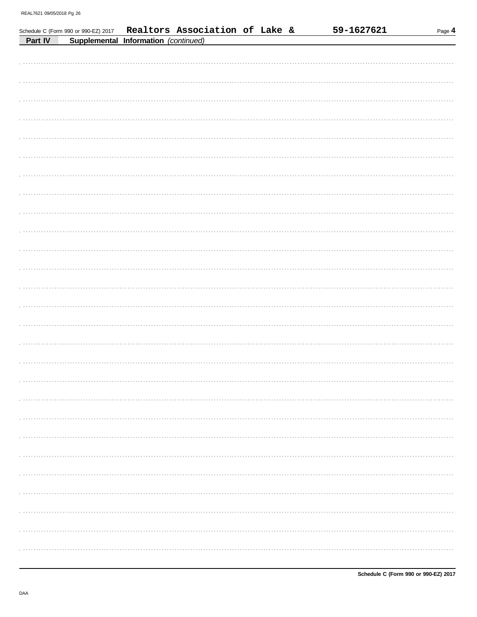|         | Schedule C (Form 990 or 990-EZ) 2017 | Realtors Association of Lake & |  | 59-1627621 | Page 4 |
|---------|--------------------------------------|--------------------------------|--|------------|--------|
| Part IV | Supplemental Information (continued) |                                |  |            |        |
|         |                                      |                                |  |            |        |
|         |                                      |                                |  |            |        |
|         |                                      |                                |  |            |        |
|         |                                      |                                |  |            |        |
|         |                                      |                                |  |            |        |
|         |                                      |                                |  |            |        |
|         |                                      |                                |  |            |        |
|         |                                      |                                |  |            |        |
|         |                                      |                                |  |            |        |
|         |                                      |                                |  |            |        |
|         |                                      |                                |  |            |        |
|         |                                      |                                |  |            |        |
|         |                                      |                                |  |            |        |
|         |                                      |                                |  |            |        |
|         |                                      |                                |  |            |        |
|         |                                      |                                |  |            |        |
|         |                                      |                                |  |            |        |
|         |                                      |                                |  |            |        |
|         |                                      |                                |  |            |        |
|         |                                      |                                |  |            |        |
|         |                                      |                                |  |            |        |
|         |                                      |                                |  |            |        |
|         |                                      |                                |  |            |        |
|         |                                      |                                |  |            |        |
|         |                                      |                                |  |            |        |
|         |                                      |                                |  |            |        |
|         |                                      |                                |  |            |        |
|         |                                      |                                |  |            |        |
|         |                                      |                                |  |            |        |
|         |                                      |                                |  |            |        |
|         |                                      |                                |  |            |        |
|         |                                      |                                |  |            |        |
|         |                                      |                                |  |            |        |
|         |                                      |                                |  |            |        |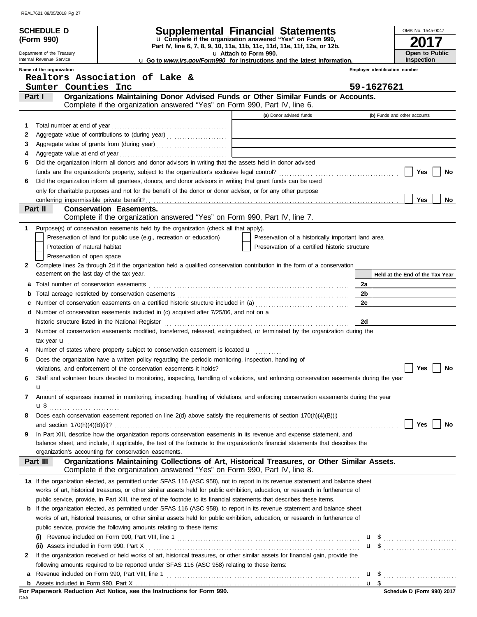| Supplemental Financial Statements<br><b>SCHEDULE D</b><br>OMB No. 1545-0047<br>u Complete if the organization answered "Yes" on Form 990,<br>(Form 990)<br>Part IV, line 6, 7, 8, 9, 10, 11a, 11b, 11c, 11d, 11e, 11f, 12a, or 12b.<br>Open to Public<br>u Attach to Form 990.<br>Department of the Treasury<br>Internal Revenue Service<br>Inspection<br><b>u</b> Go to <i>www.irs.gov/Form990</i> for instructions and the latest information.<br>Name of the organization<br>Employer identification number<br>Realtors Association of Lake &<br>59-1627621<br>Sumter Counties Inc<br>Organizations Maintaining Donor Advised Funds or Other Similar Funds or Accounts.<br>Part I<br>Complete if the organization answered "Yes" on Form 990, Part IV, line 6.<br>(a) Donor advised funds<br>(b) Funds and other accounts<br>1<br>2<br>Aggregate value of grants from (during year)<br>3<br>4<br>Did the organization inform all donors and donor advisors in writing that the assets held in donor advised<br>5<br>Yes<br>No<br>Did the organization inform all grantees, donors, and donor advisors in writing that grant funds can be used<br>6<br>only for charitable purposes and not for the benefit of the donor or donor advisor, or for any other purpose<br>Yes<br>No<br>Part II<br><b>Conservation Easements.</b><br>Complete if the organization answered "Yes" on Form 990, Part IV, line 7.<br>Purpose(s) of conservation easements held by the organization (check all that apply).<br>1<br>Preservation of land for public use (e.g., recreation or education)<br>Preservation of a historically important land area<br>Preservation of a certified historic structure<br>Protection of natural habitat<br>Preservation of open space<br>Complete lines 2a through 2d if the organization held a qualified conservation contribution in the form of a conservation<br>2<br>easement on the last day of the tax year.<br>Held at the End of the Tax Year<br>2a<br>а<br>2b<br>b<br>2c<br>Number of conservation easements on a certified historic structure included in (a) [[[[[[[[[[[[[[[[[[[[[[[[[]]]]]]]<br>c<br>Number of conservation easements included in (c) acquired after 7/25/06, and not on a<br>d<br>2d<br>historic structure listed in the National Register [111] Allen Contains and Allen Contains a structure listed in the National Register [11] Allen Contains a structure of the National Register [11] Allen Contains a structur<br>Number of conservation easements modified, transferred, released, extinguished, or terminated by the organization during the<br>3<br>tax year <b>u</b><br>.<br>Number of states where property subject to conservation easement is located <b>u</b><br>Does the organization have a written policy regarding the periodic monitoring, inspection, handling of<br>5<br>Yes<br>No<br>Staff and volunteer hours devoted to monitoring, inspecting, handling of violations, and enforcing conservation easements during the year<br>6<br>Amount of expenses incurred in monitoring, inspecting, handling of violations, and enforcing conservation easements during the year<br>7<br>Does each conservation easement reported on line $2(d)$ above satisfy the requirements of section $170(h)(4)(B)(i)$<br>8<br>Yes<br>No<br>In Part XIII, describe how the organization reports conservation easements in its revenue and expense statement, and<br>9<br>balance sheet, and include, if applicable, the text of the footnote to the organization's financial statements that describes the<br>organization's accounting for conservation easements.<br>Organizations Maintaining Collections of Art, Historical Treasures, or Other Similar Assets.<br>Part III<br>Complete if the organization answered "Yes" on Form 990, Part IV, line 8.<br>1a If the organization elected, as permitted under SFAS 116 (ASC 958), not to report in its revenue statement and balance sheet<br>works of art, historical treasures, or other similar assets held for public exhibition, education, or research in furtherance of<br>public service, provide, in Part XIII, the text of the footnote to its financial statements that describes these items.<br><b>b</b> If the organization elected, as permitted under SFAS 116 (ASC 958), to report in its revenue statement and balance sheet<br>works of art, historical treasures, or other similar assets held for public exhibition, education, or research in furtherance of<br>public service, provide the following amounts relating to these items:<br><b>u</b> \$<br>(i)<br><b>u</b> \$<br>If the organization received or held works of art, historical treasures, or other similar assets for financial gain, provide the<br>2<br>following amounts required to be reported under SFAS 116 (ASC 958) relating to these items:<br>$\mathbf{u}$ \$<br>a |  |  |  |
|----------------------------------------------------------------------------------------------------------------------------------------------------------------------------------------------------------------------------------------------------------------------------------------------------------------------------------------------------------------------------------------------------------------------------------------------------------------------------------------------------------------------------------------------------------------------------------------------------------------------------------------------------------------------------------------------------------------------------------------------------------------------------------------------------------------------------------------------------------------------------------------------------------------------------------------------------------------------------------------------------------------------------------------------------------------------------------------------------------------------------------------------------------------------------------------------------------------------------------------------------------------------------------------------------------------------------------------------------------------------------------------------------------------------------------------------------------------------------------------------------------------------------------------------------------------------------------------------------------------------------------------------------------------------------------------------------------------------------------------------------------------------------------------------------------------------------------------------------------------------------------------------------------------------------------------------------------------------------------------------------------------------------------------------------------------------------------------------------------------------------------------------------------------------------------------------------------------------------------------------------------------------------------------------------------------------------------------------------------------------------------------------------------------------------------------------------------------------------------------------------------------------------------------------------------------------------------------------------------------------------------------------------------------------------------------------------------------------------------------------------------------------------------------------------------------------------------------------------------------------------------------------------------------------------------------------------------------------------------------------------------------------------------------------------------------------------------------------------------------------------------------------------------------------------------------------------------------------------------------------------------------------------------------------------------------------------------------------------------------------------------------------------------------------------------------------------------------------------------------------------------------------------------------------------------------------------------------------------------------------------------------------------------------------------------------------------------------------------------------------------------------------------------------------------------------------------------------------------------------------------------------------------------------------------------------------------------------------------------------------------------------------------------------------------------------------------------------------------------------------------------------------------------------------------------------------------------------------------------------------------------------------------------------------------------------------------------------------------------------------------------------------------------------------------------------------------------------------------------------------------------------------------------------------------------------------------------------------------------------------------------------------------------------------------------------------------------------------------------------------------------------------------------------------------------------------------------------------------------------------------------|--|--|--|
|                                                                                                                                                                                                                                                                                                                                                                                                                                                                                                                                                                                                                                                                                                                                                                                                                                                                                                                                                                                                                                                                                                                                                                                                                                                                                                                                                                                                                                                                                                                                                                                                                                                                                                                                                                                                                                                                                                                                                                                                                                                                                                                                                                                                                                                                                                                                                                                                                                                                                                                                                                                                                                                                                                                                                                                                                                                                                                                                                                                                                                                                                                                                                                                                                                                                                                                                                                                                                                                                                                                                                                                                                                                                                                                                                                                                                                                                                                                                                                                                                                                                                                                                                                                                                                                                                                                                                                                                                                                                                                                                                                                                                                                                                                                                                                                                                                                                                  |  |  |  |
|                                                                                                                                                                                                                                                                                                                                                                                                                                                                                                                                                                                                                                                                                                                                                                                                                                                                                                                                                                                                                                                                                                                                                                                                                                                                                                                                                                                                                                                                                                                                                                                                                                                                                                                                                                                                                                                                                                                                                                                                                                                                                                                                                                                                                                                                                                                                                                                                                                                                                                                                                                                                                                                                                                                                                                                                                                                                                                                                                                                                                                                                                                                                                                                                                                                                                                                                                                                                                                                                                                                                                                                                                                                                                                                                                                                                                                                                                                                                                                                                                                                                                                                                                                                                                                                                                                                                                                                                                                                                                                                                                                                                                                                                                                                                                                                                                                                                                  |  |  |  |
|                                                                                                                                                                                                                                                                                                                                                                                                                                                                                                                                                                                                                                                                                                                                                                                                                                                                                                                                                                                                                                                                                                                                                                                                                                                                                                                                                                                                                                                                                                                                                                                                                                                                                                                                                                                                                                                                                                                                                                                                                                                                                                                                                                                                                                                                                                                                                                                                                                                                                                                                                                                                                                                                                                                                                                                                                                                                                                                                                                                                                                                                                                                                                                                                                                                                                                                                                                                                                                                                                                                                                                                                                                                                                                                                                                                                                                                                                                                                                                                                                                                                                                                                                                                                                                                                                                                                                                                                                                                                                                                                                                                                                                                                                                                                                                                                                                                                                  |  |  |  |
|                                                                                                                                                                                                                                                                                                                                                                                                                                                                                                                                                                                                                                                                                                                                                                                                                                                                                                                                                                                                                                                                                                                                                                                                                                                                                                                                                                                                                                                                                                                                                                                                                                                                                                                                                                                                                                                                                                                                                                                                                                                                                                                                                                                                                                                                                                                                                                                                                                                                                                                                                                                                                                                                                                                                                                                                                                                                                                                                                                                                                                                                                                                                                                                                                                                                                                                                                                                                                                                                                                                                                                                                                                                                                                                                                                                                                                                                                                                                                                                                                                                                                                                                                                                                                                                                                                                                                                                                                                                                                                                                                                                                                                                                                                                                                                                                                                                                                  |  |  |  |
|                                                                                                                                                                                                                                                                                                                                                                                                                                                                                                                                                                                                                                                                                                                                                                                                                                                                                                                                                                                                                                                                                                                                                                                                                                                                                                                                                                                                                                                                                                                                                                                                                                                                                                                                                                                                                                                                                                                                                                                                                                                                                                                                                                                                                                                                                                                                                                                                                                                                                                                                                                                                                                                                                                                                                                                                                                                                                                                                                                                                                                                                                                                                                                                                                                                                                                                                                                                                                                                                                                                                                                                                                                                                                                                                                                                                                                                                                                                                                                                                                                                                                                                                                                                                                                                                                                                                                                                                                                                                                                                                                                                                                                                                                                                                                                                                                                                                                  |  |  |  |
|                                                                                                                                                                                                                                                                                                                                                                                                                                                                                                                                                                                                                                                                                                                                                                                                                                                                                                                                                                                                                                                                                                                                                                                                                                                                                                                                                                                                                                                                                                                                                                                                                                                                                                                                                                                                                                                                                                                                                                                                                                                                                                                                                                                                                                                                                                                                                                                                                                                                                                                                                                                                                                                                                                                                                                                                                                                                                                                                                                                                                                                                                                                                                                                                                                                                                                                                                                                                                                                                                                                                                                                                                                                                                                                                                                                                                                                                                                                                                                                                                                                                                                                                                                                                                                                                                                                                                                                                                                                                                                                                                                                                                                                                                                                                                                                                                                                                                  |  |  |  |
|                                                                                                                                                                                                                                                                                                                                                                                                                                                                                                                                                                                                                                                                                                                                                                                                                                                                                                                                                                                                                                                                                                                                                                                                                                                                                                                                                                                                                                                                                                                                                                                                                                                                                                                                                                                                                                                                                                                                                                                                                                                                                                                                                                                                                                                                                                                                                                                                                                                                                                                                                                                                                                                                                                                                                                                                                                                                                                                                                                                                                                                                                                                                                                                                                                                                                                                                                                                                                                                                                                                                                                                                                                                                                                                                                                                                                                                                                                                                                                                                                                                                                                                                                                                                                                                                                                                                                                                                                                                                                                                                                                                                                                                                                                                                                                                                                                                                                  |  |  |  |
|                                                                                                                                                                                                                                                                                                                                                                                                                                                                                                                                                                                                                                                                                                                                                                                                                                                                                                                                                                                                                                                                                                                                                                                                                                                                                                                                                                                                                                                                                                                                                                                                                                                                                                                                                                                                                                                                                                                                                                                                                                                                                                                                                                                                                                                                                                                                                                                                                                                                                                                                                                                                                                                                                                                                                                                                                                                                                                                                                                                                                                                                                                                                                                                                                                                                                                                                                                                                                                                                                                                                                                                                                                                                                                                                                                                                                                                                                                                                                                                                                                                                                                                                                                                                                                                                                                                                                                                                                                                                                                                                                                                                                                                                                                                                                                                                                                                                                  |  |  |  |
|                                                                                                                                                                                                                                                                                                                                                                                                                                                                                                                                                                                                                                                                                                                                                                                                                                                                                                                                                                                                                                                                                                                                                                                                                                                                                                                                                                                                                                                                                                                                                                                                                                                                                                                                                                                                                                                                                                                                                                                                                                                                                                                                                                                                                                                                                                                                                                                                                                                                                                                                                                                                                                                                                                                                                                                                                                                                                                                                                                                                                                                                                                                                                                                                                                                                                                                                                                                                                                                                                                                                                                                                                                                                                                                                                                                                                                                                                                                                                                                                                                                                                                                                                                                                                                                                                                                                                                                                                                                                                                                                                                                                                                                                                                                                                                                                                                                                                  |  |  |  |
|                                                                                                                                                                                                                                                                                                                                                                                                                                                                                                                                                                                                                                                                                                                                                                                                                                                                                                                                                                                                                                                                                                                                                                                                                                                                                                                                                                                                                                                                                                                                                                                                                                                                                                                                                                                                                                                                                                                                                                                                                                                                                                                                                                                                                                                                                                                                                                                                                                                                                                                                                                                                                                                                                                                                                                                                                                                                                                                                                                                                                                                                                                                                                                                                                                                                                                                                                                                                                                                                                                                                                                                                                                                                                                                                                                                                                                                                                                                                                                                                                                                                                                                                                                                                                                                                                                                                                                                                                                                                                                                                                                                                                                                                                                                                                                                                                                                                                  |  |  |  |
|                                                                                                                                                                                                                                                                                                                                                                                                                                                                                                                                                                                                                                                                                                                                                                                                                                                                                                                                                                                                                                                                                                                                                                                                                                                                                                                                                                                                                                                                                                                                                                                                                                                                                                                                                                                                                                                                                                                                                                                                                                                                                                                                                                                                                                                                                                                                                                                                                                                                                                                                                                                                                                                                                                                                                                                                                                                                                                                                                                                                                                                                                                                                                                                                                                                                                                                                                                                                                                                                                                                                                                                                                                                                                                                                                                                                                                                                                                                                                                                                                                                                                                                                                                                                                                                                                                                                                                                                                                                                                                                                                                                                                                                                                                                                                                                                                                                                                  |  |  |  |
|                                                                                                                                                                                                                                                                                                                                                                                                                                                                                                                                                                                                                                                                                                                                                                                                                                                                                                                                                                                                                                                                                                                                                                                                                                                                                                                                                                                                                                                                                                                                                                                                                                                                                                                                                                                                                                                                                                                                                                                                                                                                                                                                                                                                                                                                                                                                                                                                                                                                                                                                                                                                                                                                                                                                                                                                                                                                                                                                                                                                                                                                                                                                                                                                                                                                                                                                                                                                                                                                                                                                                                                                                                                                                                                                                                                                                                                                                                                                                                                                                                                                                                                                                                                                                                                                                                                                                                                                                                                                                                                                                                                                                                                                                                                                                                                                                                                                                  |  |  |  |
|                                                                                                                                                                                                                                                                                                                                                                                                                                                                                                                                                                                                                                                                                                                                                                                                                                                                                                                                                                                                                                                                                                                                                                                                                                                                                                                                                                                                                                                                                                                                                                                                                                                                                                                                                                                                                                                                                                                                                                                                                                                                                                                                                                                                                                                                                                                                                                                                                                                                                                                                                                                                                                                                                                                                                                                                                                                                                                                                                                                                                                                                                                                                                                                                                                                                                                                                                                                                                                                                                                                                                                                                                                                                                                                                                                                                                                                                                                                                                                                                                                                                                                                                                                                                                                                                                                                                                                                                                                                                                                                                                                                                                                                                                                                                                                                                                                                                                  |  |  |  |
|                                                                                                                                                                                                                                                                                                                                                                                                                                                                                                                                                                                                                                                                                                                                                                                                                                                                                                                                                                                                                                                                                                                                                                                                                                                                                                                                                                                                                                                                                                                                                                                                                                                                                                                                                                                                                                                                                                                                                                                                                                                                                                                                                                                                                                                                                                                                                                                                                                                                                                                                                                                                                                                                                                                                                                                                                                                                                                                                                                                                                                                                                                                                                                                                                                                                                                                                                                                                                                                                                                                                                                                                                                                                                                                                                                                                                                                                                                                                                                                                                                                                                                                                                                                                                                                                                                                                                                                                                                                                                                                                                                                                                                                                                                                                                                                                                                                                                  |  |  |  |
|                                                                                                                                                                                                                                                                                                                                                                                                                                                                                                                                                                                                                                                                                                                                                                                                                                                                                                                                                                                                                                                                                                                                                                                                                                                                                                                                                                                                                                                                                                                                                                                                                                                                                                                                                                                                                                                                                                                                                                                                                                                                                                                                                                                                                                                                                                                                                                                                                                                                                                                                                                                                                                                                                                                                                                                                                                                                                                                                                                                                                                                                                                                                                                                                                                                                                                                                                                                                                                                                                                                                                                                                                                                                                                                                                                                                                                                                                                                                                                                                                                                                                                                                                                                                                                                                                                                                                                                                                                                                                                                                                                                                                                                                                                                                                                                                                                                                                  |  |  |  |
|                                                                                                                                                                                                                                                                                                                                                                                                                                                                                                                                                                                                                                                                                                                                                                                                                                                                                                                                                                                                                                                                                                                                                                                                                                                                                                                                                                                                                                                                                                                                                                                                                                                                                                                                                                                                                                                                                                                                                                                                                                                                                                                                                                                                                                                                                                                                                                                                                                                                                                                                                                                                                                                                                                                                                                                                                                                                                                                                                                                                                                                                                                                                                                                                                                                                                                                                                                                                                                                                                                                                                                                                                                                                                                                                                                                                                                                                                                                                                                                                                                                                                                                                                                                                                                                                                                                                                                                                                                                                                                                                                                                                                                                                                                                                                                                                                                                                                  |  |  |  |
|                                                                                                                                                                                                                                                                                                                                                                                                                                                                                                                                                                                                                                                                                                                                                                                                                                                                                                                                                                                                                                                                                                                                                                                                                                                                                                                                                                                                                                                                                                                                                                                                                                                                                                                                                                                                                                                                                                                                                                                                                                                                                                                                                                                                                                                                                                                                                                                                                                                                                                                                                                                                                                                                                                                                                                                                                                                                                                                                                                                                                                                                                                                                                                                                                                                                                                                                                                                                                                                                                                                                                                                                                                                                                                                                                                                                                                                                                                                                                                                                                                                                                                                                                                                                                                                                                                                                                                                                                                                                                                                                                                                                                                                                                                                                                                                                                                                                                  |  |  |  |
|                                                                                                                                                                                                                                                                                                                                                                                                                                                                                                                                                                                                                                                                                                                                                                                                                                                                                                                                                                                                                                                                                                                                                                                                                                                                                                                                                                                                                                                                                                                                                                                                                                                                                                                                                                                                                                                                                                                                                                                                                                                                                                                                                                                                                                                                                                                                                                                                                                                                                                                                                                                                                                                                                                                                                                                                                                                                                                                                                                                                                                                                                                                                                                                                                                                                                                                                                                                                                                                                                                                                                                                                                                                                                                                                                                                                                                                                                                                                                                                                                                                                                                                                                                                                                                                                                                                                                                                                                                                                                                                                                                                                                                                                                                                                                                                                                                                                                  |  |  |  |
|                                                                                                                                                                                                                                                                                                                                                                                                                                                                                                                                                                                                                                                                                                                                                                                                                                                                                                                                                                                                                                                                                                                                                                                                                                                                                                                                                                                                                                                                                                                                                                                                                                                                                                                                                                                                                                                                                                                                                                                                                                                                                                                                                                                                                                                                                                                                                                                                                                                                                                                                                                                                                                                                                                                                                                                                                                                                                                                                                                                                                                                                                                                                                                                                                                                                                                                                                                                                                                                                                                                                                                                                                                                                                                                                                                                                                                                                                                                                                                                                                                                                                                                                                                                                                                                                                                                                                                                                                                                                                                                                                                                                                                                                                                                                                                                                                                                                                  |  |  |  |
|                                                                                                                                                                                                                                                                                                                                                                                                                                                                                                                                                                                                                                                                                                                                                                                                                                                                                                                                                                                                                                                                                                                                                                                                                                                                                                                                                                                                                                                                                                                                                                                                                                                                                                                                                                                                                                                                                                                                                                                                                                                                                                                                                                                                                                                                                                                                                                                                                                                                                                                                                                                                                                                                                                                                                                                                                                                                                                                                                                                                                                                                                                                                                                                                                                                                                                                                                                                                                                                                                                                                                                                                                                                                                                                                                                                                                                                                                                                                                                                                                                                                                                                                                                                                                                                                                                                                                                                                                                                                                                                                                                                                                                                                                                                                                                                                                                                                                  |  |  |  |
|                                                                                                                                                                                                                                                                                                                                                                                                                                                                                                                                                                                                                                                                                                                                                                                                                                                                                                                                                                                                                                                                                                                                                                                                                                                                                                                                                                                                                                                                                                                                                                                                                                                                                                                                                                                                                                                                                                                                                                                                                                                                                                                                                                                                                                                                                                                                                                                                                                                                                                                                                                                                                                                                                                                                                                                                                                                                                                                                                                                                                                                                                                                                                                                                                                                                                                                                                                                                                                                                                                                                                                                                                                                                                                                                                                                                                                                                                                                                                                                                                                                                                                                                                                                                                                                                                                                                                                                                                                                                                                                                                                                                                                                                                                                                                                                                                                                                                  |  |  |  |
|                                                                                                                                                                                                                                                                                                                                                                                                                                                                                                                                                                                                                                                                                                                                                                                                                                                                                                                                                                                                                                                                                                                                                                                                                                                                                                                                                                                                                                                                                                                                                                                                                                                                                                                                                                                                                                                                                                                                                                                                                                                                                                                                                                                                                                                                                                                                                                                                                                                                                                                                                                                                                                                                                                                                                                                                                                                                                                                                                                                                                                                                                                                                                                                                                                                                                                                                                                                                                                                                                                                                                                                                                                                                                                                                                                                                                                                                                                                                                                                                                                                                                                                                                                                                                                                                                                                                                                                                                                                                                                                                                                                                                                                                                                                                                                                                                                                                                  |  |  |  |
|                                                                                                                                                                                                                                                                                                                                                                                                                                                                                                                                                                                                                                                                                                                                                                                                                                                                                                                                                                                                                                                                                                                                                                                                                                                                                                                                                                                                                                                                                                                                                                                                                                                                                                                                                                                                                                                                                                                                                                                                                                                                                                                                                                                                                                                                                                                                                                                                                                                                                                                                                                                                                                                                                                                                                                                                                                                                                                                                                                                                                                                                                                                                                                                                                                                                                                                                                                                                                                                                                                                                                                                                                                                                                                                                                                                                                                                                                                                                                                                                                                                                                                                                                                                                                                                                                                                                                                                                                                                                                                                                                                                                                                                                                                                                                                                                                                                                                  |  |  |  |
|                                                                                                                                                                                                                                                                                                                                                                                                                                                                                                                                                                                                                                                                                                                                                                                                                                                                                                                                                                                                                                                                                                                                                                                                                                                                                                                                                                                                                                                                                                                                                                                                                                                                                                                                                                                                                                                                                                                                                                                                                                                                                                                                                                                                                                                                                                                                                                                                                                                                                                                                                                                                                                                                                                                                                                                                                                                                                                                                                                                                                                                                                                                                                                                                                                                                                                                                                                                                                                                                                                                                                                                                                                                                                                                                                                                                                                                                                                                                                                                                                                                                                                                                                                                                                                                                                                                                                                                                                                                                                                                                                                                                                                                                                                                                                                                                                                                                                  |  |  |  |
|                                                                                                                                                                                                                                                                                                                                                                                                                                                                                                                                                                                                                                                                                                                                                                                                                                                                                                                                                                                                                                                                                                                                                                                                                                                                                                                                                                                                                                                                                                                                                                                                                                                                                                                                                                                                                                                                                                                                                                                                                                                                                                                                                                                                                                                                                                                                                                                                                                                                                                                                                                                                                                                                                                                                                                                                                                                                                                                                                                                                                                                                                                                                                                                                                                                                                                                                                                                                                                                                                                                                                                                                                                                                                                                                                                                                                                                                                                                                                                                                                                                                                                                                                                                                                                                                                                                                                                                                                                                                                                                                                                                                                                                                                                                                                                                                                                                                                  |  |  |  |
|                                                                                                                                                                                                                                                                                                                                                                                                                                                                                                                                                                                                                                                                                                                                                                                                                                                                                                                                                                                                                                                                                                                                                                                                                                                                                                                                                                                                                                                                                                                                                                                                                                                                                                                                                                                                                                                                                                                                                                                                                                                                                                                                                                                                                                                                                                                                                                                                                                                                                                                                                                                                                                                                                                                                                                                                                                                                                                                                                                                                                                                                                                                                                                                                                                                                                                                                                                                                                                                                                                                                                                                                                                                                                                                                                                                                                                                                                                                                                                                                                                                                                                                                                                                                                                                                                                                                                                                                                                                                                                                                                                                                                                                                                                                                                                                                                                                                                  |  |  |  |
|                                                                                                                                                                                                                                                                                                                                                                                                                                                                                                                                                                                                                                                                                                                                                                                                                                                                                                                                                                                                                                                                                                                                                                                                                                                                                                                                                                                                                                                                                                                                                                                                                                                                                                                                                                                                                                                                                                                                                                                                                                                                                                                                                                                                                                                                                                                                                                                                                                                                                                                                                                                                                                                                                                                                                                                                                                                                                                                                                                                                                                                                                                                                                                                                                                                                                                                                                                                                                                                                                                                                                                                                                                                                                                                                                                                                                                                                                                                                                                                                                                                                                                                                                                                                                                                                                                                                                                                                                                                                                                                                                                                                                                                                                                                                                                                                                                                                                  |  |  |  |
|                                                                                                                                                                                                                                                                                                                                                                                                                                                                                                                                                                                                                                                                                                                                                                                                                                                                                                                                                                                                                                                                                                                                                                                                                                                                                                                                                                                                                                                                                                                                                                                                                                                                                                                                                                                                                                                                                                                                                                                                                                                                                                                                                                                                                                                                                                                                                                                                                                                                                                                                                                                                                                                                                                                                                                                                                                                                                                                                                                                                                                                                                                                                                                                                                                                                                                                                                                                                                                                                                                                                                                                                                                                                                                                                                                                                                                                                                                                                                                                                                                                                                                                                                                                                                                                                                                                                                                                                                                                                                                                                                                                                                                                                                                                                                                                                                                                                                  |  |  |  |
|                                                                                                                                                                                                                                                                                                                                                                                                                                                                                                                                                                                                                                                                                                                                                                                                                                                                                                                                                                                                                                                                                                                                                                                                                                                                                                                                                                                                                                                                                                                                                                                                                                                                                                                                                                                                                                                                                                                                                                                                                                                                                                                                                                                                                                                                                                                                                                                                                                                                                                                                                                                                                                                                                                                                                                                                                                                                                                                                                                                                                                                                                                                                                                                                                                                                                                                                                                                                                                                                                                                                                                                                                                                                                                                                                                                                                                                                                                                                                                                                                                                                                                                                                                                                                                                                                                                                                                                                                                                                                                                                                                                                                                                                                                                                                                                                                                                                                  |  |  |  |
|                                                                                                                                                                                                                                                                                                                                                                                                                                                                                                                                                                                                                                                                                                                                                                                                                                                                                                                                                                                                                                                                                                                                                                                                                                                                                                                                                                                                                                                                                                                                                                                                                                                                                                                                                                                                                                                                                                                                                                                                                                                                                                                                                                                                                                                                                                                                                                                                                                                                                                                                                                                                                                                                                                                                                                                                                                                                                                                                                                                                                                                                                                                                                                                                                                                                                                                                                                                                                                                                                                                                                                                                                                                                                                                                                                                                                                                                                                                                                                                                                                                                                                                                                                                                                                                                                                                                                                                                                                                                                                                                                                                                                                                                                                                                                                                                                                                                                  |  |  |  |
|                                                                                                                                                                                                                                                                                                                                                                                                                                                                                                                                                                                                                                                                                                                                                                                                                                                                                                                                                                                                                                                                                                                                                                                                                                                                                                                                                                                                                                                                                                                                                                                                                                                                                                                                                                                                                                                                                                                                                                                                                                                                                                                                                                                                                                                                                                                                                                                                                                                                                                                                                                                                                                                                                                                                                                                                                                                                                                                                                                                                                                                                                                                                                                                                                                                                                                                                                                                                                                                                                                                                                                                                                                                                                                                                                                                                                                                                                                                                                                                                                                                                                                                                                                                                                                                                                                                                                                                                                                                                                                                                                                                                                                                                                                                                                                                                                                                                                  |  |  |  |
|                                                                                                                                                                                                                                                                                                                                                                                                                                                                                                                                                                                                                                                                                                                                                                                                                                                                                                                                                                                                                                                                                                                                                                                                                                                                                                                                                                                                                                                                                                                                                                                                                                                                                                                                                                                                                                                                                                                                                                                                                                                                                                                                                                                                                                                                                                                                                                                                                                                                                                                                                                                                                                                                                                                                                                                                                                                                                                                                                                                                                                                                                                                                                                                                                                                                                                                                                                                                                                                                                                                                                                                                                                                                                                                                                                                                                                                                                                                                                                                                                                                                                                                                                                                                                                                                                                                                                                                                                                                                                                                                                                                                                                                                                                                                                                                                                                                                                  |  |  |  |
|                                                                                                                                                                                                                                                                                                                                                                                                                                                                                                                                                                                                                                                                                                                                                                                                                                                                                                                                                                                                                                                                                                                                                                                                                                                                                                                                                                                                                                                                                                                                                                                                                                                                                                                                                                                                                                                                                                                                                                                                                                                                                                                                                                                                                                                                                                                                                                                                                                                                                                                                                                                                                                                                                                                                                                                                                                                                                                                                                                                                                                                                                                                                                                                                                                                                                                                                                                                                                                                                                                                                                                                                                                                                                                                                                                                                                                                                                                                                                                                                                                                                                                                                                                                                                                                                                                                                                                                                                                                                                                                                                                                                                                                                                                                                                                                                                                                                                  |  |  |  |
|                                                                                                                                                                                                                                                                                                                                                                                                                                                                                                                                                                                                                                                                                                                                                                                                                                                                                                                                                                                                                                                                                                                                                                                                                                                                                                                                                                                                                                                                                                                                                                                                                                                                                                                                                                                                                                                                                                                                                                                                                                                                                                                                                                                                                                                                                                                                                                                                                                                                                                                                                                                                                                                                                                                                                                                                                                                                                                                                                                                                                                                                                                                                                                                                                                                                                                                                                                                                                                                                                                                                                                                                                                                                                                                                                                                                                                                                                                                                                                                                                                                                                                                                                                                                                                                                                                                                                                                                                                                                                                                                                                                                                                                                                                                                                                                                                                                                                  |  |  |  |
|                                                                                                                                                                                                                                                                                                                                                                                                                                                                                                                                                                                                                                                                                                                                                                                                                                                                                                                                                                                                                                                                                                                                                                                                                                                                                                                                                                                                                                                                                                                                                                                                                                                                                                                                                                                                                                                                                                                                                                                                                                                                                                                                                                                                                                                                                                                                                                                                                                                                                                                                                                                                                                                                                                                                                                                                                                                                                                                                                                                                                                                                                                                                                                                                                                                                                                                                                                                                                                                                                                                                                                                                                                                                                                                                                                                                                                                                                                                                                                                                                                                                                                                                                                                                                                                                                                                                                                                                                                                                                                                                                                                                                                                                                                                                                                                                                                                                                  |  |  |  |
|                                                                                                                                                                                                                                                                                                                                                                                                                                                                                                                                                                                                                                                                                                                                                                                                                                                                                                                                                                                                                                                                                                                                                                                                                                                                                                                                                                                                                                                                                                                                                                                                                                                                                                                                                                                                                                                                                                                                                                                                                                                                                                                                                                                                                                                                                                                                                                                                                                                                                                                                                                                                                                                                                                                                                                                                                                                                                                                                                                                                                                                                                                                                                                                                                                                                                                                                                                                                                                                                                                                                                                                                                                                                                                                                                                                                                                                                                                                                                                                                                                                                                                                                                                                                                                                                                                                                                                                                                                                                                                                                                                                                                                                                                                                                                                                                                                                                                  |  |  |  |
|                                                                                                                                                                                                                                                                                                                                                                                                                                                                                                                                                                                                                                                                                                                                                                                                                                                                                                                                                                                                                                                                                                                                                                                                                                                                                                                                                                                                                                                                                                                                                                                                                                                                                                                                                                                                                                                                                                                                                                                                                                                                                                                                                                                                                                                                                                                                                                                                                                                                                                                                                                                                                                                                                                                                                                                                                                                                                                                                                                                                                                                                                                                                                                                                                                                                                                                                                                                                                                                                                                                                                                                                                                                                                                                                                                                                                                                                                                                                                                                                                                                                                                                                                                                                                                                                                                                                                                                                                                                                                                                                                                                                                                                                                                                                                                                                                                                                                  |  |  |  |
|                                                                                                                                                                                                                                                                                                                                                                                                                                                                                                                                                                                                                                                                                                                                                                                                                                                                                                                                                                                                                                                                                                                                                                                                                                                                                                                                                                                                                                                                                                                                                                                                                                                                                                                                                                                                                                                                                                                                                                                                                                                                                                                                                                                                                                                                                                                                                                                                                                                                                                                                                                                                                                                                                                                                                                                                                                                                                                                                                                                                                                                                                                                                                                                                                                                                                                                                                                                                                                                                                                                                                                                                                                                                                                                                                                                                                                                                                                                                                                                                                                                                                                                                                                                                                                                                                                                                                                                                                                                                                                                                                                                                                                                                                                                                                                                                                                                                                  |  |  |  |
|                                                                                                                                                                                                                                                                                                                                                                                                                                                                                                                                                                                                                                                                                                                                                                                                                                                                                                                                                                                                                                                                                                                                                                                                                                                                                                                                                                                                                                                                                                                                                                                                                                                                                                                                                                                                                                                                                                                                                                                                                                                                                                                                                                                                                                                                                                                                                                                                                                                                                                                                                                                                                                                                                                                                                                                                                                                                                                                                                                                                                                                                                                                                                                                                                                                                                                                                                                                                                                                                                                                                                                                                                                                                                                                                                                                                                                                                                                                                                                                                                                                                                                                                                                                                                                                                                                                                                                                                                                                                                                                                                                                                                                                                                                                                                                                                                                                                                  |  |  |  |
|                                                                                                                                                                                                                                                                                                                                                                                                                                                                                                                                                                                                                                                                                                                                                                                                                                                                                                                                                                                                                                                                                                                                                                                                                                                                                                                                                                                                                                                                                                                                                                                                                                                                                                                                                                                                                                                                                                                                                                                                                                                                                                                                                                                                                                                                                                                                                                                                                                                                                                                                                                                                                                                                                                                                                                                                                                                                                                                                                                                                                                                                                                                                                                                                                                                                                                                                                                                                                                                                                                                                                                                                                                                                                                                                                                                                                                                                                                                                                                                                                                                                                                                                                                                                                                                                                                                                                                                                                                                                                                                                                                                                                                                                                                                                                                                                                                                                                  |  |  |  |
|                                                                                                                                                                                                                                                                                                                                                                                                                                                                                                                                                                                                                                                                                                                                                                                                                                                                                                                                                                                                                                                                                                                                                                                                                                                                                                                                                                                                                                                                                                                                                                                                                                                                                                                                                                                                                                                                                                                                                                                                                                                                                                                                                                                                                                                                                                                                                                                                                                                                                                                                                                                                                                                                                                                                                                                                                                                                                                                                                                                                                                                                                                                                                                                                                                                                                                                                                                                                                                                                                                                                                                                                                                                                                                                                                                                                                                                                                                                                                                                                                                                                                                                                                                                                                                                                                                                                                                                                                                                                                                                                                                                                                                                                                                                                                                                                                                                                                  |  |  |  |
|                                                                                                                                                                                                                                                                                                                                                                                                                                                                                                                                                                                                                                                                                                                                                                                                                                                                                                                                                                                                                                                                                                                                                                                                                                                                                                                                                                                                                                                                                                                                                                                                                                                                                                                                                                                                                                                                                                                                                                                                                                                                                                                                                                                                                                                                                                                                                                                                                                                                                                                                                                                                                                                                                                                                                                                                                                                                                                                                                                                                                                                                                                                                                                                                                                                                                                                                                                                                                                                                                                                                                                                                                                                                                                                                                                                                                                                                                                                                                                                                                                                                                                                                                                                                                                                                                                                                                                                                                                                                                                                                                                                                                                                                                                                                                                                                                                                                                  |  |  |  |
|                                                                                                                                                                                                                                                                                                                                                                                                                                                                                                                                                                                                                                                                                                                                                                                                                                                                                                                                                                                                                                                                                                                                                                                                                                                                                                                                                                                                                                                                                                                                                                                                                                                                                                                                                                                                                                                                                                                                                                                                                                                                                                                                                                                                                                                                                                                                                                                                                                                                                                                                                                                                                                                                                                                                                                                                                                                                                                                                                                                                                                                                                                                                                                                                                                                                                                                                                                                                                                                                                                                                                                                                                                                                                                                                                                                                                                                                                                                                                                                                                                                                                                                                                                                                                                                                                                                                                                                                                                                                                                                                                                                                                                                                                                                                                                                                                                                                                  |  |  |  |
|                                                                                                                                                                                                                                                                                                                                                                                                                                                                                                                                                                                                                                                                                                                                                                                                                                                                                                                                                                                                                                                                                                                                                                                                                                                                                                                                                                                                                                                                                                                                                                                                                                                                                                                                                                                                                                                                                                                                                                                                                                                                                                                                                                                                                                                                                                                                                                                                                                                                                                                                                                                                                                                                                                                                                                                                                                                                                                                                                                                                                                                                                                                                                                                                                                                                                                                                                                                                                                                                                                                                                                                                                                                                                                                                                                                                                                                                                                                                                                                                                                                                                                                                                                                                                                                                                                                                                                                                                                                                                                                                                                                                                                                                                                                                                                                                                                                                                  |  |  |  |
|                                                                                                                                                                                                                                                                                                                                                                                                                                                                                                                                                                                                                                                                                                                                                                                                                                                                                                                                                                                                                                                                                                                                                                                                                                                                                                                                                                                                                                                                                                                                                                                                                                                                                                                                                                                                                                                                                                                                                                                                                                                                                                                                                                                                                                                                                                                                                                                                                                                                                                                                                                                                                                                                                                                                                                                                                                                                                                                                                                                                                                                                                                                                                                                                                                                                                                                                                                                                                                                                                                                                                                                                                                                                                                                                                                                                                                                                                                                                                                                                                                                                                                                                                                                                                                                                                                                                                                                                                                                                                                                                                                                                                                                                                                                                                                                                                                                                                  |  |  |  |
|                                                                                                                                                                                                                                                                                                                                                                                                                                                                                                                                                                                                                                                                                                                                                                                                                                                                                                                                                                                                                                                                                                                                                                                                                                                                                                                                                                                                                                                                                                                                                                                                                                                                                                                                                                                                                                                                                                                                                                                                                                                                                                                                                                                                                                                                                                                                                                                                                                                                                                                                                                                                                                                                                                                                                                                                                                                                                                                                                                                                                                                                                                                                                                                                                                                                                                                                                                                                                                                                                                                                                                                                                                                                                                                                                                                                                                                                                                                                                                                                                                                                                                                                                                                                                                                                                                                                                                                                                                                                                                                                                                                                                                                                                                                                                                                                                                                                                  |  |  |  |
|                                                                                                                                                                                                                                                                                                                                                                                                                                                                                                                                                                                                                                                                                                                                                                                                                                                                                                                                                                                                                                                                                                                                                                                                                                                                                                                                                                                                                                                                                                                                                                                                                                                                                                                                                                                                                                                                                                                                                                                                                                                                                                                                                                                                                                                                                                                                                                                                                                                                                                                                                                                                                                                                                                                                                                                                                                                                                                                                                                                                                                                                                                                                                                                                                                                                                                                                                                                                                                                                                                                                                                                                                                                                                                                                                                                                                                                                                                                                                                                                                                                                                                                                                                                                                                                                                                                                                                                                                                                                                                                                                                                                                                                                                                                                                                                                                                                                                  |  |  |  |
|                                                                                                                                                                                                                                                                                                                                                                                                                                                                                                                                                                                                                                                                                                                                                                                                                                                                                                                                                                                                                                                                                                                                                                                                                                                                                                                                                                                                                                                                                                                                                                                                                                                                                                                                                                                                                                                                                                                                                                                                                                                                                                                                                                                                                                                                                                                                                                                                                                                                                                                                                                                                                                                                                                                                                                                                                                                                                                                                                                                                                                                                                                                                                                                                                                                                                                                                                                                                                                                                                                                                                                                                                                                                                                                                                                                                                                                                                                                                                                                                                                                                                                                                                                                                                                                                                                                                                                                                                                                                                                                                                                                                                                                                                                                                                                                                                                                                                  |  |  |  |
|                                                                                                                                                                                                                                                                                                                                                                                                                                                                                                                                                                                                                                                                                                                                                                                                                                                                                                                                                                                                                                                                                                                                                                                                                                                                                                                                                                                                                                                                                                                                                                                                                                                                                                                                                                                                                                                                                                                                                                                                                                                                                                                                                                                                                                                                                                                                                                                                                                                                                                                                                                                                                                                                                                                                                                                                                                                                                                                                                                                                                                                                                                                                                                                                                                                                                                                                                                                                                                                                                                                                                                                                                                                                                                                                                                                                                                                                                                                                                                                                                                                                                                                                                                                                                                                                                                                                                                                                                                                                                                                                                                                                                                                                                                                                                                                                                                                                                  |  |  |  |
|                                                                                                                                                                                                                                                                                                                                                                                                                                                                                                                                                                                                                                                                                                                                                                                                                                                                                                                                                                                                                                                                                                                                                                                                                                                                                                                                                                                                                                                                                                                                                                                                                                                                                                                                                                                                                                                                                                                                                                                                                                                                                                                                                                                                                                                                                                                                                                                                                                                                                                                                                                                                                                                                                                                                                                                                                                                                                                                                                                                                                                                                                                                                                                                                                                                                                                                                                                                                                                                                                                                                                                                                                                                                                                                                                                                                                                                                                                                                                                                                                                                                                                                                                                                                                                                                                                                                                                                                                                                                                                                                                                                                                                                                                                                                                                                                                                                                                  |  |  |  |
|                                                                                                                                                                                                                                                                                                                                                                                                                                                                                                                                                                                                                                                                                                                                                                                                                                                                                                                                                                                                                                                                                                                                                                                                                                                                                                                                                                                                                                                                                                                                                                                                                                                                                                                                                                                                                                                                                                                                                                                                                                                                                                                                                                                                                                                                                                                                                                                                                                                                                                                                                                                                                                                                                                                                                                                                                                                                                                                                                                                                                                                                                                                                                                                                                                                                                                                                                                                                                                                                                                                                                                                                                                                                                                                                                                                                                                                                                                                                                                                                                                                                                                                                                                                                                                                                                                                                                                                                                                                                                                                                                                                                                                                                                                                                                                                                                                                                                  |  |  |  |
|                                                                                                                                                                                                                                                                                                                                                                                                                                                                                                                                                                                                                                                                                                                                                                                                                                                                                                                                                                                                                                                                                                                                                                                                                                                                                                                                                                                                                                                                                                                                                                                                                                                                                                                                                                                                                                                                                                                                                                                                                                                                                                                                                                                                                                                                                                                                                                                                                                                                                                                                                                                                                                                                                                                                                                                                                                                                                                                                                                                                                                                                                                                                                                                                                                                                                                                                                                                                                                                                                                                                                                                                                                                                                                                                                                                                                                                                                                                                                                                                                                                                                                                                                                                                                                                                                                                                                                                                                                                                                                                                                                                                                                                                                                                                                                                                                                                                                  |  |  |  |
|                                                                                                                                                                                                                                                                                                                                                                                                                                                                                                                                                                                                                                                                                                                                                                                                                                                                                                                                                                                                                                                                                                                                                                                                                                                                                                                                                                                                                                                                                                                                                                                                                                                                                                                                                                                                                                                                                                                                                                                                                                                                                                                                                                                                                                                                                                                                                                                                                                                                                                                                                                                                                                                                                                                                                                                                                                                                                                                                                                                                                                                                                                                                                                                                                                                                                                                                                                                                                                                                                                                                                                                                                                                                                                                                                                                                                                                                                                                                                                                                                                                                                                                                                                                                                                                                                                                                                                                                                                                                                                                                                                                                                                                                                                                                                                                                                                                                                  |  |  |  |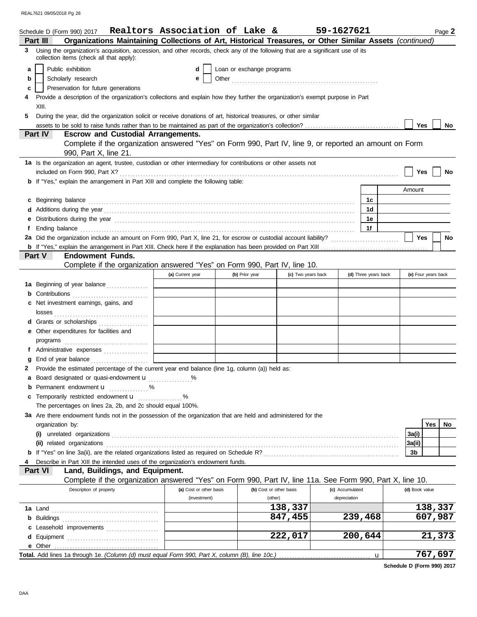|   | Schedule D (Form 990) 2017                                                                                                                                                                                                           | Realtors Association of Lake & |                           |                         | 59-1627621      |                      |                |                     | Page 2    |
|---|--------------------------------------------------------------------------------------------------------------------------------------------------------------------------------------------------------------------------------------|--------------------------------|---------------------------|-------------------------|-----------------|----------------------|----------------|---------------------|-----------|
|   | Organizations Maintaining Collections of Art, Historical Treasures, or Other Similar Assets (continued)<br>Part III                                                                                                                  |                                |                           |                         |                 |                      |                |                     |           |
| 3 | Using the organization's acquisition, accession, and other records, check any of the following that are a significant use of its<br>collection items (check all that apply):                                                         |                                |                           |                         |                 |                      |                |                     |           |
| a | Public exhibition                                                                                                                                                                                                                    | d                              | Loan or exchange programs |                         |                 |                      |                |                     |           |
| b | Scholarly research                                                                                                                                                                                                                   | е                              |                           |                         |                 |                      |                |                     |           |
|   | Preservation for future generations                                                                                                                                                                                                  |                                |                           |                         |                 |                      |                |                     |           |
| c |                                                                                                                                                                                                                                      |                                |                           |                         |                 |                      |                |                     |           |
|   | Provide a description of the organization's collections and explain how they further the organization's exempt purpose in Part                                                                                                       |                                |                           |                         |                 |                      |                |                     |           |
|   | XIII.                                                                                                                                                                                                                                |                                |                           |                         |                 |                      |                |                     |           |
| 5 | During the year, did the organization solicit or receive donations of art, historical treasures, or other similar                                                                                                                    |                                |                           |                         |                 |                      |                |                     |           |
|   |                                                                                                                                                                                                                                      |                                |                           |                         |                 |                      | Yes            |                     | No        |
|   | Part IV<br><b>Escrow and Custodial Arrangements.</b>                                                                                                                                                                                 |                                |                           |                         |                 |                      |                |                     |           |
|   | Complete if the organization answered "Yes" on Form 990, Part IV, line 9, or reported an amount on Form<br>990, Part X, line 21.                                                                                                     |                                |                           |                         |                 |                      |                |                     |           |
|   | 1a Is the organization an agent, trustee, custodian or other intermediary for contributions or other assets not                                                                                                                      |                                |                           |                         |                 |                      |                |                     |           |
|   |                                                                                                                                                                                                                                      |                                |                           |                         |                 |                      | Yes            |                     | No        |
|   | <b>b</b> If "Yes," explain the arrangement in Part XIII and complete the following table:                                                                                                                                            |                                |                           |                         |                 |                      |                |                     |           |
|   |                                                                                                                                                                                                                                      |                                |                           |                         |                 |                      | Amount         |                     |           |
| C |                                                                                                                                                                                                                                      |                                |                           |                         |                 | 1c                   |                |                     |           |
|   |                                                                                                                                                                                                                                      |                                |                           |                         |                 | 1d                   |                |                     |           |
| е | Distributions during the year manufactured and contact the year manufactured and the year manufactured and all                                                                                                                       |                                |                           |                         |                 | 1e                   |                |                     |           |
|   | Ending balance <i>with the continuum continuum continuum continuum continuum continuum continuum continuum continuum continuum continuum continuum continuum continuum continuum continuum continuum continuum continuum continu</i> |                                |                           |                         |                 | 1f                   |                |                     |           |
|   | 2a Did the organization include an amount on Form 990, Part X, line 21, for escrow or custodial account liability?                                                                                                                   |                                |                           |                         |                 |                      | <b>Yes</b>     |                     | <b>No</b> |
|   |                                                                                                                                                                                                                                      |                                |                           |                         |                 |                      |                |                     |           |
|   | <b>Endowment Funds.</b><br><b>Part V</b>                                                                                                                                                                                             |                                |                           |                         |                 |                      |                |                     |           |
|   | Complete if the organization answered "Yes" on Form 990, Part IV, line 10.                                                                                                                                                           |                                |                           |                         |                 |                      |                |                     |           |
|   |                                                                                                                                                                                                                                      | (a) Current year               | (b) Prior year            | (c) Two years back      |                 | (d) Three years back |                | (e) Four years back |           |
|   | 1a Beginning of year balance                                                                                                                                                                                                         |                                |                           |                         |                 |                      |                |                     |           |
|   | <b>b</b> Contributions                                                                                                                                                                                                               |                                |                           |                         |                 |                      |                |                     |           |
|   |                                                                                                                                                                                                                                      |                                |                           |                         |                 |                      |                |                     |           |
|   | c Net investment earnings, gains, and                                                                                                                                                                                                |                                |                           |                         |                 |                      |                |                     |           |
|   |                                                                                                                                                                                                                                      |                                |                           |                         |                 |                      |                |                     |           |
|   | d Grants or scholarships                                                                                                                                                                                                             |                                |                           |                         |                 |                      |                |                     |           |
|   | e Other expenditures for facilities and                                                                                                                                                                                              |                                |                           |                         |                 |                      |                |                     |           |
|   | $\mathsf{programs}$ [ $\ldots$ $\ldots$ $\ldots$ $\ldots$ $\ldots$ $\ldots$ $\ldots$ $\ldots$ $\ldots$ $\ldots$ $\ldots$ $\ldots$ $\ldots$ $\ldots$ $\ldots$ $\ldots$                                                                |                                |                           |                         |                 |                      |                |                     |           |
|   | f Administrative expenses [111] [11] Administrative expenses                                                                                                                                                                         |                                |                           |                         |                 |                      |                |                     |           |
|   | End of year balance <i>[[[[[[[[[[[[[[[[[[[[[[[[[[[]]]]</i>                                                                                                                                                                           |                                |                           |                         |                 |                      |                |                     |           |
|   | 2 Provide the estimated percentage of the current year end balance (line 1g, column (a)) held as:                                                                                                                                    |                                |                           |                         |                 |                      |                |                     |           |
|   | a Board designated or quasi-endowment <b>u</b> 2001 %                                                                                                                                                                                |                                |                           |                         |                 |                      |                |                     |           |
| b | Permanent endowment <b>u</b> %                                                                                                                                                                                                       |                                |                           |                         |                 |                      |                |                     |           |
| c |                                                                                                                                                                                                                                      | %                              |                           |                         |                 |                      |                |                     |           |
|   | The percentages on lines 2a, 2b, and 2c should equal 100%.                                                                                                                                                                           |                                |                           |                         |                 |                      |                |                     |           |
|   | 3a Are there endowment funds not in the possession of the organization that are held and administered for the                                                                                                                        |                                |                           |                         |                 |                      |                |                     |           |
|   | organization by:                                                                                                                                                                                                                     |                                |                           |                         |                 |                      |                | Yes                 | No        |
|   |                                                                                                                                                                                                                                      |                                |                           |                         |                 |                      | 3a(i)          |                     |           |
|   |                                                                                                                                                                                                                                      |                                |                           |                         |                 |                      | 3a(ii)         |                     |           |
|   |                                                                                                                                                                                                                                      |                                |                           |                         |                 |                      | 3b             |                     |           |
|   | Describe in Part XIII the intended uses of the organization's endowment funds.                                                                                                                                                       |                                |                           |                         |                 |                      |                |                     |           |
|   | Part VI<br>Land, Buildings, and Equipment.                                                                                                                                                                                           |                                |                           |                         |                 |                      |                |                     |           |
|   | Complete if the organization answered "Yes" on Form 990, Part IV, line 11a. See Form 990, Part X, line 10.                                                                                                                           |                                |                           |                         |                 |                      |                |                     |           |
|   | Description of property                                                                                                                                                                                                              | (a) Cost or other basis        |                           | (b) Cost or other basis | (c) Accumulated |                      | (d) Book value |                     |           |
|   |                                                                                                                                                                                                                                      | (investment)                   |                           | (other)                 | depreciation    |                      |                |                     |           |
|   |                                                                                                                                                                                                                                      |                                |                           | 138,337                 |                 |                      |                | 138,337             |           |
|   |                                                                                                                                                                                                                                      |                                |                           | 847,455                 |                 | 239,468              |                | 607,987             |           |
|   | c Leasehold improvements                                                                                                                                                                                                             |                                |                           |                         |                 |                      |                |                     |           |
|   |                                                                                                                                                                                                                                      |                                |                           | 222,017                 |                 | 200,644              |                | 21,373              |           |
|   |                                                                                                                                                                                                                                      |                                |                           |                         |                 |                      |                |                     |           |
|   |                                                                                                                                                                                                                                      |                                |                           |                         |                 | u                    |                | 767,697             |           |

**Schedule D (Form 990) 2017**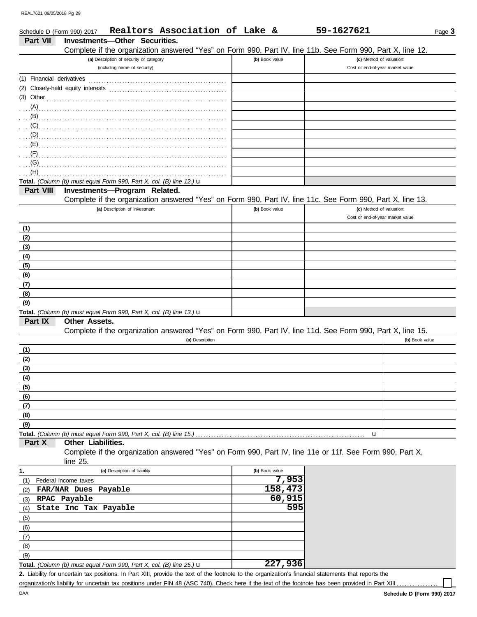| Schedule D (Form 990) 2017 | Realtors Association of Lake &                                                                                                                                                                                                            |                | 59-1627621                       | Page $3$       |
|----------------------------|-------------------------------------------------------------------------------------------------------------------------------------------------------------------------------------------------------------------------------------------|----------------|----------------------------------|----------------|
| Part VII                   | Investments-Other Securities.                                                                                                                                                                                                             |                |                                  |                |
|                            | Complete if the organization answered "Yes" on Form 990, Part IV, line 11b. See Form 990, Part X, line 12.                                                                                                                                |                |                                  |                |
|                            | (a) Description of security or category                                                                                                                                                                                                   | (b) Book value | (c) Method of valuation:         |                |
|                            | (including name of security)                                                                                                                                                                                                              |                | Cost or end-of-year market value |                |
|                            |                                                                                                                                                                                                                                           |                |                                  |                |
|                            |                                                                                                                                                                                                                                           |                |                                  |                |
|                            |                                                                                                                                                                                                                                           |                |                                  |                |
|                            | $(3)$ Other                                                                                                                                                                                                                               |                |                                  |                |
|                            |                                                                                                                                                                                                                                           |                |                                  |                |
|                            |                                                                                                                                                                                                                                           |                |                                  |                |
|                            |                                                                                                                                                                                                                                           |                |                                  |                |
|                            |                                                                                                                                                                                                                                           |                |                                  |                |
|                            |                                                                                                                                                                                                                                           |                |                                  |                |
|                            |                                                                                                                                                                                                                                           |                |                                  |                |
|                            | $\overline{a}$ (G) $\overline{a}$ . The contract of the contract of the contract of the contract of the contract of the contract of the contract of the contract of the contract of the contract of the contract of the contract of the c |                |                                  |                |
| (H)                        |                                                                                                                                                                                                                                           |                |                                  |                |
|                            | Total. (Column (b) must equal Form 990, Part X, col. (B) line 12.) $\mathbf u$                                                                                                                                                            |                |                                  |                |
| Part VIII                  | Investments-Program Related.                                                                                                                                                                                                              |                |                                  |                |
|                            | Complete if the organization answered "Yes" on Form 990, Part IV, line 11c. See Form 990, Part X, line 13.                                                                                                                                |                |                                  |                |
|                            | (a) Description of investment                                                                                                                                                                                                             | (b) Book value | (c) Method of valuation:         |                |
|                            |                                                                                                                                                                                                                                           |                | Cost or end-of-year market value |                |
| (1)                        |                                                                                                                                                                                                                                           |                |                                  |                |
| (2)                        |                                                                                                                                                                                                                                           |                |                                  |                |
| (3)                        |                                                                                                                                                                                                                                           |                |                                  |                |
| (4)                        |                                                                                                                                                                                                                                           |                |                                  |                |
| (5)                        |                                                                                                                                                                                                                                           |                |                                  |                |
| (6)                        |                                                                                                                                                                                                                                           |                |                                  |                |
| (7)                        |                                                                                                                                                                                                                                           |                |                                  |                |
| (8)                        |                                                                                                                                                                                                                                           |                |                                  |                |
| (9)                        |                                                                                                                                                                                                                                           |                |                                  |                |
|                            | Total. (Column (b) must equal Form 990, Part X, col. (B) line 13.) $\mathbf u$                                                                                                                                                            |                |                                  |                |
| Part IX                    | <b>Other Assets.</b>                                                                                                                                                                                                                      |                |                                  |                |
|                            | Complete if the organization answered "Yes" on Form 990, Part IV, line 11d. See Form 990, Part X, line 15.                                                                                                                                |                |                                  |                |
|                            | (a) Description                                                                                                                                                                                                                           |                |                                  | (b) Book value |
| (1)                        |                                                                                                                                                                                                                                           |                |                                  |                |
| (2)                        |                                                                                                                                                                                                                                           |                |                                  |                |
| (3)                        |                                                                                                                                                                                                                                           |                |                                  |                |
| (4)                        |                                                                                                                                                                                                                                           |                |                                  |                |
| (5)                        |                                                                                                                                                                                                                                           |                |                                  |                |
| (6)                        |                                                                                                                                                                                                                                           |                |                                  |                |
| (7)                        |                                                                                                                                                                                                                                           |                |                                  |                |
| (8)                        |                                                                                                                                                                                                                                           |                |                                  |                |
| (9)                        |                                                                                                                                                                                                                                           |                |                                  |                |
|                            |                                                                                                                                                                                                                                           |                | u                                |                |
| Part X                     | Other Liabilities.                                                                                                                                                                                                                        |                |                                  |                |
|                            | Complete if the organization answered "Yes" on Form 990, Part IV, line 11e or 11f. See Form 990, Part X,                                                                                                                                  |                |                                  |                |
|                            | line 25.                                                                                                                                                                                                                                  |                |                                  |                |
| 1.                         | (a) Description of liability                                                                                                                                                                                                              | (b) Book value |                                  |                |
|                            |                                                                                                                                                                                                                                           | 7,953          |                                  |                |
| (1)                        | Federal income taxes<br>FAR/NAR Dues Payable                                                                                                                                                                                              | 158,473        |                                  |                |
| (2)                        |                                                                                                                                                                                                                                           | 60,915         |                                  |                |
| (3)                        | RPAC Payable                                                                                                                                                                                                                              | 595            |                                  |                |
| (4)                        | State Inc Tax Payable                                                                                                                                                                                                                     |                |                                  |                |
| (5)                        |                                                                                                                                                                                                                                           |                |                                  |                |
| (6)                        |                                                                                                                                                                                                                                           |                |                                  |                |
| (7)                        |                                                                                                                                                                                                                                           |                |                                  |                |
| (8)                        |                                                                                                                                                                                                                                           |                |                                  |                |
| (9)                        |                                                                                                                                                                                                                                           |                |                                  |                |

**Total.** *(Column (b) must equal Form 990, Part X, col. (B) line 25.)* u **227,936**

Liability for uncertain tax positions. In Part XIII, provide the text of the footnote to the organization's financial statements that reports the **2.**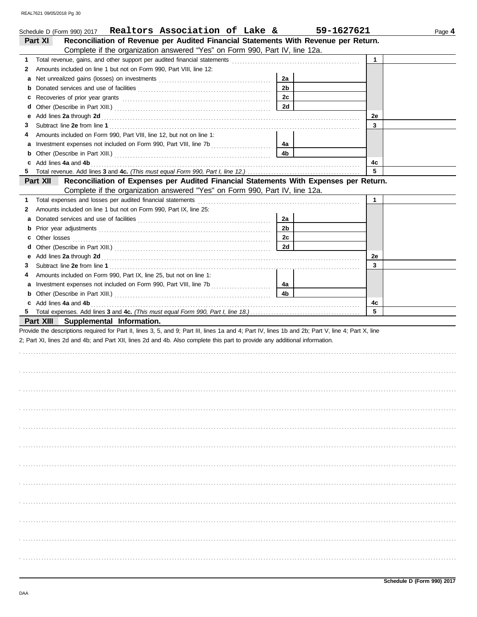|   | Schedule D (Form 990) 2017  Realtors Association of Lake &                                                                                                                                                                     |                | 59-1627621 | Page 4 |
|---|--------------------------------------------------------------------------------------------------------------------------------------------------------------------------------------------------------------------------------|----------------|------------|--------|
|   | Reconciliation of Revenue per Audited Financial Statements With Revenue per Return.<br>Part XI                                                                                                                                 |                |            |        |
|   | Complete if the organization answered "Yes" on Form 990, Part IV, line 12a.                                                                                                                                                    |                |            |        |
| 1 |                                                                                                                                                                                                                                |                | 1          |        |
| 2 | Amounts included on line 1 but not on Form 990, Part VIII, line 12:                                                                                                                                                            |                |            |        |
| а |                                                                                                                                                                                                                                | 2a             |            |        |
|   |                                                                                                                                                                                                                                | 2 <sub>b</sub> |            |        |
| с |                                                                                                                                                                                                                                | 2c             |            |        |
| d |                                                                                                                                                                                                                                | 2d             |            |        |
| е | Add lines 2a through 2d [11] Add [12] Add [12] Add lines 2a through 2d [12] Add lines 2a through 2d [12] Add lines 2a through 2d [12] Add and the set of the set of the set of the set of the set of the set of the set of the |                | 2е         |        |
| З |                                                                                                                                                                                                                                |                | 3          |        |
| 4 | Amounts included on Form 990, Part VIII, line 12, but not on line 1:                                                                                                                                                           |                |            |        |
| а |                                                                                                                                                                                                                                | 4a             |            |        |
| b |                                                                                                                                                                                                                                | 4 <sub>b</sub> |            |        |
|   | Add lines 4a and 4b                                                                                                                                                                                                            |                | 4c         |        |
| 5 |                                                                                                                                                                                                                                |                | 5          |        |
|   | Reconciliation of Expenses per Audited Financial Statements With Expenses per Return.<br>Part XII                                                                                                                              |                |            |        |
|   | Complete if the organization answered "Yes" on Form 990, Part IV, line 12a.                                                                                                                                                    |                |            |        |
| 1 | Total expenses and losses per audited financial statements                                                                                                                                                                     |                | 1          |        |
| 2 | Amounts included on line 1 but not on Form 990, Part IX, line 25:                                                                                                                                                              |                |            |        |
| а |                                                                                                                                                                                                                                | 2a             |            |        |
|   |                                                                                                                                                                                                                                | 2 <sub>b</sub> |            |        |
| с |                                                                                                                                                                                                                                | 2с             |            |        |
|   |                                                                                                                                                                                                                                | 2d             |            |        |
| е | Add lines 2a through 2d [11] Add [12] Add [12] Add lines 2a through 2d [12] Add lines 2a through 2d [12] Add lines 2a through 2d [12] Adding the strategy of the strategy of the strategy of the strategy of the strategy of t |                | 2е         |        |
| З |                                                                                                                                                                                                                                |                | 3          |        |
| 4 | Amounts included on Form 990, Part IX, line 25, but not on line 1:                                                                                                                                                             |                |            |        |
| а |                                                                                                                                                                                                                                | 4a             |            |        |
| b |                                                                                                                                                                                                                                | 4 <sub>b</sub> |            |        |
| c | Add lines 4a and 4b                                                                                                                                                                                                            |                | 4c<br>5    |        |
| 5 |                                                                                                                                                                                                                                |                |            |        |
|   | Part XIII Supplemental Information.                                                                                                                                                                                            |                |            |        |
|   | Provide the descriptions required for Part II, lines 3, 5, and 9; Part III, lines 1a and 4; Part IV, lines 1b and 2b; Part V, line 4; Part X, line                                                                             |                |            |        |
|   | 2; Part XI, lines 2d and 4b; and Part XII, lines 2d and 4b. Also complete this part to provide any additional information.                                                                                                     |                |            |        |
|   |                                                                                                                                                                                                                                |                |            |        |
|   |                                                                                                                                                                                                                                |                |            |        |
|   |                                                                                                                                                                                                                                |                |            |        |
|   |                                                                                                                                                                                                                                |                |            |        |
|   |                                                                                                                                                                                                                                |                |            |        |
|   |                                                                                                                                                                                                                                |                |            |        |
|   |                                                                                                                                                                                                                                |                |            |        |
|   |                                                                                                                                                                                                                                |                |            |        |
|   |                                                                                                                                                                                                                                |                |            |        |
|   |                                                                                                                                                                                                                                |                |            |        |
|   |                                                                                                                                                                                                                                |                |            |        |
|   |                                                                                                                                                                                                                                |                |            |        |
|   |                                                                                                                                                                                                                                |                |            |        |
|   |                                                                                                                                                                                                                                |                |            |        |
|   |                                                                                                                                                                                                                                |                |            |        |
|   |                                                                                                                                                                                                                                |                |            |        |
|   |                                                                                                                                                                                                                                |                |            |        |
|   |                                                                                                                                                                                                                                |                |            |        |
|   |                                                                                                                                                                                                                                |                |            |        |
|   |                                                                                                                                                                                                                                |                |            |        |
|   |                                                                                                                                                                                                                                |                |            |        |
|   |                                                                                                                                                                                                                                |                |            |        |
|   |                                                                                                                                                                                                                                |                |            |        |
|   |                                                                                                                                                                                                                                |                |            |        |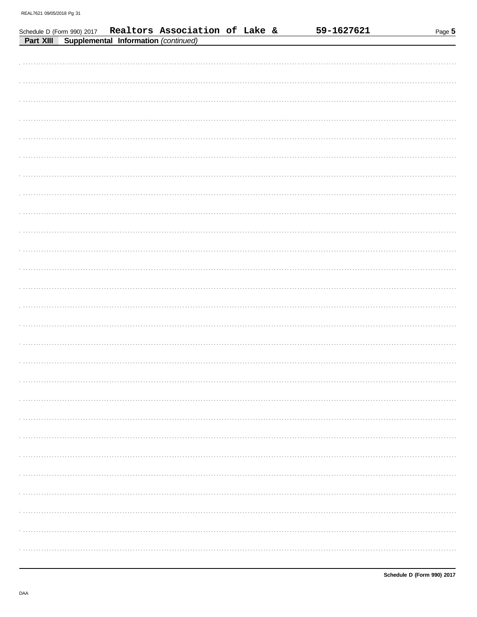|  | Schedule D (Form 990) 2017 Realtors Association of Lake & Part XIII Supplemental Information (continued) |  | 59-1627621 | Page 5 |
|--|----------------------------------------------------------------------------------------------------------|--|------------|--------|
|  |                                                                                                          |  |            |        |
|  |                                                                                                          |  |            |        |
|  |                                                                                                          |  |            |        |
|  |                                                                                                          |  |            |        |
|  |                                                                                                          |  |            |        |
|  |                                                                                                          |  |            |        |
|  |                                                                                                          |  |            |        |
|  |                                                                                                          |  |            |        |
|  |                                                                                                          |  |            |        |
|  |                                                                                                          |  |            |        |
|  |                                                                                                          |  |            |        |
|  |                                                                                                          |  |            |        |
|  |                                                                                                          |  |            |        |
|  |                                                                                                          |  |            |        |
|  |                                                                                                          |  |            |        |
|  |                                                                                                          |  |            |        |
|  |                                                                                                          |  |            |        |
|  |                                                                                                          |  |            |        |
|  |                                                                                                          |  |            |        |
|  |                                                                                                          |  |            |        |
|  |                                                                                                          |  |            |        |
|  |                                                                                                          |  |            |        |
|  |                                                                                                          |  |            |        |
|  |                                                                                                          |  |            |        |
|  |                                                                                                          |  |            |        |
|  |                                                                                                          |  |            |        |
|  |                                                                                                          |  |            |        |
|  |                                                                                                          |  |            |        |
|  |                                                                                                          |  |            |        |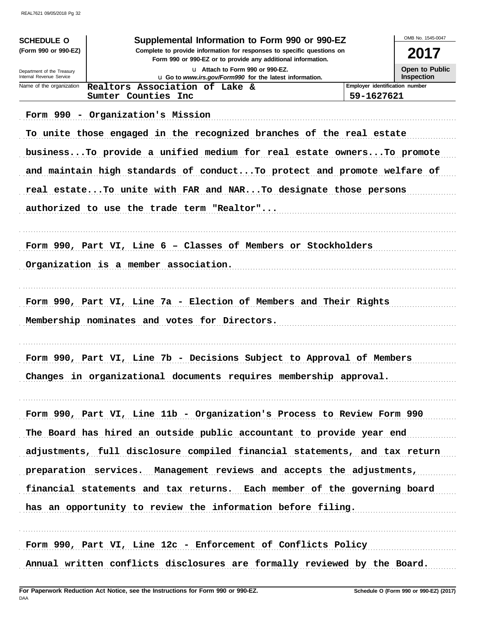| <b>SCHEDULE O</b><br>(Form 990 or 990-EZ)              | OMB No. 1545-0047<br>2017                                                                  |                                              |  |  |  |
|--------------------------------------------------------|--------------------------------------------------------------------------------------------|----------------------------------------------|--|--|--|
| Department of the Treasury<br>Internal Revenue Service | u Attach to Form 990 or 990-EZ.<br>u Go to www.irs.gov/Form990 for the latest information. |                                              |  |  |  |
| Name of the organization                               | Realtors Association of Lake &<br>Sumter Counties Inc                                      | Employer identification number<br>59-1627621 |  |  |  |
|                                                        | Form 990 - Organization's Mission                                                          |                                              |  |  |  |
|                                                        | To unite those engaged in the recognized branches of the real estate                       |                                              |  |  |  |
|                                                        | business To provide a unified medium for real estate owners To promote                     |                                              |  |  |  |
|                                                        | and maintain high standards of conduct To protect and promote welfare of                   |                                              |  |  |  |
|                                                        | real estate To unite with FAR and NAR To designate those persons                           |                                              |  |  |  |
|                                                        | authorized to use the trade term "Realtor"                                                 |                                              |  |  |  |
|                                                        | Form 990, Part VI, Line 6 - Classes of Members or Stockholders                             |                                              |  |  |  |
|                                                        | Organization is a member association.                                                      |                                              |  |  |  |
|                                                        |                                                                                            |                                              |  |  |  |
|                                                        | Form 990, Part VI, Line 7a - Election of Members and Their Rights                          |                                              |  |  |  |
|                                                        | Membership nominates and votes for Directors.                                              |                                              |  |  |  |
|                                                        |                                                                                            |                                              |  |  |  |
|                                                        | Form 990, Part VI, Line 7b - Decisions Subject to Approval of Members                      |                                              |  |  |  |
|                                                        | Changes in organizational documents requires membership approval.                          |                                              |  |  |  |
|                                                        |                                                                                            |                                              |  |  |  |
|                                                        | Form 990, Part VI, Line 11b - Organization's Process to Review Form 990                    |                                              |  |  |  |
|                                                        | The Board has hired an outside public accountant to provide year end                       |                                              |  |  |  |
|                                                        | adjustments, full disclosure compiled financial statements, and tax return                 |                                              |  |  |  |
|                                                        | preparation services. Management reviews and accepts the adjustments,                      |                                              |  |  |  |
|                                                        | financial statements and tax returns. Each member of the governing board                   |                                              |  |  |  |
|                                                        | has an opportunity to review the information before filing.                                |                                              |  |  |  |
|                                                        | Form 990, Part VI, Line 12c - Enforcement of Conflicts Policy                              |                                              |  |  |  |
|                                                        | Annual written conflicts disclosures are formally reviewed by the Board.                   |                                              |  |  |  |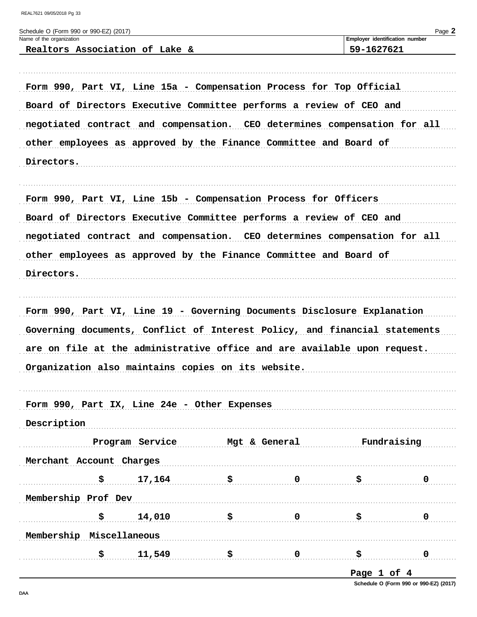|                                              |                                |                                                                            |             | Employer identification number |   |
|----------------------------------------------|--------------------------------|----------------------------------------------------------------------------|-------------|--------------------------------|---|
|                                              | Realtors Association of Lake & |                                                                            |             | 59-1627621                     |   |
|                                              |                                | Form 990, Part VI, Line 15a - Compensation Process for Top Official        |             |                                |   |
|                                              |                                | Board of Directors Executive Committee performs a review of CEO and        |             |                                |   |
|                                              |                                | negotiated contract and compensation. CEO determines compensation for all  |             |                                |   |
|                                              |                                | other employees as approved by the Finance Committee and Board of          |             |                                |   |
|                                              |                                |                                                                            |             |                                |   |
| Directors.                                   |                                |                                                                            |             |                                |   |
|                                              |                                | Form 990, Part VI, Line 15b - Compensation Process for Officers            |             |                                |   |
|                                              |                                | Board of Directors Executive Committee performs a review of CEO and        |             |                                |   |
|                                              |                                | negotiated contract and compensation. CEO determines compensation for all  |             |                                |   |
|                                              |                                | other employees as approved by the Finance Committee and Board of          |             |                                |   |
| Directors.                                   |                                |                                                                            |             |                                |   |
|                                              |                                |                                                                            |             |                                |   |
|                                              |                                |                                                                            |             |                                |   |
|                                              |                                | Form 990, Part VI, Line 19 - Governing Documents Disclosure Explanation    |             |                                |   |
|                                              |                                | Governing documents, Conflict of Interest Policy, and financial statements |             |                                |   |
|                                              |                                | are on file at the administrative office and are available upon request.   |             |                                |   |
|                                              |                                | Organization also maintains copies on its website.                         |             |                                |   |
|                                              |                                |                                                                            |             |                                |   |
| Form 990, Part IX, Line 24e - Other Expenses |                                |                                                                            |             |                                |   |
| Description                                  |                                |                                                                            |             |                                |   |
|                                              | Program Service                | Mgt & General                                                              |             | Fundraising                    |   |
| Merchant Account Charges                     |                                |                                                                            |             |                                |   |
| \$                                           | 17,164                         | \$                                                                         | $\mathbf 0$ | \$                             | 0 |
| Membership Prof Dev                          |                                |                                                                            |             |                                |   |
| \$                                           | 14,010                         | \$                                                                         | $\mathbf 0$ | \$                             | 0 |
| Membership Miscellaneous                     |                                |                                                                            |             |                                |   |

Page 1 of 4

Schedule O (Form 990 or 990-EZ) (2017)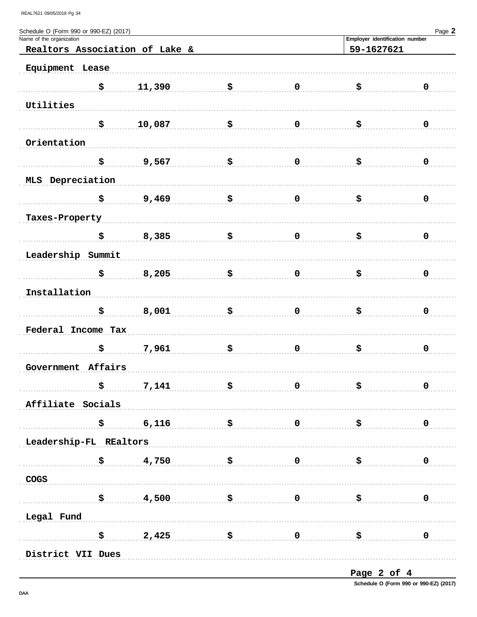| Schedule O (Form 990 or 990-EZ) (2017) |                                         |                       |                         |                                | Page 2      |
|----------------------------------------|-----------------------------------------|-----------------------|-------------------------|--------------------------------|-------------|
| Name of the organization               |                                         |                       |                         | Employer identification number |             |
| Realtors Association of Lake &         |                                         |                       |                         | 59-1627621                     |             |
| Equipment Lease                        |                                         |                       |                         |                                |             |
| \$                                     | 11,390                                  | \$                    | $\mathbf 0$             | \$                             | $\mathbf 0$ |
| Utilities                              |                                         |                       |                         |                                |             |
| \$                                     | 10,087                                  | \$                    | $\mathbf 0$             | \$                             | 0           |
| Orientation                            |                                         |                       |                         |                                |             |
| \$                                     | 9,567                                   | \$                    | $\mathbf 0$             | \$                             | 0           |
| MLS Depreciation                       |                                         |                       |                         |                                |             |
| \$                                     | 9,469                                   | \$                    | $\mathbf 0$             | \$                             | 0           |
| Taxes-Property                         |                                         |                       |                         |                                |             |
| \$                                     | 8,385                                   | \$                    | $\mathbf 0$             | \$                             | 0           |
| Leadership Summit                      |                                         |                       |                         |                                |             |
| \$                                     | 8,205                                   | \$                    | $\mathbf 0$             | \$                             | 0           |
| Installation                           |                                         |                       |                         |                                |             |
| \$                                     | 8,001                                   | \$                    | $\mathbf 0$             | \$                             | 0           |
| Federal Income Tax                     |                                         |                       |                         |                                |             |
| \$                                     | 7,961                                   | \$                    | $\mathbf 0$             | \$                             | 0           |
| Government Affairs                     |                                         |                       |                         |                                |             |
| \$                                     | 7,141                                   | \$                    | $\mathbf 0$             | \$                             | $\mathbf 0$ |
| Affiliate Socials                      |                                         |                       |                         |                                |             |
| \$                                     | 6,116                                   | . \$                  | $\overline{\mathbf{0}}$ | $\ddot{\mathbf{s}}$            | 0           |
| Leadership-FL REaltors                 |                                         |                       |                         |                                |             |
| \$                                     | 4,750                                   | $\ddot{\textbf{s}}$ 0 |                         | . \$                           | 0           |
| COGS                                   |                                         |                       |                         |                                |             |
|                                        | $\frac{1}{5}$ \$ $\frac{4,500}{5}$ \$ 0 |                       |                         | . \$                           | $\mathbf 0$ |
| Legal Fund                             |                                         |                       |                         |                                |             |
|                                        | $\frac{1}{5}$ 2,425 \$ 0                |                       |                         | <u>ੇ</u> ਬਾਰ                   | 0           |
| District VII Dues                      |                                         |                       |                         |                                |             |

Page 2 of 4 Schedule O (Form 990 or 990-EZ) (2017)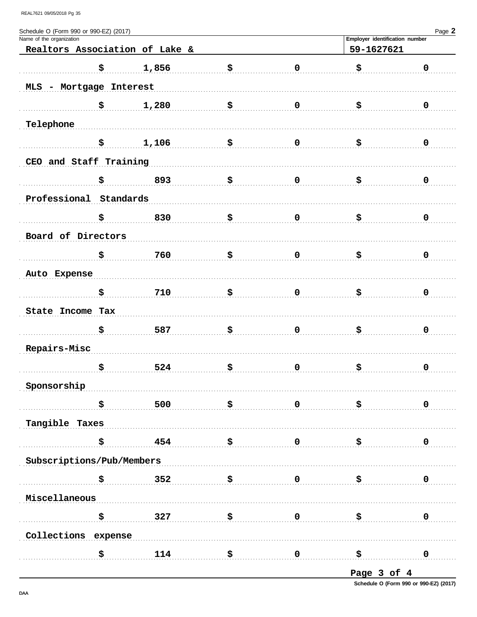| Schedule O (Form 990 or 990-EZ) (2017) |              |                                |                                                      |             |                                              | Page 2         |
|----------------------------------------|--------------|--------------------------------|------------------------------------------------------|-------------|----------------------------------------------|----------------|
| Name of the organization               |              |                                |                                                      |             | Employer identification number<br>59-1627621 |                |
|                                        |              | Realtors Association of Lake & |                                                      |             |                                              |                |
|                                        | \$           | 1,856                          | \$                                                   | $\pmb{0}$   | \$                                           | $\pmb{0}$      |
| MLS - Mortgage Interest                |              |                                |                                                      |             |                                              |                |
|                                        | \$           | 1,280                          | \$                                                   | $\mathbf 0$ | \$                                           | 0              |
| Telephone                              |              |                                |                                                      |             |                                              |                |
|                                        | \$           | 1,106                          | \$                                                   | $\mathbf 0$ | \$                                           | 0              |
| CEO and Staff Training                 |              |                                |                                                      |             |                                              |                |
|                                        | \$           | 893                            | \$                                                   | $\mathbf 0$ | \$                                           | 0              |
| Professional Standards                 |              |                                |                                                      |             |                                              |                |
|                                        | \$           | 830                            | \$                                                   | $\mathbf 0$ | \$                                           | 0              |
| Board of Directors                     |              |                                |                                                      |             |                                              |                |
|                                        | \$           | 760                            | \$                                                   | $\mathbf 0$ | \$                                           | 0              |
| Auto Expense                           |              |                                |                                                      |             |                                              |                |
|                                        | \$           | 710                            | \$                                                   | $\mathbf 0$ | \$                                           | 0              |
| State Income Tax                       |              |                                |                                                      |             |                                              |                |
|                                        | \$           | 587                            | \$                                                   | $\mathbf 0$ | \$                                           | 0              |
| Repairs-Misc                           |              |                                |                                                      |             |                                              |                |
|                                        | \$           | 524                            | \$                                                   | $\mathbf 0$ | \$                                           | 0              |
|                                        |              |                                |                                                      |             |                                              |                |
| Sponsorship                            |              |                                |                                                      |             |                                              |                |
|                                        | \$           | 500                            | \$                                                   | $\mathbf 0$ | . \$                                         | 0              |
| Tangible Taxes                         |              |                                |                                                      |             |                                              |                |
|                                        | \$           | 454                            | ີ \$                                                 | $\mathbf 0$ | \$                                           | 0              |
| Subscriptions/Pub/Members              |              |                                |                                                      |             |                                              |                |
|                                        | $\mathbf{s}$ | 352                            | $\ddot{\mathbf{s}}$                                  | $\mathbf 0$ |                                              | 0              |
| Miscellaneous                          |              |                                |                                                      |             |                                              |                |
|                                        | \$           | 327                            | $\ddot{\mathbf{s}}$ . The set of $\ddot{\mathbf{s}}$ | $\mathbf 0$ | ុ\$                                          | 0              |
| Collections expense                    |              |                                |                                                      |             |                                              |                |
|                                        | \$           |                                | $114$ \$ 0 \$                                        |             |                                              | $\overline{0}$ |
|                                        |              |                                |                                                      |             |                                              |                |

Page 3 of 4

Schedule O (Form 990 or 990-EZ) (2017)